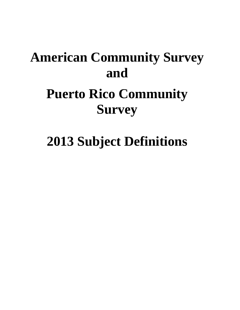# **American Community Survey and**

# **Puerto Rico Community Survey**

# **2013 Subject Definitions**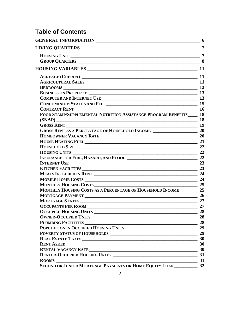# **Table of Contents**

|                                                                         | $\overline{7}$ |
|-------------------------------------------------------------------------|----------------|
|                                                                         |                |
|                                                                         |                |
|                                                                         |                |
|                                                                         |                |
|                                                                         |                |
| BEDROOMS 12                                                             |                |
|                                                                         |                |
|                                                                         |                |
|                                                                         |                |
|                                                                         |                |
| FOOD STAMP/SUPPLEMENTAL NUTRITION ASSISTANCE PROGRAM BENEFITS _____ 18  |                |
|                                                                         |                |
| GROSS RENT 19                                                           |                |
|                                                                         |                |
|                                                                         |                |
|                                                                         |                |
| HOUSEHOLD SIZE 22                                                       |                |
|                                                                         |                |
|                                                                         |                |
| INTERNET USE 23                                                         |                |
|                                                                         |                |
|                                                                         |                |
|                                                                         |                |
|                                                                         |                |
| MONTHLY HOUSING COSTS AS A PERCENTAGE OF HOUSEHOLD INCOME __________ 25 |                |
|                                                                         |                |
| MORTGAGE STATUS 27                                                      |                |
| OCCUPANTS PER ROOM 227                                                  |                |
| <b>OCCUPIED HOUSING UNITS</b>                                           | 28             |
|                                                                         | 28             |
| PLUMBING FACILITIES 28                                                  |                |
|                                                                         |                |
|                                                                         | 29             |
|                                                                         |                |
| <b>RENT ASKED</b> 30                                                    |                |
|                                                                         |                |
|                                                                         |                |
| $\sim$ 31                                                               |                |
| SECOND OR JUNIOR MORTGAGE PAYMENTS OR HOME EQUITY LOAN 32               |                |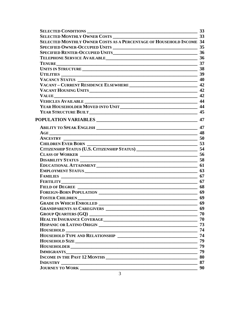| SELECTED CONDITIONS 33                                                     |    |  |
|----------------------------------------------------------------------------|----|--|
|                                                                            |    |  |
| <b>SELECTED MONTHLY OWNER COSTS AS A PERCENTAGE OF HOUSEHOLD INCOME 34</b> |    |  |
|                                                                            |    |  |
|                                                                            |    |  |
|                                                                            |    |  |
| TENURE 37                                                                  |    |  |
|                                                                            |    |  |
|                                                                            |    |  |
|                                                                            |    |  |
|                                                                            |    |  |
|                                                                            |    |  |
| VALUE 42                                                                   |    |  |
|                                                                            |    |  |
| YEAR HOUSEHOLDER MOVED INTO UNIT                                           |    |  |
|                                                                            |    |  |
|                                                                            |    |  |
|                                                                            |    |  |
|                                                                            |    |  |
| $\sim$ 50<br><b>ANCESTRY</b>                                               |    |  |
|                                                                            |    |  |
|                                                                            |    |  |
|                                                                            |    |  |
|                                                                            |    |  |
|                                                                            |    |  |
| EMPLOYMENT STATUS 63                                                       |    |  |
|                                                                            |    |  |
| <b>FERTILITY</b> 67                                                        |    |  |
| FIELD OF DEGREE                                                            |    |  |
|                                                                            |    |  |
| <b>FOSTER CHILDREN</b> 69                                                  |    |  |
|                                                                            |    |  |
|                                                                            |    |  |
|                                                                            |    |  |
|                                                                            |    |  |
|                                                                            | 73 |  |
|                                                                            |    |  |
|                                                                            |    |  |
|                                                                            | 79 |  |
|                                                                            |    |  |
|                                                                            |    |  |
|                                                                            |    |  |
| INDUSTRY 57                                                                |    |  |
|                                                                            | 90 |  |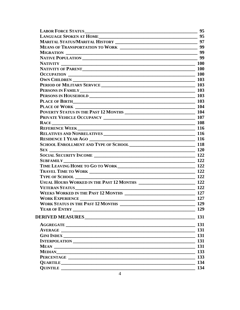|                                        | 95  |
|----------------------------------------|-----|
| LANGUAGE SPOKEN AT HOME                |     |
|                                        |     |
|                                        |     |
|                                        |     |
|                                        |     |
|                                        |     |
|                                        |     |
|                                        |     |
| <b>OWN CHILDREN</b> 103                |     |
|                                        |     |
| <b>PERSONS IN FAMILY</b> 103           |     |
|                                        |     |
| PLACE OF BIRTH 103                     |     |
|                                        |     |
|                                        |     |
|                                        |     |
| RACE 108                               |     |
| <b>REFERENCE WEEK</b>                  |     |
|                                        |     |
|                                        |     |
|                                        |     |
| $Sex$ 120                              |     |
|                                        |     |
| <b>SUBFAMILY</b> 122                   |     |
| TIME LEAVING HOME TO GO TO WORK<br>122 |     |
|                                        |     |
|                                        |     |
|                                        |     |
|                                        |     |
|                                        |     |
| WORK EXPERIENCE 127                    |     |
| WORK STATUS IN THE PAST 12 MONTHS      | 129 |
| YEAR OF ENTRY                          | 129 |
|                                        |     |
| AGGREGATE 131                          |     |
|                                        |     |
| GINI INDEX 131                         |     |
|                                        |     |
|                                        | 131 |
| MEDIAN 133                             |     |
| PERCENTAGE 133                         |     |
| QUARTILE                               | 134 |
| <b>QUINTILE</b>                        | 134 |
|                                        |     |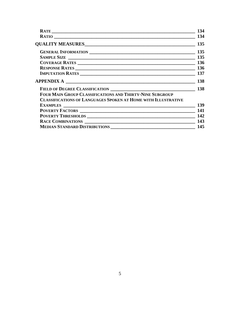| <b>RATIO</b>                                                         |
|----------------------------------------------------------------------|
|                                                                      |
|                                                                      |
|                                                                      |
|                                                                      |
|                                                                      |
| <b>IMPUTATION RATES</b> 237                                          |
|                                                                      |
|                                                                      |
| <b>FOUR MAIN GROUP CLASSIFICATIONS AND THIRTY-NINE SUBGROUP</b>      |
| <b>CLASSIFICATIONS OF LANGUAGES SPOKEN AT HOME WITH ILLUSTRATIVE</b> |
|                                                                      |
|                                                                      |
| POVERTY THRESHOLDS 142                                               |
|                                                                      |
|                                                                      |
|                                                                      |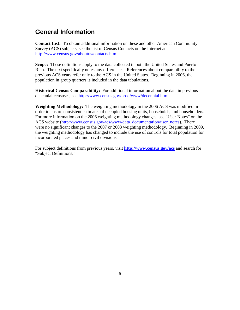# <span id="page-5-0"></span>**General Information**

**Contact List:** To obtain additional information on these and other American Community Survey (ACS) subjects, see the list of Census Contacts on the Internet at [http://www.census.gov/aboutus/contacts.html.](http://www.census.gov/aboutus/contacts.html)

**Scope:** These definitions apply to the data collected in both the United States and Puerto Rico. The text specifically notes any differences. References about comparability to the previous ACS years refer only to the ACS in the United States. Beginning in 2006, the population in group quarters is included in the data tabulations.

**Historical Census Comparability:** For additional information about the data in previous decennial censuses, see [http://www.census.gov/prod/www/decennial.html.](http://www.census.gov/prod/www/decennial.html)

**Weighting Methodology:** The weighting methodology in the 2006 ACS was modified in order to ensure consistent estimates of occupied housing units, households, and householders. For more information on the 2006 weighting methodology changes, see "User Notes" on the ACS website [\(http://www.census.gov/acs/www/data\\_documentation/user\\_notes\)](http://www.census.gov/acs/www/data_documentation/user_notes). There were no significant changes to the 2007 or 2008 weighting methodology. Beginning in 2009, the weighting methodology has changed to include the use of controls for total population for incorporated places and minor civil divisions.

For subject definitions from previous years, visit **<http://www.census.gov/acs>** and search for "Subject Definitions."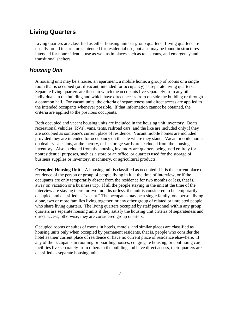## <span id="page-6-0"></span>**Living Quarters**

Living quarters are classified as either housing units or group quarters. Living quarters are usually found in structures intended for residential use, but also may be found in structures intended for nonresidential use as well as in places such as tents, vans, and emergency and transitional shelters.

### <span id="page-6-1"></span>*Housing Unit*

A housing unit may be a house, an apartment, a mobile home, a group of rooms or a single room that is occupied (or, if vacant, intended for occupancy) as separate living quarters. Separate living quarters are those in which the occupants live separately from any other individuals in the building and which have direct access from outside the building or through a common hall. For vacant units, the criteria of separateness and direct access are applied to the intended occupants whenever possible. If that information cannot be obtained, the criteria are applied to the previous occupants.

Both occupied and vacant housing units are included in the housing unit inventory. Boats, recreational vehicles (RVs), vans, tents, railroad cars, and the like are included only if they are occupied as someone's current place of residence. Vacant mobile homes are included provided they are intended for occupancy on the site where they stand. Vacant mobile homes on dealers' sales lots, at the factory, or in storage yards are excluded from the housing inventory. Also excluded from the housing inventory are quarters being used entirely for nonresidential purposes, such as a store or an office, or quarters used for the storage of business supplies or inventory, machinery, or agricultural products.

**Occupied Housing Unit –** A housing unit is classified as occupied if it is the current place of residence of the person or group of people living in it at the time of interview, or if the occupants are only temporarily absent from the residence for two months or less, that is, away on vacation or a business trip. If all the people staying in the unit at the time of the interview are staying there for two months or less, the unit is considered to be temporarily occupied and classified as "vacant." The occupants may be a single family, one person living alone, two or more families living together, or any other group of related or unrelated people who share living quarters. The living quarters occupied by staff personnel within any group quarters are separate housing units if they satisfy the housing unit criteria of separateness and direct access; otherwise, they are considered group quarters.

Occupied rooms or suites of rooms in hotels, motels, and similar places are classified as housing units only when occupied by permanent residents, that is, people who consider the hotel as their current place of residence or have no current place of residence elsewhere. If any of the occupants in rooming or boarding houses, congregate housing, or continuing care facilities live separately from others in the building and have direct access, their quarters are classified as separate housing units.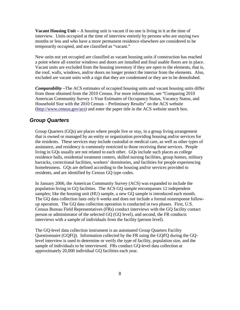**Vacant Housing Unit –** A housing unit is vacant if no one is living in it at the time of interview. Units occupied at the time of interview entirely by persons who are staying two months or less and who have a more permanent residence elsewhere are considered to be temporarily occupied, and are classified as "vacant."

New units not yet occupied are classified as vacant housing units if construction has reached a point where all exterior windows and doors are installed and final usable floors are in place. Vacant units are excluded from the housing inventory if they are open to the elements, that is, the roof, walls, windows, and/or doors no longer protect the interior from the elements. Also, excluded are vacant units with a sign that they are condemned or they are to be demolished.

*Comparability –*The ACS estimates of occupied housing units and vacant housing units differ from those obtained from the 2010 Census. For more information, see "Comparing 2010 American Community Survey 1-Year Estimates of Occupancy Status, Vacancy Status, and Household Size with the 2010 Census – Preliminary Results" on the ACS website [\(http://www.census.gov/acs\)](http://www.census.gov/acs) and enter the paper title in the ACS website search box.

#### <span id="page-7-0"></span>*Group Quarters*

Group Quarters (GQs) are places where people live or stay, in a group living arrangement that is owned or managed by an entity or organization providing housing and/or services for the residents. These services may include custodial or medical care, as well as other types of assistance, and residency is commonly restricted to those receiving these services. People living in GQs usually are not related to each other. GQs include such places as college residence halls, residential treatment centers, skilled nursing facilities, group homes, military barracks, correctional facilities, workers' dormitories, and facilities for people experiencing homelessness. GQs are defined according to the housing and/or services provided to residents, and are identified by Census GQ type codes.

In January 2006, the American Community Survey (ACS) was expanded to include the population living in GQ facilities. The ACS GQ sample encompasses 12 independent samples; like the housing unit (HU) sample, a new GQ sample is introduced each month. The GQ data collection lasts only 6 weeks and does not include a formal nonresponse followup operation. The GQ data collection operation is conducted in two phases. First, U.S. Census Bureau Field Representatives (FRs) conduct interviews with the GQ facility contact person or administrator of the selected GQ (GQ level), and second, the FR conducts interviews with a sample of individuals from the facility (person level).

The GQ-level data collection instrument is an automated Group Quarters Facility Questionnaire (GQFQ). Information collected by the FR using the GQFQ during the GQlevel interview is used to determine or verify the type of facility, population size, and the sample of individuals to be interviewed. FRs conduct GQ-level data collection at approximately 20,000 individual GQ facilities each year.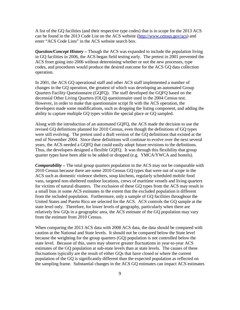A list of the GQ facilities (and their respective type codes) that is in scope for the 2013 ACS can be found in the 2013 Code List on the ACS website [\(http://www.census.gov/acs\)](http://www.census.gov/acs) and enter "ACS Code Lists" in the ACS website search box.

*Question/Concept History –* Though the ACS was expanded to include the population living in GQ facilities in 2006, the ACS began field testing early. The pretest in 2001 prevented the ACS from going into 2006 without determining whether or not the new processes, type codes, and procedures would produce the desired outcome for the ACS GQ data collection operation.

In 2001, the ACS GQ operational staff and other ACS staff implemented a number of changes in the GQ operation, the greatest of which was developing an automated Group Quarters Facility Questionnaire (GQFQ). The staff developed the GQFQ based on the decennial Other Living Quarters (OLQ) questionnaire used in the 2004 Census test. However, in order to make that questionnaire script fit with the ACS operation, the developers made some modifications, such as dropping the listing component, and adding the ability to capture multiple GQ types within the special place or GQ sampled.

Along with the introduction of an automated GQFQ, the ACS made the decision to use the revised GQ definitions planned for 2010 Census, even though the definitions of GQ types were still evolving. The pretest used a draft version of the GQ definitions that existed at the end of November 2004. Since these definitions will continue to evolve over the next several years, the ACS needed a GQFQ that could easily adopt future revisions to the definitions. Thus, the developers designed a flexible GQFQ. It was through this flexibility that group quarter types have been able to be added or dropped (e.g. YMCA/YWCA and hostels).

*Comparability –* The total group quarters population in the ACS may not be comparable with 2010 Census because there are some 2010 Census GQ types that were out of scope in the ACS such as domestic violence shelters, soup kitchens, regularly scheduled mobile food vans, targeted non-sheltered outdoor locations, crews of maritime vessels and living quarters for victims of natural disasters. The exclusion of these GQ types from the ACS may result in a small bias in some ACS estimates to the extent that the excluded population is different from the included population. Furthermore, only a sample of GQ facilities throughout the United States and Puerto Rico are selected for the ACS. ACS controls the GQ sample at the state level only. Therefore, for lower levels of geography, particularly when there are relatively few GQs in a geographic area, the ACS estimate of the GQ population may vary from the estimate from 2010 Census.

When comparing the 2013 ACS data with 2008 ACS data, the data should be compared with caution at the National and State levels. It should not be compared below the State level because the weighting for the group quarters (GQ) population is not controlled below the state level. Because of this, users may observe greater fluctuations in year-to-year ACS estimates of the GQ population at sub-state levels than at state levels. The causes of these fluctuations typically are the result of either GQs that have closed or where the current population of the GQ is significantly different than the expected population as reflected on the sampling frame. Substantial changes in the ACS GQ estimates can impact ACS estimates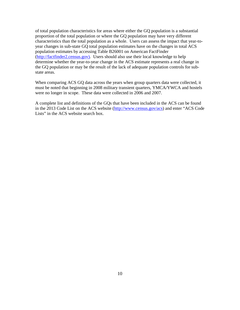of total population characteristics for areas where either the GQ population is a substantial proportion of the total population or where the GQ population may have very different characteristics than the total population as a whole. Users can assess the impact that year-toyear changes in sub-state GQ total population estimates have on the changes in total ACS population estimates by accessing Table B26001 on American FactFinder [\(http://factfinder2.census.gov\)](http://factfinder2.census.gov/). Users should also use their local knowledge to help determine whether the year-to-year change in the ACS estimate represents a real change in the GQ population or may be the result of the lack of adequate population controls for substate areas.

When comparing ACS GQ data across the years when group quarters data were collected, it must be noted that beginning in 2008 military transient quarters, YMCA/YWCA and hostels were no longer in scope. These data were collected in 2006 and 2007.

A complete list and definitions of the GQs that have been included in the ACS can be found in the 2013 Code List on the ACS website [\(http://www.census.gov/acs\)](http://www.census.gov/acs) and enter "ACS Code Lists" in the ACS website search box.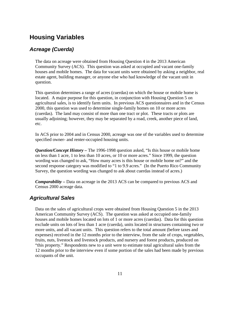## <span id="page-10-0"></span>**Housing Variables**

## <span id="page-10-1"></span>*Acreage (Cuerda)*

The data on acreage were obtained from Housing Question 4 in the 2013 American Community Survey (ACS). This question was asked at occupied and vacant one-family houses and mobile homes. The data for vacant units were obtained by asking a neighbor, real estate agent, building manager, or anyone else who had knowledge of the vacant unit in question.

This question determines a range of acres (cuerdas) on which the house or mobile home is located. A major purpose for this question, in conjunction with Housing Question 5 on agricultural sales, is to identify farm units. In previous ACS questionnaires and in the Census 2000, this question was used to determine single-family homes on 10 or more acres (cuerdas). The land may consist of more than one tract or plot. These tracts or plots are usually adjoining; however, they may be separated by a road, creek, another piece of land, etc.

In ACS prior to 2004 and in Census 2000, acreage was one of the variables used to determine specified owner- and renter-occupied housing units.

*Question/Concept History* – The 1996-1998 question asked, "Is this house or mobile home on less than 1 acre, 1 to less than 10 acres, or 10 or more acres." Since 1999, the question wording was changed to ask, "How many acres is this house or mobile home on?" and the second response category was modified to "1 to 9.9 acres." (In the Puerto Rico Community Survey, the question wording was changed to ask about cuerdas instead of acres.)

*Comparability –* Data on acreage in the 2013 ACS can be compared to previous ACS and Census 2000 acreage data.

#### <span id="page-10-2"></span>*Agricultural Sales*

Data on the sales of agricultural crops were obtained from Housing Question 5 in the 2013 American Community Survey (ACS). The question was asked at occupied one-family houses and mobile homes located on lots of 1 or more acres (cuerdas). Data for this question exclude units on lots of less than 1 acre (cuerda), units located in structures containing two or more units, and all vacant units. This question refers to the total amount (before taxes and expenses) received in the 12 months prior to the interview, from the sale of crops, vegetables, fruits, nuts, livestock and livestock products, and nursery and forest products, produced on "this property." Respondents new to a unit were to estimate total agricultural sales from the 12 months prior to the interview even if some portion of the sales had been made by previous occupants of the unit.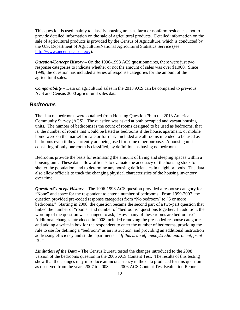This question is used mainly to classify housing units as farm or nonfarm residences, not to provide detailed information on the sale of agricultural products. Detailed information on the sale of agricultural products is provided by the Census of Agriculture, which is conducted by the U.S. Department of Agriculture/National Agricultural Statistics Service (see [http://www.agcensus.usda.gov\)](http://www.agcensus.usda.gov/).

*Question/Concept History –* On the 1996-1998 ACS questionnaires, there were just two response categories to indicate whether or not the amount of sales was over \$1,000. Since 1999, the question has included a series of response categories for the amount of the agricultural sales.

*Comparability –* Data on agricultural sales in the 2013 ACS can be compared to previous ACS and Census 2000 agricultural sales data.

#### <span id="page-11-0"></span>*Bedrooms*

The data on bedrooms were obtained from Housing Question 7b in the 2013 American Community Survey (ACS). The question was asked at both occupied and vacant housing units. The number of bedrooms is the count of rooms designed to be used as bedrooms, that is, the number of rooms that would be listed as bedrooms if the house, apartment, or mobile home were on the market for sale or for rent. Included are all rooms intended to be used as bedrooms even if they currently are being used for some other purpose. A housing unit consisting of only one room is classified, by definition, as having no bedroom.

Bedrooms provide the basis for estimating the amount of living and sleeping spaces within a housing unit. These data allow officials to evaluate the adequacy of the housing stock to shelter the population, and to determine any housing deficiencies in neighborhoods. The data also allow officials to track the changing physical characteristics of the housing inventory over time.

*Question/Concept History* **–** The 1996-1998 ACS question provided a response category for "None" and space for the respondent to enter a number of bedrooms. From 1999-2007, the question provided pre-coded response categories from "No bedroom" to "5 or more bedrooms." Starting in 2008, the question became the second part of a two-part question that linked the number of "rooms" and number of "bedrooms" questions together. In addition, the wording of the question was changed to ask, "How many of these rooms are bedrooms?" Additional changes introduced in 2008 included removing the pre-coded response categories and adding a write-in box for the respondent to enter the number of bedrooms, providing the rule to use for defining a "bedroom" as an instruction, and providing an additional instruction addressing efficiency and studio apartments - *"If this is an efficiency/studio apartment, print '0'.*"

**Limitation of the Data** – The Census Bureau tested the changes introduced to the 2008 version of the bedrooms question in the 2006 ACS Content Test. The results of this testing show that the changes may introduce an inconsistency in the data produced for this question as observed from the years 2007 to 2008, see "2006 ACS Content Test Evaluation Report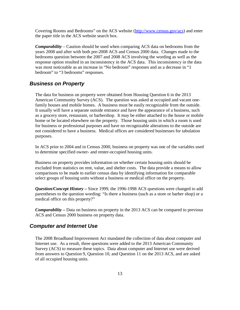Covering Rooms and Bedrooms" on the ACS website [\(http://www.census.gov/acs\)](http://www.census.gov/acs) and enter the paper title in the ACS website search box.

*Comparability* – Caution should be used when comparing ACS data on bedrooms from the years 2008 and after with both pre-2008 ACS and Census 2000 data. Changes made to the bedrooms question between the 2007 and 2008 ACS involving the wording as well as the response option resulted in an inconsistency in the ACS data. This inconsistency in the data was most noticeable as an increase in "No bedroom" responses and as a decrease in "1 bedroom" to "3 bedrooms" responses.

#### <span id="page-12-0"></span>*Business on Property*

The data for business on property were obtained from Housing Question 6 in the 2013 American Community Survey (ACS). The question was asked at occupied and vacant onefamily houses and mobile homes. A business must be easily recognizable from the outside. It usually will have a separate outside entrance and have the appearance of a business, such as a grocery store, restaurant, or barbershop. It may be either attached to the house or mobile home or be located elsewhere on the property. Those housing units in which a room is used for business or professional purposes and have no recognizable alterations to the outside are not considered to have a business. Medical offices are considered businesses for tabulation purposes.

In ACS prior to 2004 and in Census 2000, business on property was one of the variables used to determine specified owner- and renter-occupied housing units.

Business on property provides information on whether certain housing units should be excluded from statistics on rent, value, and shelter costs. The data provide a means to allow comparisons to be made to earlier census data by identifying information for comparable select groups of housing units without a business or medical office on the property.

*Question/Concept History* **–** Since 1999, the 1996-1998 ACS questions were changed to add parentheses to the question wording: "Is there a business (such as a store or barber shop) or a medical office on this property?"

*Comparability –* Data on business on property in the 2013 ACS can be compared to previous ACS and Census 2000 business on property data.

#### <span id="page-12-1"></span>*Computer and Internet Use*

The 2008 Broadband Improvement Act mandated the collection of data about computer and Internet use. As a result, three questions were added to the 2013 American Community Survey (ACS) to measure these topics. Data about computer and Internet use were derived from answers to Question 9, Question 10, and Question 11 on the 2013 ACS, and are asked of all occupied housing units.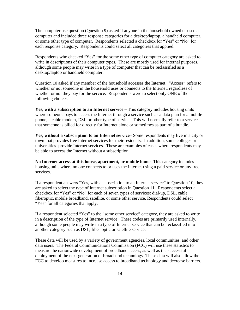The computer use question (Question 9) asked if anyone in the household owned or used a computer and included three response categories for a desktop/laptop, a handheld computer, or some other type of computer. Respondents selected a checkbox for "Yes" or "No" for each response category. Respondents could select all categories that applied.

Respondents who checked "Yes" for the some other type of computer category are asked to write in descriptions of their computer types. These are mostly used for internal purposes, although some people may write in a type of computer that can be reclassified as a desktop/laptop or handheld computer.

Question 10 asked if any member of the household accesses the Internet. "Access" refers to whether or not someone in the household uses or connects to the Internet, regardless of whether or not they pay for the service. Respondents were to select only ONE of the following choices:

**Yes, with a subscription to an Internet service –** This category includes housing units where someone pays to access the Internet through a service such as a data plan for a mobile phone, a cable modem, DSL or other type of service. This will normally refer to a service that someone is billed for directly for Internet alone or sometimes as part of a bundle.

**Yes, without a subscription to an Internet service–** Some respondents may live in a city or town that provides free Internet services for their residents. In addition, some colleges or universities provide Internet services. These are examples of cases where respondents may be able to access the Internet without a subscription.

**No Internet access at this house, apartment, or mobile home-** This category includes housing units where no one connects to or uses the Internet using a paid service or any free services.

If a respondent answers "Yes, with a subscription to an Internet service" to Question 10, they are asked to select the type of Internet subscription in Question 11. Respondents select a checkbox for "Yes" or "No" for each of seven types of services: dial-up, DSL, cable, fiberoptic, mobile broadband, satellite, or some other service. Respondents could select "Yes" for all categories that apply.

If a respondent selected "Yes" to the "some other service" category, they are asked to write in a description of the type of Internet service. These codes are primarily used internally, although some people may write in a type of Internet service that can be reclassified into another category such as DSL, fiber-optic or satellite service.

These data will be used by a variety of government agencies, local communities, and other data users. The Federal Communications Commission (FCC) will use these statistics to measure the nationwide development of broadband access, as well as the successful deployment of the next generation of broadband technology. These data will also allow the FCC to develop measures to increase access to broadband technology and decrease barriers.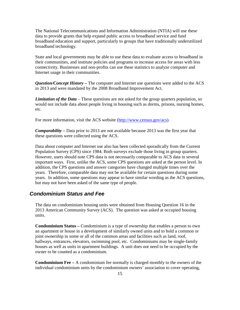The National Telecommunications and Information Administration (NTIA) will use these data to provide grants that help expand public access to broadband service and fund broadband education and support, particularly to groups that have traditionally underutilized broadband technology.

State and local governments may be able to use these data to evaluate access to broadband in their communities, and institute policies and programs to increase access for areas with less connectivity. Businesses and non-profits can use these statistics to analyze computer and Internet usage in their communities.

*Question/Concept History –* The computer and Internet use questions were added to the ACS in 2013 and were mandated by the 2008 Broadband Improvement Act.

*Limitation of the Data* – These questions are not asked for the group quarters population, so would not include data about people living in housing such as dorms, prisons, nursing homes, etc.

For more information, visit the ACS website [\(http://www.census.gov/acs\)](http://www.census.gov/acs).

*Comparability –* Data prior to 2013 are not available because 2013 was the first year that these questions were collected using the ACS.

Data about computer and Internet use also has been collected sporadically from the Current Population Survey (CPS) since 1984. Both surveys exclude those living in group quarters. However, users should note CPS data is not necessarily comparable to ACS data in several important ways. First, unlike the ACS, some CPS questions are asked at the person level. In addition, the CPS questions and answer categories have changed multiple times over the years. Therefore, comparable data may not be available for certain questions during some years. In addition, some questions may appear to have similar wording as the ACS questions, but may not have been asked of the same type of people.

#### <span id="page-14-0"></span>*Condominium Status and Fee*

The data on condominium housing units were obtained from Housing Question 16 in the 2013 American Community Survey (ACS). The question was asked at occupied housing units.

**Condominium Status –** Condominium is a type of ownership that enables a person to own an apartment or house in a development of similarly owned units and to hold a common or joint ownership in some or all of the common areas and facilities such as land, roof, hallways, entrances, elevators, swimming pool, etc. Condominiums may be single-family houses as well as units in apartment buildings. A unit does not need to be occupied by the owner to be counted as a condominium.

**Condominium Fee –** A condominium fee normally is charged monthly to the owners of the individual condominium units by the condominium owners' association to cover operating,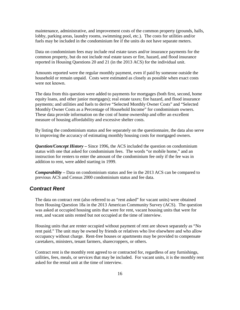maintenance, administrative, and improvement costs of the common property (grounds, halls, lobby, parking areas, laundry rooms, swimming pool, etc.). The costs for utilities and/or fuels may be included in the condominium fee if the units do not have separate meters.

Data on condominium fees may include real estate taxes and/or insurance payments for the common property, but do not include real estate taxes or fire, hazard, and flood insurance reported in Housing Questions 20 and 21 (in the 2013 ACS) for the individual unit.

Amounts reported were the regular monthly payment, even if paid by someone outside the household or remain unpaid. Costs were estimated as closely as possible when exact costs were not known.

The data from this question were added to payments for mortgages (both first, second, home equity loans, and other junior mortgages); real estate taxes; fire hazard, and flood insurance payments; and utilities and fuels to derive "Selected Monthly Owner Costs" and "Selected Monthly Owner Costs as a Percentage of Household Income" for condominium owners. These data provide information on the cost of home ownership and offer an excellent measure of housing affordability and excessive shelter costs.

By listing the condominium status and fee separately on the questionnaire, the data also serve to improving the accuracy of estimating monthly housing costs for mortgaged owners.

*Question/Concept History* **–** Since 1996, the ACS included the question on condominium status with one that asked for condominium fees. The words "or mobile home," and an instruction for renters to enter the amount of the condominium fee only if the fee was in addition to rent, were added starting in 1999.

*Comparability –* Data on condominium status and fee in the 2013 ACS can be compared to previous ACS and Census 2000 condominium status and fee data.

#### <span id="page-15-0"></span>*Contract Rent*

The data on contract rent (also referred to as "rent asked" for vacant units) were obtained from Housing Question 18a in the 2013 American Community Survey (ACS). The question was asked at occupied housing units that were for rent, vacant housing units that were for rent, and vacant units rented but not occupied at the time of interview.

Housing units that are renter occupied without payment of rent are shown separately as "No rent paid." The unit may be owned by friends or relatives who live elsewhere and who allow occupancy without charge. Rent-free houses or apartments may be provided to compensate caretakers, ministers, tenant farmers, sharecroppers, or others.

Contract rent is the monthly rent agreed to or contracted for, regardless of any furnishings, utilities, fees, meals, or services that may be included. For vacant units, it is the monthly rent asked for the rental unit at the time of interview.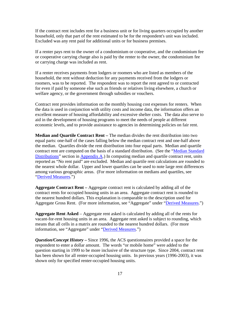If the contract rent includes rent for a business unit or for living quarters occupied by another household, only that part of the rent estimated to be for the respondent's unit was included. Excluded was any rent paid for additional units or for business premises.

If a renter pays rent to the owner of a condominium or cooperative, and the condominium fee or cooperative carrying charge also is paid by the renter to the owner, the condominium fee or carrying charge was included as rent.

If a renter receives payments from lodgers or roomers who are listed as members of the household, the rent without deduction for any payments received from the lodgers or roomers, was to be reported. The respondent was to report the rent agreed to or contracted for even if paid by someone else such as friends or relatives living elsewhere, a church or welfare agency, or the government through subsidies or vouchers.

Contract rent provides information on the monthly housing cost expenses for renters. When the data is used in conjunction with utility costs and income data, the information offers an excellent measure of housing affordability and excessive shelter costs. The data also serve to aid in the development of housing programs to meet the needs of people at different economic levels, and to provide assistance to agencies in determining policies on fair rent.

**Median and Quartile Contract Rent –** The median divides the rent distribution into two equal parts: one-half of the cases falling below the median contract rent and one-half above the median. Quartiles divide the rent distribution into four equal parts. Median and quartile contract rent are computed on the basis of a standard distribution. (See the "Median Standard [Distributions"](#page-144-0) section in [Appendix A.](#page-137-2)) In computing median and quartile contract rent, units reported as "No rent paid" are excluded. Median and quartile rent calculations are rounded to the nearest whole dollar. Upper and lower quartiles can be used to note large rent differences among various geographic areas. (For more information on medians and quartiles, see ["Derived Measures.](#page-130-0)")

**Aggregate Contract Rent –** Aggregate contract rent is calculated by adding all of the contract rents for occupied housing units in an area. Aggregate contract rent is rounded to the nearest hundred dollars. This explanation is comparable to the description used for Aggregate Gross Rent. (For more information, see "Aggregate" under ["Derived Measures.](#page-130-0)")

**Aggregate Rent Asked** – Aggregate rent asked is calculated by adding all of the rents for vacant-for-rent housing units in an area. Aggregate rent asked is subject to rounding, which means that all cells in a matrix are rounded to the nearest hundred dollars. (For more information, see "Aggregate" under ["Derived Measures.](#page-130-0)")

*Question/Concept History* **–** Since 1996, the ACS questionnaires provided a space for the respondent to enter a dollar amount. The words "or mobile home" were added to the question starting in 1999 to be more inclusive of the structure type. Since 2004, contract rent has been shown for all renter-occupied housing units. In previous years (1996-2003), it was shown only for specified renter-occupied housing units.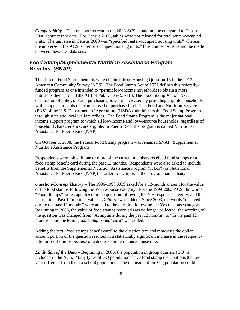*Comparability –* Data on contract rent in the 2013 ACS should not be compared to Census 2000 contract rent data. For Census 2000, tables were not released for total renter-occupied units. The universe in Census 2000 was "specified renter-occupied housing units" whereas the universe in the ACS is "renter occupied housing units," thus comparisons cannot be made between these two data sets.

## <span id="page-17-0"></span>*Food Stamp/Supplemental Nutrition Assistance Program Benefits (SNAP)*

<span id="page-17-1"></span>The data on Food Stamp benefits were obtained from Housing Question 15 in the 2013 American Community Survey (ACS). The Food Stamp Act of 1977 defines this federallyfunded program as one intended to "permit low-income households to obtain a more nutritious diet" (from Title XIII of Public Law 95-113, The Food Stamp Act of 1977, declaration of policy). Food purchasing power is increased by providing eligible households with coupons or cards that can be used to purchase food. The Food and Nutrition Service (FNS) of the U.S. Department of Agriculture (USDA) administers the Food Stamp Program through state and local welfare offices. The Food Stamp Program is the major national income support program to which all low-income and low-resource households, regardless of household characteristics, are eligible. In Puerto Rico, the program is named Nutritional Assistance for Puerto Rico (NAP).

On October 1, 2008, the Federal Food Stamp program was renamed SNAP (Supplemental Nutrition Assistance Program).

Respondents were asked if one or more of the current members received food stamps or a food stamp benefit card during the past 12 months. Respondents were also asked to include benefits from the Supplemental Nutrition Assistance Program (SNAP) (or Nutritional Assistance for Puerto Rico (NAP)) in order to incorporate the program name change.

*Question/Concept History –* The 1996-1998 ACS asked for a 12-month amount for the value of the food stamps following the Yes response category. For the 1999-2002 ACS, the words "Food Stamps" were capitalized in the question following the Yes response category, and the instruction "Past 12 months' value – *Dollars"* was added. Since 2003, the words "received during the past 12 months" were added to the question following the Yes response category. Beginning in 2008, the value of food stamps received was no longer collected; the wording of the question was changed from "At anytime during the past 12 months" to "In the past 12 months," and the term "*food stamp benefit card*" was added.

Adding the text "food stamps benefit card" to the question text and removing the dollar amount portion of the question resulted in a statistically significant increase in the recipiency rate for food stamps because of a decrease in item nonresponse rate.

*Limitation of the Data* – Beginning in 2006, the population in group quarters (GQ) is included in the ACS. Many types of GQ populations have food stamp distributions that are very different from the household population. The inclusion of the GQ population could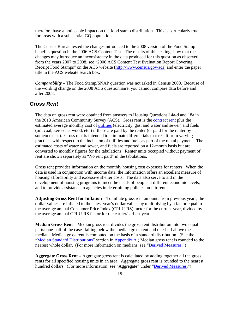therefore have a noticeable impact on the food stamp distribution. This is particularly true for areas with a substantial GQ population.

The Census Bureau tested the changes introduced to the 2008 version of the Food Stamp benefits question in the 2006 ACS Content Test. The results of this testing show that the changes may introduce an inconsistency in the data produced for this question as observed from the years 2007 to 2008, see "2006 ACS Content Test Evaluation Report Covering Receipt Food Stamps" on the ACS website [\(http://www.census.gov/acs\)](http://www.census.gov/acs) and enter the paper title in the ACS website search box.

*Comparability –* The Food Stamp/SNAP question was not asked in Census 2000. Because of the wording change on the 2008 ACS questionnaire, you cannot compare data before and after 2008.

#### <span id="page-18-0"></span>*Gross Rent*

The data on gross rent were obtained from answers to Housing Questions 14a-d and 18a in the 2013 American Community Survey (ACS). Gross rent is the [contract rent](#page-15-0) plus the estimated average monthly cost of [utilities](#page-38-0) (electricity, gas, and water and sewer) and fuels (oil, coal, kerosene, wood, etc.) if these are paid by the renter (or paid for the renter by someone else). Gross rent is intended to eliminate differentials that result from varying practices with respect to the inclusion of utilities and fuels as part of the rental payment. The estimated costs of water and sewer, and fuels are reported on a 12-month basis but are converted to monthly figures for the tabulations. Renter units occupied without payment of rent are shown separately as "No rent paid" in the tabulations.

Gross rent provides information on the monthly housing cost expenses for renters. When the data is used in conjunction with income data, the information offers an excellent measure of housing affordability and excessive shelter costs. The data also serve to aid in the development of housing programs to meet the needs of people at different economic levels, and to provide assistance to agencies in determining policies on fair rent.

**Adjusting Gross Rent for Inflation –** To inflate gross rent amounts from previous years, the dollar values are inflated to the latest year's dollar values by multiplying by a factor equal to the average annual Consumer Price Index (CPI-U-RS) factor for the current year, divided by the average annual CPI-U-RS factor for the earlier/earliest year.

**Median Gross Rent** – Median gross rent divides the gross rent distribution into two equal parts: one-half of the cases falling below the median gross rent and one-half above the median. Median gross rent is computed on the basis of a standard distribution. (See the ["Median Standard Distributions"](#page-144-0) section in [Appendix A.](#page-137-2)) Median gross rent is rounded to the nearest whole dollar. (For more information on medians, see ["Derived Measures.](#page-130-0)")

**Aggregate Gross Rent –** Aggregate gross rent is calculated by adding together all the gross rents for all specified housing units in an area. Aggregate gross rent is rounded to the nearest hundred dollars. (For more information, see "Aggregate" under ["Derived Measures.](#page-130-0)")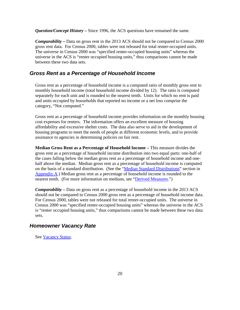*Question/Concept History* **–** Since 1996, the ACS questions have remained the same.

*Comparability –* Data on gross rent in the 2013 ACS should not be compared to Census 2000 gross rent data. For Census 2000, tables were not released for total renter-occupied units. The universe in Census 2000 was "specified renter-occupied housing units" whereas the universe in the ACS is "renter occupied housing units," thus comparisons cannot be made between these two data sets.

#### <span id="page-19-0"></span>*Gross Rent as a Percentage of Household Income*

Gross rent as a percentage of household income is a computed ratio of monthly gross rent to monthly household income (total household income divided by 12). The ratio is computed separately for each unit and is rounded to the nearest tenth. Units for which no rent is paid and units occupied by households that reported no income or a net loss comprise the category, "Not computed."

Gross rent as a percentage of household income provides information on the monthly housing cost expenses for renters. The information offers an excellent measure of housing affordability and excessive shelter costs. The data also serve to aid in the development of housing programs to meet the needs of people at different economic levels, and to provide assistance to agencies in determining policies on fair rent.

**Median Gross Rent as a Percentage of Household Income –** This measure divides the gross rent as a percentage of household income distribution into two equal parts: one-half of the cases falling below the median gross rent as a percentage of household income and onehalf above the median. Median gross rent as a percentage of household income is computed on the basis of a standard distribution. (See the ["Median Standard Distributions"](#page-144-0) section in [Appendix A.](#page-137-2)) Median gross rent as a percentage of household income is rounded to the nearest tenth. (For more information on medians, see ["Derived Measures.](#page-130-0)")

*Comparability –* Data on gross rent as a percentage of household income in the 2013 ACS should not be compared to Census 2000 gross rent as a percentage of household income data. For Census 2000, tables were not released for total renter-occupied units. The universe in Census 2000 was "specified renter-occupied housing units" whereas the universe in the ACS is "renter occupied housing units," thus comparisons cannot be made between these two data sets.

#### <span id="page-19-1"></span>*Homeowner Vacancy Rate*

<span id="page-19-2"></span>See [Vacancy Status.](#page-39-0)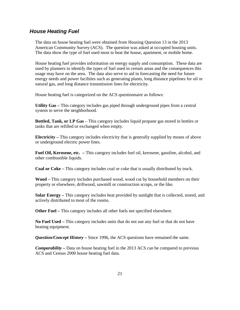#### *House Heating Fuel*

The data on house heating fuel were obtained from Housing Question 13 in the 2013 American Community Survey (ACS). The question was asked at occupied housing units. The data show the type of fuel used most to heat the house, apartment, or mobile home.

House heating fuel provides information on energy supply and consumption. These data are used by planners to identify the types of fuel used in certain areas and the consequences this usage may have on the area. The data also serve to aid in forecasting the need for future energy needs and power facilities such as generating plants, long distance pipelines for oil or natural gas, and long distance transmission lines for electricity.

House heating fuel is categorized on the ACS questionnaire as follows:

**Utility Gas –** This category includes gas piped through underground pipes from a central system to serve the neighborhood.

**Bottled, Tank, or LP Gas** – This category includes liquid propane gas stored in bottles or tanks that are refilled or exchanged when empty.

**Electricity –** This category includes electricity that is generally supplied by means of above or underground electric power lines.

**Fuel Oil, Kerosene, etc. –** This category includes fuel oil, kerosene, gasoline, alcohol, and other combustible liquids.

**Coal or Coke –** This category includes coal or coke that is usually distributed by truck.

**Wood –** This category includes purchased wood, wood cut by household members on their property or elsewhere, driftwood, sawmill or construction scraps, or the like.

**Solar Energy –** This category includes heat provided by sunlight that is collected, stored, and actively distributed to most of the rooms.

**Other Fuel –** This category includes all other fuels not specified elsewhere.

**No Fuel Used –** This category includes units that do not use any fuel or that do not have heating equipment.

*Question/Concept History* **–** Since 1996, the ACS questions have remained the same.

*Comparability –* Data on house heating fuel in the 2013 ACS can be compared to previous ACS and Census 2000 house heating fuel data.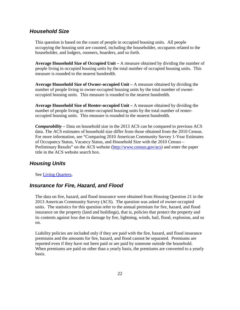#### <span id="page-21-0"></span>*Household Size*

This question is based on the count of people in occupied housing units. All people occupying the housing unit are counted, including the householder, occupants related to the householder, and lodgers, roomers, boarders, and so forth.

**Average Household Size of Occupied Unit –** A measure obtained by dividing the number of people living in occupied housing units by the total number of occupied housing units. This measure is rounded to the nearest hundredth.

**Average Household Size of Owner-occupied Unit –** A measure obtained by dividing the number of people living in owner-occupied housing units by the total number of owneroccupied housing units. This measure is rounded to the nearest hundredth.

**Average Household Size of Renter-occupied Unit –** A measure obtained by dividing the number of people living in renter-occupied housing units by the total number of renteroccupied housing units. This measure is rounded to the nearest hundredth.

*Comparability –* Data on household size in the 2013 ACS can be compared to previous ACS data. The ACS estimates of household size differ from those obtained from the 2010 Census. For more information, see "Comparing 2010 American Community Survey 1-Year Estimates of Occupancy Status, Vacancy Status, and Household Size with the 2010 Census – Preliminary Results" on the ACS website [\(http://www.census.gov/acs\)](http://www.census.gov/acs) and enter the paper title in the ACS website search box.

### <span id="page-21-1"></span>*Housing Units*

See [Living Quarters.](#page-6-0)

#### <span id="page-21-2"></span>*Insurance for Fire, Hazard, and Flood*

The data on fire, hazard, and flood insurance were obtained from Housing Question 21 in the 2013 American Community Survey (ACS). The question was asked of owner-occupied units. The statistics for this question refer to the annual premium for fire, hazard, and flood insurance on the property (land and buildings), that is, policies that protect the property and its contents against loss due to damage by fire, lightning, winds, hail, flood, explosion, and so on.

Liability policies are included only if they are paid with the fire, hazard, and flood insurance premiums and the amounts for fire, hazard, and flood cannot be separated. Premiums are reported even if they have not been paid or are paid by someone outside the household. When premiums are paid on other than a yearly basis, the premiums are converted to a yearly basis.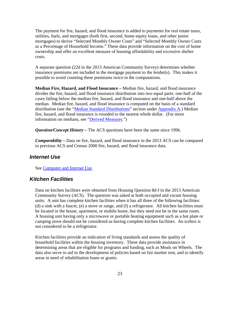The payment for fire, hazard, and flood insurance is added to payments for real estate taxes, utilities, fuels, and mortgages (both first, second, home equity loans, and other junior mortgages) to derive "Selected Monthly Owner Costs" and "Selected Monthly Owner Costs as a Percentage of Household Income." These data provide information on the cost of home ownership and offer an excellent measure of housing affordability and excessive shelter costs.

A separate question (22d in the 2013 American Community Survey) determines whether insurance premiums are included in the mortgage payment to the lender(s). This makes it possible to avoid counting these premiums twice in the computations.

**Median Fire, Hazard, and Flood Insurance –** Median fire, hazard, and flood insurance divides the fire, hazard, and flood insurance distribution into two equal parts: one-half of the cases falling below the median fire, hazard, and flood insurance and one-half above the median. Median fire, hazard, and flood insurance is computed on the basis of a standard distribution (see the ["Median Standard Distributions"](#page-144-0) section under [Appendix A.](#page-137-2)) Median fire, hazard, and flood insurance is rounded to the nearest whole dollar. (For more information on medians, see ["Derived Measures.](#page-130-0)")

*Question/Concept History* **–** The ACS questions have been the same since 1996.

*Comparability –* Data on fire, hazard, and flood insurance in the 2013 ACS can be compared to previous ACS and Census 2000 fire, hazard, and flood insurance data.

#### <span id="page-22-0"></span>*Internet Use*

See [Computer and Internet Use.](#page-12-1)

#### <span id="page-22-1"></span>*Kitchen Facilities*

Data on kitchen facilities were obtained from Housing Question 8d-f in the 2013 American Community Survey (ACS). The question was asked at both occupied and vacant housing units. A unit has complete kitchen facilities when it has all three of the following facilities: (d) a sink with a faucet, (e) a stove or range, and (f) a refrigerator. All kitchen facilities must be located in the house, apartment, or mobile home, but they need not be in the same room. A housing unit having only a microwave or portable heating equipment such as a hot plate or camping stove should not be considered as having complete kitchen facilities. An icebox is not considered to be a refrigerator.

Kitchen facilities provide an indication of living standards and assess the quality of household facilities within the housing inventory. These data provide assistance in determining areas that are eligible for programs and funding, such as Meals on Wheels. The data also serve to aid in the development of policies based on fair market rent, and to identify areas in need of rehabilitation loans or grants.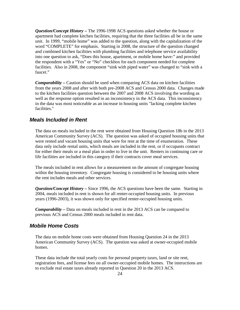*Question/Concept History* **–** The 1996-1998 ACS questions asked whether the house or apartment had complete kitchen facilities, requiring that the three facilities all be in the same unit. In 1999, "mobile home" was added to the question, along with the capitalization of the word "COMPLETE" for emphasis. Starting in 2008, the structure of the question changed and combined kitchen facilities with plumbing facilities and telephone service availability into one question to ask, "Does this house, apartment, or mobile home have-" and provided the respondent with a "Yes" or "No" checkbox for each component needed for complete facilities. Also in 2008, the component "sink with piped water" was changed to "sink with a faucet."

*Comparability –* Caution should be used when comparing ACS data on kitchen facilities from the years 2008 and after with both pre-2008 ACS and Census 2000 data. Changes made to the kitchen facilities question between the 2007 and 2008 ACS involving the wording as well as the response option resulted in an inconsistency in the ACS data. This inconsistency in the data was most noticeable as an increase in housing units "lacking complete kitchen facilities."

### <span id="page-23-0"></span>*Meals Included in Rent*

The data on meals included in the rent were obtained from Housing Question 18b in the 2013 American Community Survey (ACS). The question was asked of occupied housing units that were rented and vacant housing units that were for rent at the time of enumeration. These data only include rental units, which meals are included in the rent, or if occupants contract for either their meals or a meal plan in order to live in the unit. Renters in continuing care or life facilities are included in this category if their contracts cover meal services.

The meals included in rent allows for a measurement on the amount of congregate housing within the housing inventory. Congregate housing is considered to be housing units where the rent includes meals and other services.

*Question/Concept History* **–** Since 1996, the ACS questions have been the same. Starting in 2004, meals included in rent is shown for all renter-occupied housing units. In previous years (1996-2003), it was shown only for specified renter-occupied housing units.

*Comparability –* Data on meals included in rent in the 2013 ACS can be compared to previous ACS and Census 2000 meals included in rent data.

#### <span id="page-23-1"></span>*Mobile Home Costs*

The data on mobile home costs were obtained from Housing Question 24 in the 2013 American Community Survey (ACS). The question was asked at owner-occupied mobile homes.

These data include the total yearly costs for personal property taxes, land or site rent, registration fees, and license fees on all owner-occupied mobile homes. The instructions are to exclude real estate taxes already reported in Question 20 in the 2013 ACS.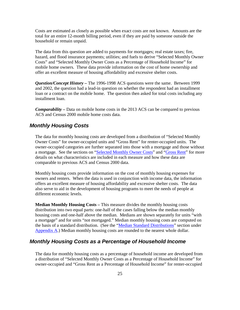Costs are estimated as closely as possible when exact costs are not known. Amounts are the total for an entire 12-month billing period, even if they are paid by someone outside the household or remain unpaid.

The data from this question are added to payments for mortgages; real estate taxes; fire, hazard, and flood insurance payments; utilities; and fuels to derive "Selected Monthly Owner Costs" and "Selected Monthly Owner Costs as a Percentage of Household Income" for mobile home owners. These data provide information on the cost of home ownership and offer an excellent measure of housing affordability and excessive shelter costs.

*Question/Concept History* **–** The 1996-1998 ACS questions were the same. Between 1999 and 2002, the question had a lead-in question on whether the respondent had an installment loan or a contract on the mobile home. The question then asked for total costs including any installment loan.

*Comparability –* Data on mobile home costs in the 2013 ACS can be compared to previous ACS and Census 2000 mobile home costs data.

#### <span id="page-24-0"></span>*Monthly Housing Costs*

The data for monthly housing costs are developed from a distribution of "Selected Monthly Owner Costs" for owner-occupied units and "Gross Rent" for renter-occupied units. The owner-occupied categories are further separated into those with a mortgage and those without a mortgage. See the sections on ["Selected Monthly Owner Costs"](#page-32-1) and ["Gross Rent"](#page-18-0) for more details on what characteristics are included in each measure and how these data are comparable to previous ACS and Census 2000 data.

Monthly housing costs provide information on the cost of monthly housing expenses for owners and renters. When the data is used in conjunction with income data, the information offers an excellent measure of housing affordability and excessive shelter costs. The data also serve to aid in the development of housing programs to meet the needs of people at different economic levels.

**Median Monthly Housing Costs –** This measure divides the monthly housing costs distribution into two equal parts: one-half of the cases falling below the median monthly housing costs and one-half above the median. Medians are shown separately for units "with a mortgage" and for units "not mortgaged." Median monthly housing costs are computed on the basis of a standard distribution. (See the ["Median Standard Distributions"](#page-144-0) section under [Appendix A.](#page-137-2)) Median monthly housing costs are rounded to the nearest whole dollar.

#### <span id="page-24-1"></span>*Monthly Housing Costs as a Percentage of Household Income*

The data for monthly housing costs as a percentage of household income are developed from a distribution of "Selected Monthly Owner Costs as a Percentage of Household Income" for owner-occupied and "Gross Rent as a Percentage of Household Income" for renter-occupied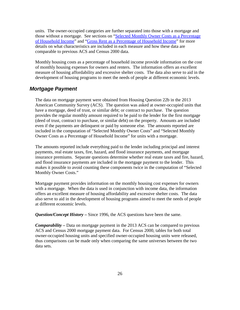units. The owner-occupied categories are further separated into those with a mortgage and those without a mortgage. See sections on ["Selected Monthly Owner Costs as a Percentage](#page-33-0)  [of Household Income"](#page-33-0) and ["Gross Rent as a Percentage of Household Income"](#page-19-0) for more details on what characteristics are included in each measure and how these data are comparable to previous ACS and Census 2000 data.

Monthly housing costs as a percentage of household income provide information on the cost of monthly housing expenses for owners and renters. The information offers an excellent measure of housing affordability and excessive shelter costs. The data also serve to aid in the development of housing programs to meet the needs of people at different economic levels.

### <span id="page-25-0"></span>*Mortgage Payment*

The data on mortgage payment were obtained from Housing Question 22b in the 2013 American Community Survey (ACS). The question was asked at owner-occupied units that have a mortgage, deed of trust, or similar debt; or contract to purchase. The question provides the regular monthly amount required to be paid to the lender for the first mortgage (deed of trust, contract to purchase, or similar debt) on the property. Amounts are included even if the payments are delinquent or paid by someone else. The amounts reported are included in the computation of "Selected Monthly Owner Costs" and "Selected Monthly Owner Costs as a Percentage of Household Income" for units with a mortgage.

The amounts reported include everything paid to the lender including principal and interest payments, real estate taxes, fire, hazard, and flood insurance payments, and mortgage insurance premiums. Separate questions determine whether real estate taxes and fire, hazard, and flood insurance payments are included in the mortgage payment to the lender. This makes it possible to avoid counting these components twice in the computation of "Selected Monthly Owner Costs."

Mortgage payment provides information on the monthly housing cost expenses for owners with a mortgage. When the data is used in conjunction with income data, the information offers an excellent measure of housing affordability and excessive shelter costs. The data also serve to aid in the development of housing programs aimed to meet the needs of people at different economic levels.

*Question/Concept History* **–** Since 1996, the ACS questions have been the same.

*Comparability –* Data on mortgage payment in the 2013 ACS can be compared to previous ACS and Census 2000 mortgage payment data. For Census 2000, tables for both total owner-occupied housing units and specified owner-occupied housing units were released, thus comparisons can be made only when comparing the same universes between the two data sets.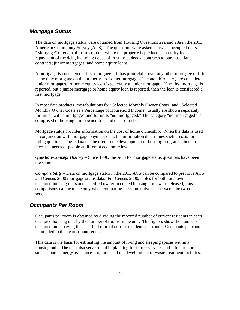#### <span id="page-26-0"></span>*Mortgage Status*

The data on mortgage status were obtained from Housing Questions 22a and 23a in the 2013 American Community Survey (ACS). The questions were asked at owner-occupied units. "Mortgage" refers to all forms of debt where the property is pledged as security for repayment of the debt, including deeds of trust; trust deeds; contracts to purchase; land contracts; junior mortgages; and home equity loans.

A mortgage is considered a first mortgage if it has prior claim over any other mortgage or if it is the only mortgage on the property. All other mortgages (second, third, etc.) are considered junior mortgages. A home equity loan is generally a junior mortgage. If no first mortgage is reported, but a junior mortgage or home equity loan is reported, then the loan is considered a first mortgage.

In most data products, the tabulations for "Selected Monthly Owner Costs" and "Selected Monthly Owner Costs as a Percentage of Household Income" usually are shown separately for units "with a mortgage" and for units "not mortgaged." The category "not mortgaged" is comprised of housing units owned free and clear of debt.

Mortgage status provides information on the cost of home ownership. When the data is used in conjunction with mortgage payment data, the information determines shelter costs for living quarters. These data can be used in the development of housing programs aimed to meet the needs of people at different economic levels.

*Question/Concept History* **–** Since 1996, the ACS for mortgage status questions have been the same.

*Comparability –* Data on mortgage status in the 2013 ACS can be compared to previous ACS and Census 2000 mortgage status data. For Census 2000, tables for both total owneroccupied housing units and specified owner-occupied housing units were released, thus comparisons can be made only when comparing the same universes between the two data sets.

#### <span id="page-26-1"></span>*Occupants Per Room*

Occupants per room is obtained by dividing the reported number of current residents in each occupied housing unit by the number of rooms in the unit. The figures show the number of occupied units having the specified ratio of current residents per room. Occupants per room is rounded to the nearest hundredth.

This data is the basis for estimating the amount of living and sleeping spaces within a housing unit. The data also serve to aid in planning for future services and infrastructure, such as home energy assistance programs and the development of waste treatment facilities.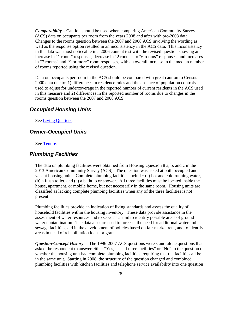*Comparability* – Caution should be used when comparing American Community Survey (ACS) data on occupants per room from the years 2008 and after with pre-2008 data. Changes to the rooms question between the 2007 and 2008 ACS involving the wording as well as the response option resulted in an inconsistency in the ACS data. This inconsistency in the data was most noticeable in a 2006 content test with the revised question showing an increase in "1 room" responses, decrease in "2 rooms" to "6 rooms" responses, and increases in "7 rooms" and "9 or more" room responses, with an overall increase in the median number of rooms reported using the revised question.

Data on occupants per room in the ACS should be compared with great caution to Census 2000 data due to: 1) differences in residence rules and the absence of population controls used to adjust for undercoverage in the reported number of current residents in the ACS used in this measure and 2) differences in the reported number of rooms due to changes in the rooms question between the 2007 and 2008 ACS.

#### <span id="page-27-0"></span>*Occupied Housing Units*

See [Living Quarters.](#page-6-0)

#### <span id="page-27-1"></span>*Owner-Occupied Units*

See [Tenure.](#page-36-0)

#### <span id="page-27-2"></span>*Plumbing Facilities*

The data on plumbing facilities were obtained from Housing Question 8 a, b, and c in the 2013 American Community Survey (ACS). The question was asked at both occupied and vacant housing units. Complete plumbing facilities include: (a) hot and cold running water, (b) a flush toilet, and (c) a bathtub or shower. All three facilities must be located inside the house, apartment, or mobile home, but not necessarily in the same room. Housing units are classified as lacking complete plumbing facilities when any of the three facilities is not present.

Plumbing facilities provide an indication of living standards and assess the quality of household facilities within the housing inventory. These data provide assistance in the assessment of water resources and to serve as an aid to identify possible areas of ground water contamination. The data also are used to forecast the need for additional water and sewage facilities, aid in the development of policies based on fair market rent, and to identify areas in need of rehabilitation loans or grants.

*Question/Concept History –* The 1996-2007 ACS questions were stand-alone questions that asked the respondent to answer either "Yes, has all three facilities" or "No" to the question of whether the housing unit had complete plumbing facilities, requiring that the facilities all be in the same unit. Starting in 2008, the structure of the question changed and combined plumbing facilities with kitchen facilities and telephone service availability into one question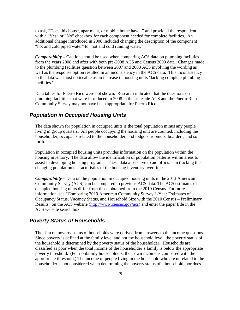to ask, "Does this house, apartment, or mobile home have -" and provided the respondent with a "Yes" or "No" checkbox for each component needed for complete facilities. An additional change introduced in 2008 included changing the description of the component "hot and cold piped water" to "hot and cold running water."

*Comparability –* Caution should be used when comparing ACS data on plumbing facilities from the years 2008 and after with both pre-2008 ACS and Census 2000 data. Changes made to the plumbing facilities question between 2007 and 2008 ACS involving the wording as well as the response option resulted in an inconsistency in the ACS data. This inconsistency in the data was most noticeable as an increase in housing units "lacking complete plumbing facilities."

Data tables for Puerto Rico were not shown. Research indicated that the questions on plumbing facilities that were introduced in 2008 in the stateside ACS and the Puerto Rico Community Survey may not have been appropriate for Puerto Rico.

#### <span id="page-28-0"></span>*Population in Occupied Housing Units*

The data shown for population in occupied units is the total population minus any people living in group quarters. All people occupying the housing unit are counted, including the householder, occupants related to the householder, and lodgers, roomers, boarders, and so forth.

Population in occupied housing units provides information on the population within the housing inventory. The data allow the identification of population patterns within areas to assist in developing housing programs. These data also serve to aid officials in tracking the changing population characteristics of the housing inventory over time.

*Comparability –* Data on the population in occupied housing units in the 2013 American Community Survey (ACS) can be compared to previous ACS data. The ACS estimates of occupied housing units differ from those obtained from the 2010 Census. For more information, see "Comparing 2010 American Community Survey 1-Year Estimates of Occupancy Status, Vacancy Status, and Household Size with the 2010 Census – Preliminary Results" on the ACS website [\(http://www.census.gov/acs\)](http://www.census.gov/acs) and enter the paper title in the ACS website search box.

#### <span id="page-28-1"></span>*Poverty Status of Households*

The data on poverty status of households were derived from answers to the income questions. Since poverty is defined at the family level and not the household level, the poverty status of the household is determined by the poverty status of the householder. Households are classified as poor when the total income of the householder's family is below the appropriate poverty threshold. (For nonfamily householders, their own income is compared with the appropriate threshold.) The income of people living in the household who are unrelated to the householder is not considered when determining the poverty status of a household, nor does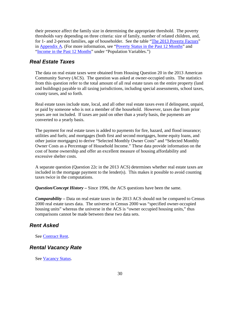<span id="page-29-0"></span>their presence affect the family size in determining the appropriate threshold. The poverty thresholds vary depending on three criteria: size of family, number of related children, and, for 1- and 2-person families, age of householder. See the table ["The 2013 Poverty Factors"](#page-140-0) in [Appendix A.](#page-137-2) (For more information, see ["Poverty Status in the Past 12 Months"](#page-103-1) and ["Income in the Past 12 Months"](#page-79-0) under "Population Variables.")

### *Real Estate Taxes*

The data on real estate taxes were obtained from Housing Question 20 in the 2013 American Community Survey (ACS). The question was asked at owner-occupied units. The statistics from this question refer to the total amount of all real estate taxes on the entire property (land and buildings) payable to all taxing jurisdictions, including special assessments, school taxes, county taxes, and so forth.

Real estate taxes include state, local, and all other real estate taxes even if delinquent, unpaid, or paid by someone who is not a member of the household. However, taxes due from prior years are not included. If taxes are paid on other than a yearly basis, the payments are converted to a yearly basis.

The payment for real estate taxes is added to payments for fire, hazard, and flood insurance; utilities and fuels; and mortgages (both first and second mortgages, home equity loans, and other junior mortgages) to derive "Selected Monthly Owner Costs" and "Selected Monthly Owner Costs as a Percentage of Household Income." These data provide information on the cost of home ownership and offer an excellent measure of housing affordability and excessive shelter costs.

A separate question (Question 22c in the 2013 ACS) determines whether real estate taxes are included in the mortgage payment to the lender(s). This makes it possible to avoid counting taxes twice in the computations.

*Question/Concept History –* Since 1996, the ACS questions have been the same.

*Comparability –* Data on real estate taxes in the 2013 ACS should not be compared to Census 2000 real estate taxes data. The universe in Census 2000 was "specified owner-occupied housing units" whereas the universe in the ACS is "owner occupied housing units," thus comparisons cannot be made between these two data sets.

#### <span id="page-29-1"></span>*Rent Asked*

See [Contract Rent.](#page-15-0)

#### <span id="page-29-2"></span>*Rental Vacancy Rate*

See [Vacancy Status.](#page-39-0)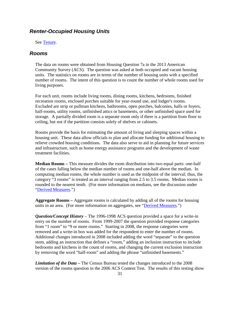#### <span id="page-30-0"></span>*Renter-Occupied Housing Units*

See [Tenure.](#page-36-0)

#### <span id="page-30-1"></span>*Rooms*

The data on rooms were obtained from Housing Question 7a in the 2013 American Community Survey (ACS). The question was asked at both occupied and vacant housing units. The statistics on rooms are in terms of the number of housing units with a specified number of rooms. The intent of this question is to count the number of whole rooms used for living purposes.

For each unit, rooms include living rooms, dining rooms, kitchens, bedrooms, finished recreation rooms, enclosed porches suitable for year-round use, and lodger's rooms. Excluded are strip or pullman kitchens, bathrooms, open porches, balconies, halls or foyers, half-rooms, utility rooms, unfinished attics or basements, or other unfinished space used for storage. A partially divided room is a separate room only if there is a partition from floor to ceiling, but not if the partition consists solely of shelves or cabinets.

Rooms provide the basis for estimating the amount of living and sleeping spaces within a housing unit. These data allow officials to plan and allocate funding for additional housing to relieve crowded housing conditions. The data also serve to aid in planning for future services and infrastructure, such as home energy assistance programs and the development of waste treatment facilities.

**Median Rooms –** This measure divides the room distribution into two equal parts: one-half of the cases falling below the median number of rooms and one-half above the median. In computing median rooms, the whole number is used as the midpoint of the interval; thus, the category "3 rooms" is treated as an interval ranging from 2.5 to 3.5 rooms. Median rooms is rounded to the nearest tenth. (For more information on medians, see the discussion under ["Derived Measures.](#page-130-0)")

**Aggregate Rooms –** Aggregate rooms is calculated by adding all of the rooms for housing units in an area. (For more information on aggregates, see ["Derived Measures.](#page-130-0)")

*Question/Concept History* – The 1996-1998 ACS question provided a space for a write-in entry on the number of rooms. From 1999-2007 the question provided response categories from "1 room" to "9 or more rooms." Starting in 2008, the response categories were removed and a write-in box was added for the respondent to enter the number of rooms. Additional changes introduced in 2008 included adding the word "separate" to the question stem, adding an instruction that defines a "room," adding an inclusion instruction to include bedrooms and kitchens in the count of rooms, and changing the current exclusion instruction by removing the word "half-room" and adding the phrase "unfinished basements."

**Limitation of the Data** – The Census Bureau tested the changes introduced to the 2008 version of the rooms question in the 2006 ACS Content Test. The results of this testing show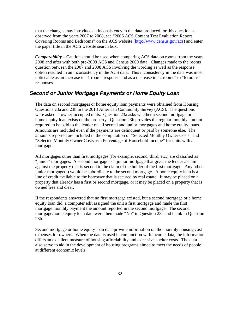that the changes may introduce an inconsistency in the data produced for this question as observed from the years 2007 to 2008, see "2006 ACS Content Test Evaluation Report Covering Rooms and Bedrooms" on the ACS website [\(http://www.census.gov/acs\)](http://www.census.gov/acs) and enter the paper title in the ACS website search box.

*Comparability* – Caution should be used when comparing ACS data on rooms from the years 2008 and after with both pre-2008 ACS and Census 2000 data. Changes made to the rooms question between the 2007 and 2008 ACS involving the wording as well as the response option resulted in an inconsistency in the ACS data. This inconsistency in the data was most noticeable as an increase in "1 room" response and as a decrease in "2 rooms" to "6 rooms" responses.

### <span id="page-31-0"></span>*Second or Junior Mortgage Payments or Home Equity Loan*

The data on second mortgages or home equity loan payments were obtained from Housing Questions 23a and 23b in the 2013 American Community Survey (ACS). The questions were asked at owner-occupied units. Question 23a asks whether a second mortgage or a home equity loan exists on the property. Question 23b provides the regular monthly amount required to be paid to the lender on all second and junior mortgages and home equity loans. Amounts are included even if the payments are delinquent or paid by someone else. The amounts reported are included in the computation of "Selected Monthly Owner Costs" and "Selected Monthly Owner Costs as a Percentage of Household Income" for units with a mortgage.

All mortgages other than first mortgages (for example, second, third, etc.) are classified as "junior" mortgages. A second mortgage is a junior mortgage that gives the lender a claim against the property that is second to the claim of the holder of the first mortgage. Any other junior mortgage $(s)$  would be subordinate to the second mortgage. A home equity loan is a line of credit available to the borrower that is secured by real estate. It may be placed on a property that already has a first or second mortgage, or it may be placed on a property that is owned free and clear.

If the respondents answered that no first mortgage existed, but a second mortgage or a home equity loan did, a computer edit assigned the unit a first mortgage and made the first mortgage monthly payment the amount reported in the second mortgage. The second mortgage/home equity loan data were then made "No" in Question 23a and blank in Question 23b.

Second mortgage or home equity loan data provide information on the monthly housing cost expenses for owners. When the data is used in conjunction with income data, the information offers an excellent measure of housing affordability and excessive shelter costs. The data also serve to aid in the development of housing programs aimed to meet the needs of people at different economic levels.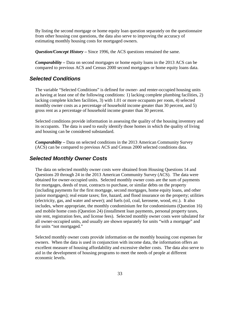By listing the second mortgage or home equity loan question separately on the questionnaire from other housing cost questions, the data also serve to improving the accuracy of estimating monthly housing costs for mortgaged owners.

*Question/Concept History –* Since 1996, the ACS questions remained the same.

*Comparability –* Data on second mortgages or home equity loans in the 2013 ACS can be compared to previous ACS and Census 2000 second mortgages or home equity loans data.

#### <span id="page-32-0"></span>*Selected Conditions*

The variable "Selected Conditions" is defined for owner- and renter-occupied housing units as having at least one of the following conditions: 1) lacking complete plumbing facilities, 2) lacking complete kitchen facilities, 3) with 1.01 or more occupants per room, 4) selected monthly owner costs as a percentage of household income greater than 30 percent, and 5) gross rent as a percentage of household income greater than 30 percent.

Selected conditions provide information in assessing the quality of the housing inventory and its occupants. The data is used to easily identify those homes in which the quality of living and housing can be considered substandard.

*Comparability –* Data on selected conditions in the 2013 American Community Survey (ACS) can be compared to previous ACS and Census 2000 selected conditions data.

#### <span id="page-32-1"></span>*Selected Monthly Owner Costs*

The data on selected monthly owner costs were obtained from Housing Questions 14 and Questions 20 through 24 in the 2013 American Community Survey (ACS). The data were obtained for owner-occupied units. Selected monthly owner costs are the sum of payments for mortgages, deeds of trust, contracts to purchase, or similar debts on the property (including payments for the first mortgage, second mortgages, home equity loans, and other junior mortgages); real estate taxes; fire, hazard, and flood insurance on the property; utilities (electricity, gas, and water and sewer); and fuels (oil, coal, kerosene, wood, etc.). It also includes, where appropriate, the monthly condominium fee for condominiums (Question 16) and mobile home costs (Question 24) (installment loan payments, personal property taxes, site rent, registration fees, and license fees). Selected monthly owner costs were tabulated for all owner-occupied units, and usually are shown separately for units "with a mortgage" and for units "not mortgaged."

Selected monthly owner costs provide information on the monthly housing cost expenses for owners. When the data is used in conjunction with income data, the information offers an excellent measure of housing affordability and excessive shelter costs. The data also serve to aid in the development of housing programs to meet the needs of people at different economic levels.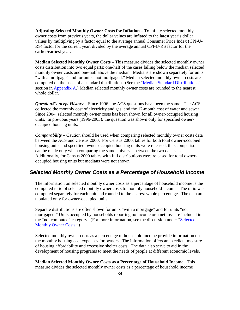**Adjusting Selected Monthly Owner Costs for Inflation –** To inflate selected monthly owner costs from previous years, the dollar values are inflated to the latest year's dollar values by multiplying by a factor equal to the average annual Consumer Price Index (CPI-U-RS) factor for the current year, divided by the average annual CPI-U-RS factor for the earlier/earliest year.

**Median Selected Monthly Owner Costs –** This measure divides the selected monthly owner costs distribution into two equal parts: one-half of the cases falling below the median selected monthly owner costs and one-half above the median. Medians are shown separately for units "with a mortgage" and for units "not mortgaged." Median selected monthly owner costs are computed on the basis of a standard distribution. (See the ["Median Standard Distributions"](#page-144-0) section in **Appendix A.**) Median selected monthly owner costs are rounded to the nearest whole dollar.

*Question/Concept History –* Since 1996, the ACS questions have been the same. The ACS collected the monthly cost of electricity and gas, and the 12-month cost of water and sewer. Since 2004, selected monthly owner costs has been shown for all owner-occupied housing units. In previous years (1996-2003), the question was shown only for specified owneroccupied housing units.

*Comparability –* Caution should be used when comparing selected monthly owner costs data between the ACS and Census 2000. For Census 2000, tables for both total owner-occupied housing units and specified owner-occupied housing units were released, thus comparisons can be made only when comparing the same universes between the two data sets. Additionally, for Census 2000 tables with full distributions were released for total owneroccupied housing units but medians were not shown.

#### <span id="page-33-0"></span>*Selected Monthly Owner Costs as a Percentage of Household Income*

The information on selected monthly owner costs as a percentage of household income is the computed ratio of selected monthly owner costs to monthly household income. The ratio was computed separately for each unit and rounded to the nearest whole percentage. The data are tabulated only for owner-occupied units.

Separate distributions are often shown for units "with a mortgage" and for units "not mortgaged." Units occupied by households reporting no income or a net loss are included in the "not computed" category. (For more information, see the discussion under ["Selected](#page-32-1)  [Monthly Owner Costs.](#page-32-1)")

Selected monthly owner costs as a percentage of household income provide information on the monthly housing cost expenses for owners. The information offers an excellent measure of housing affordability and excessive shelter costs. The data also serve to aid in the development of housing programs to meet the needs of people at different economic levels.

**Median Selected Monthly Owner Costs as a Percentage of Household Income.** This measure divides the selected monthly owner costs as a percentage of household income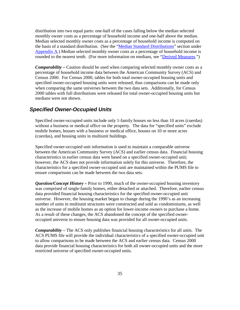distribution into two equal parts: one-half of the cases falling below the median selected monthly owner costs as a percentage of household income and one-half above the median. Median selected monthly owner costs as a percentage of household income is computed on the basis of a standard distribution. (See the ["Median Standard Distributions"](#page-144-0) section under [Appendix A.](#page-137-2)) Median selected monthly owner costs as a percentage of household income is rounded to the nearest tenth. (For more information on medians, see ["Derived Measures.](#page-130-0)")

*Comparability –* Caution should be used when comparing selected monthly owner costs as a percentage of household income data between the American Community Survey (ACS) and Census 2000. For Census 2000, tables for both total owner-occupied housing units and specified owner-occupied housing units were released, thus comparisons can be made only when comparing the same universes between the two data sets. Additionally, for Census 2000 tables with full distributions were released for total owner-occupied housing units but medians were not shown.

#### <span id="page-34-0"></span>*Specified Owner-Occupied Units*

Specified owner-occupied units include only 1-family houses on less than 10 acres (cuerdas) without a business or medical office on the property. The data for "specified units" exclude mobile homes, houses with a business or medical office, houses on 10 or more acres (cuerdas), and housing units in multiunit buildings.

Specified owner-occupied unit information is used to maintain a comparable universe between the American Community Survey (ACS) and earlier census data. Financial housing characteristics in earlier census data were based on a specified owner-occupied unit; however, the ACS does not provide information solely for this universe. Therefore, the characteristics for a specified owner-occupied unit are maintained within the PUMS file to ensure comparisons can be made between the two data sets.

*Question/Concept History – Prior to 1990, much of the owner-occupied housing inventory* was comprised of single-family homes, either detached or attached. Therefore, earlier census data provided financial housing characteristics for the specified owner-occupied unit universe. However, the housing market began to change during the 1990's as an increasing number of units in multiunit structures were constructed and sold as condominiums, as well as the increase of mobile homes as an option for lower-income owners to purchase a home. As a result of these changes, the ACS abandoned the concept of the specified owneroccupied universe to ensure housing data was provided for all owner-occupied units.

*Comparability –* The ACS only publishes financial housing characteristics for all units. The ACS PUMS file will provide the individual characteristics of a specified owner-occupied unit to allow comparisons to be made between the ACS and earlier census data. Census 2000 data provide financial housing characteristics for both all owner-occupied units and the more restricted universe of specified owner-occupied units.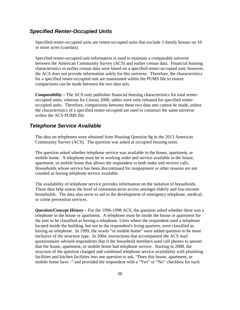#### <span id="page-35-0"></span>*Specified Renter-Occupied Units*

Specified renter-occupied units are renter-occupied units that exclude 1-family houses on 10 or more acres (cuerdas).

Specified renter-occupied unit information is used to maintain a comparable universe between the American Community Survey (ACS) and earlier census data. Financial housing characteristics in earlier census data were based on a specified renter-occupied unit; however, the ACS does not provide information solely for this universe. Therefore, the characteristics for a specified renter-occupied unit are maintained within the PUMS file to ensure comparisons can be made between the two data sets.

*Comparability –* The ACS only publishes financial housing characteristics for total renteroccupied units; whereas for Census 2000, tables were only released for specified renteroccupied units. Therefore, comparisons between these two data sets cannot be made, unless the characteristics of a specified renter-occupied are used to construct the same universe within the ACS PUMS file.

#### <span id="page-35-1"></span>*Telephone Service Available*

The data on telephones were obtained from Housing Question 8g in the 2013 American Community Survey (ACS). The question was asked at occupied housing units.

The question asked whether telephone service was available in the house, apartment, or mobile home. A telephone must be in working order and service available in the house, apartment, or mobile home that allows the respondent to both make and receive calls. Households whose service has been discontinued for nonpayment or other reasons are not counted as having telephone service available.

The availability of telephone service provides information on the isolation of households. These data help assess the level of communication access amongst elderly and low-income households. The data also serve to aid in the development of emergency telephone, medical, or crime prevention services.

*Question/Concept History –* For the 1996-1998 ACS, the question asked whether there was a telephone in the house or apartment. A telephone must be inside the house or apartment for the unit to be classified as having a telephone. Units where the respondent used a telephone located inside the building, but not in the respondent's living quarters, were classified as having no telephone. In 1999, the words "or mobile home" were added question to be more inclusive of the structure type. In 2004, instructions that accompanied the ACS mail questionnaire advised respondents that if the household members used cell phones to answer that the house, apartment, or mobile home had telephone service. Starting in 2008, the structure of the question changed and combined telephone service availability with plumbing facilities and kitchen facilities into one question to ask, "Does this house, apartment, or mobile home have -" and provided the respondent with a "Yes" or "No" checkbox for each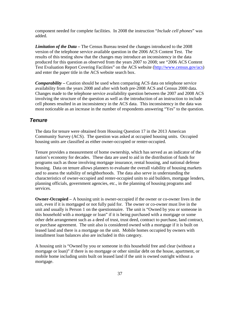component needed for complete facilities. In 2008 the instruction "*Include cell phones*" was added.

*Limitation of the Data* – The Census Bureau tested the changes introduced to the 2008 version of the telephone service available question in the 2006 ACS Content Test. The results of this testing show that the changes may introduce an inconsistency in the data produced for this question as observed from the years 2007 to 2008; see "2006 ACS Content Test Evaluation Report Covering Facilities" on the ACS website [\(http://www.census.gov/acs\)](http://www.census.gov/acs) and enter the paper title in the ACS website search box.

*Comparability –* Caution should be used when comparing ACS data on telephone service availability from the years 2008 and after with both pre-2008 ACS and Census 2000 data. Changes made to the telephone service availability question between the 2007 and 2008 ACS involving the structure of the question as well as the introduction of an instruction to include cell phones resulted in an inconsistency in the ACS data. This inconsistency in the data was most noticeable as an increase in the number of respondents answering "Yes" to the question.

#### *Tenure*

The data for tenure were obtained from Housing Question 17 in the 2013 American Community Survey (ACS). The question was asked at occupied housing units. Occupied housing units are classified as either owner-occupied or renter-occupied.

Tenure provides a measurement of home ownership, which has served as an indicator of the nation's economy for decades. These data are used to aid in the distribution of funds for programs such as those involving mortgage insurance, rental housing, and national defense housing. Data on tenure allows planners to evaluate the overall viability of housing markets and to assess the stability of neighborhoods. The data also serve in understanding the characteristics of owner-occupied and renter-occupied units to aid builders, mortgage lenders, planning officials, government agencies, etc., in the planning of housing programs and services.

**Owner-Occupied –** A housing unit is owner-occupied if the owner or co-owner lives in the unit, even if it is mortgaged or not fully paid for. The owner or co-owner must live in the unit and usually is Person 1 on the questionnaire. The unit is "Owned by you or someone in this household with a mortgage or loan" if it is being purchased with a mortgage or some other debt arrangement such as a deed of trust, trust deed, contract to purchase, land contract, or purchase agreement. The unit also is considered owned with a mortgage if it is built on leased land and there is a mortgage on the unit. Mobile homes occupied by owners with installment loan balances also are included in this category.

A housing unit is "Owned by you or someone in this household free and clear (without a mortgage or loan)" if there is no mortgage or other similar debt on the house, apartment, or mobile home including units built on leased land if the unit is owned outright without a mortgage.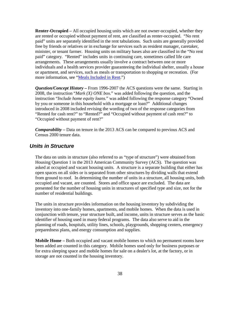**Renter-Occupied –** All occupied housing units which are not owner-occupied, whether they are rented or occupied without payment of rent, are classified as renter-occupied. "No rent paid" units are separately identified in the rent tabulations. Such units are generally provided free by friends or relatives or in exchange for services such as resident manager, caretaker, minister, or tenant farmer. Housing units on military bases also are classified in the "No rent paid" category. "Rented" includes units in continuing care, sometimes called life care arrangements. These arrangements usually involve a contract between one or more individuals and a health services provider guaranteeing the individual shelter, usually a house or apartment, and services, such as meals or transportation to shopping or recreation. (For more information, see ["Meals Included in Rent.](#page-23-0)")

*Question/Concept History –* From 1996-2007 the ACS questions were the same. Starting in 2008, the instruction "*Mark (X) ONE box.*" was added following the question, and the instruction "*Include home equity loans.*" was added following the response category "Owned by you or someone in this household with a mortgage or loan?" Additional changes introduced in 2008 included revising the wording of two of the response categories from "Rented for cash rent?" to "Rented?" and "Occupied without payment of cash rent?" to "Occupied without payment of rent?"

*Comparability –* Data on tenure in the 2013 ACS can be compared to previous ACS and Census 2000 tenure data.

#### *Units in Structure*

The data on units in structure (also referred to as "type of structure") were obtained from Housing Question 1 in the 2013 American Community Survey (ACS). The question was asked at occupied and vacant housing units. A structure is a separate building that either has open spaces on all sides or is separated from other structures by dividing walls that extend from ground to roof. In determining the number of units in a structure, all housing units, both occupied and vacant, are counted. Stores and office space are excluded. The data are presented for the number of housing units in structures of specified type and size, not for the number of residential buildings.

The units in structure provides information on the housing inventory by subdividing the inventory into one-family homes, apartments, and mobile homes. When the data is used in conjunction with tenure, year structure built, and income, units in structure serves as the basic identifier of housing used in many federal programs. The data also serve to aid in the planning of roads, hospitals, utility lines, schools, playgrounds, shopping centers, emergency preparedness plans, and energy consumption and supplies.

**Mobile Home –** Both occupied and vacant mobile homes to which no permanent rooms have been added are counted in this category. Mobile homes used only for business purposes or for extra sleeping space and mobile homes for sale on a dealer's lot, at the factory, or in storage are not counted in the housing inventory.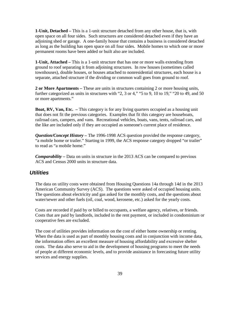**1-Unit, Detached –** This is a 1-unit structure detached from any other house, that is, with open space on all four sides. Such structures are considered detached even if they have an adjoining shed or garage. A one-family house that contains a business is considered detached as long as the building has open space on all four sides. Mobile homes to which one or more permanent rooms have been added or built also are included.

**1-Unit, Attached –** This is a 1-unit structure that has one or more walls extending from ground to roof separating it from adjoining structures. In row houses (sometimes called townhouses), double houses, or houses attached to nonresidential structures, each house is a separate, attached structure if the dividing or common wall goes from ground to roof.

**2 or More Apartments –** These are units in structures containing 2 or more housing units, further categorized as units in structures with "2, 3 or 4," "5 to 9, 10 to 19," "20 to 49, and 50 or more apartments."

**Boat, RV, Van, Etc.** – This category is for any living quarters occupied as a housing unit that does not fit the previous categories. Examples that fit this category are houseboats, railroad cars, campers, and vans. Recreational vehicles, boats, vans, tents, railroad cars, and the like are included only if they are occupied as someone's current place of residence.

*Question/Concept History –* The 1996-1998 ACS question provided the response category, "a mobile home or trailer." Starting in 1999, the ACS response category dropped "or trailer" to read as "a mobile home."

*Comparability –* Data on units in structure in the 2013 ACS can be compared to previous ACS and Census 2000 units in structure data.

# *Utilities*

The data on utility costs were obtained from Housing Questions 14a through 14d in the 2013 American Community Survey (ACS). The questions were asked of occupied housing units. The questions about electricity and gas asked for the monthly costs, and the questions about water/sewer and other fuels (oil, coal, wood, kerosene, etc.) asked for the yearly costs.

Costs are recorded if paid by or billed to occupants, a welfare agency, relatives, or friends. Costs that are paid by landlords, included in the rent payment, or included in condominium or cooperative fees are excluded.

The cost of utilities provides information on the cost of either home ownership or renting. When the data is used as part of monthly housing costs and in conjunction with income data, the information offers an excellent measure of housing affordability and excessive shelter costs. The data also serve to aid in the development of housing programs to meet the needs of people at different economic levels, and to provide assistance in forecasting future utility services and energy supplies.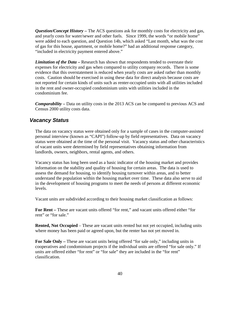*Question/Concept History –* The ACS questions ask for monthly costs for electricity and gas, and yearly costs for water/sewer and other fuels. Since 1999, the words "or mobile home" were added to each question, and Question 14b, which asked "Last month, what was the cost of gas for this house, apartment, or mobile home?" had an additional response category, "included in electricity payment entered above."

*Limitation of the Data* **–** Research has shown that respondents tended to overstate their expenses for electricity and gas when compared to utility company records. There is some evidence that this overstatement is reduced when yearly costs are asked rather than monthly costs. Caution should be exercised in using these data for direct analysis because costs are not reported for certain kinds of units such as renter-occupied units with all utilities included in the rent and owner-occupied condominium units with utilities included in the condominium fee.

*Comparability –* Data on utility costs in the 2013 ACS can be compared to previous ACS and Census 2000 utility costs data.

#### *Vacancy Status*

The data on vacancy status were obtained only for a sample of cases in the computer-assisted personal interview (known as "CAPI") follow-up by field representatives. Data on vacancy status were obtained at the time of the personal visit. Vacancy status and other characteristics of vacant units were determined by field representatives obtaining information from landlords, owners, neighbors, rental agents, and others.

Vacancy status has long been used as a basic indicator of the housing market and provides information on the stability and quality of housing for certain areas. The data is used to assess the demand for housing, to identify housing turnover within areas, and to better understand the population within the housing market over time. These data also serve to aid in the development of housing programs to meet the needs of persons at different economic levels.

Vacant units are subdivided according to their housing market classification as follows:

**For Rent –** These are vacant units offered "for rent," and vacant units offered either "for rent" or "for sale."

**Rented, Not Occupied** – These are vacant units rented but not yet occupied, including units where money has been paid or agreed upon, but the renter has not yet moved in.

**For Sale Only –** These are vacant units being offered "for sale only," including units in cooperatives and condominium projects if the individual units are offered "for sale only." If units are offered either "for rent" or "for sale" they are included in the "for rent" classification.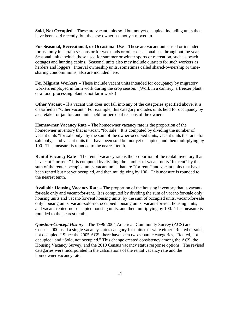**Sold, Not Occupied** – These are vacant units sold but not yet occupied, including units that have been sold recently, but the new owner has not yet moved in.

**For Seasonal, Recreational, or Occasional Use –** These are vacant units used or intended for use only in certain seasons or for weekends or other occasional use throughout the year. Seasonal units include those used for summer or winter sports or recreation, such as beach cottages and hunting cabins. Seasonal units also may include quarters for such workers as herders and loggers. Interval ownership units, sometimes called shared-ownership or timesharing condominiums, also are included here.

**For Migrant Workers –** These include vacant units intended for occupancy by migratory workers employed in farm work during the crop season. (Work in a cannery, a freezer plant, or a food-processing plant is not farm work.)

**Other Vacant –** If a vacant unit does not fall into any of the categories specified above, it is classified as "Other vacant." For example, this category includes units held for occupancy by a caretaker or janitor, and units held for personal reasons of the owner.

**Homeowner Vacancy Rate –** The homeowner vacancy rate is the proportion of the homeowner inventory that is vacant "for sale." It is computed by dividing the number of vacant units "for sale only" by the sum of the owner-occupied units, vacant units that are "for sale only," and vacant units that have been sold but not yet occupied, and then multiplying by 100. This measure is rounded to the nearest tenth.

**Rental Vacancy Rate –** The rental vacancy rate is the proportion of the rental inventory that is vacant "for rent." It is computed by dividing the number of vacant units "for rent" by the sum of the renter-occupied units, vacant units that are "for rent," and vacant units that have been rented but not yet occupied, and then multiplying by 100. This measure is rounded to the nearest tenth.

**Available Housing Vacancy Rate –** The proportion of the housing inventory that is vacantfor-sale only and vacant-for-rent. It is computed by dividing the sum of vacant-for-sale only housing units and vacant-for-rent housing units, by the sum of occupied units, vacant-for-sale only housing units, vacant-sold-not occupied housing units, vacant-for-rent housing units, and vacant-rented-not-occupied housing units, and then multiplying by 100. This measure is rounded to the nearest tenth.

*Question/Concept History –* The 1996-2004 American Community Survey (ACS) and Census 2000 used a single vacancy status category for units that were either "Rented or sold, not occupied." Since the 2005 ACS, there have been two separate categories, "Rented, not occupied" and "Sold, not occupied." This change created consistency among the ACS, the Housing Vacancy Survey, and the 2010 Census vacancy status response options. The revised categories were incorporated in the calculations of the rental vacancy rate and the homeowner vacancy rate.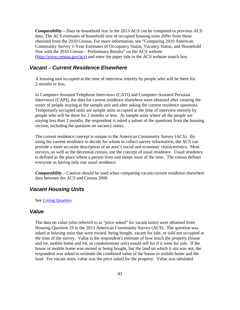*Comparability –* Data on household size in the 2013 ACS can be compared to previous ACS data. The ACS estimates of household size of occupied housing units differ from those obtained from the 2010 Census. For more information, see "Comparing 2010 American Community Survey 1-Year Estimates of Occupancy Status, Vacancy Status, and Household Size with the 2010 Census – Preliminary Results" on the ACS website [\(http://www.census.gov/acs\)](http://www.census.gov/acs) and enter the paper title in the ACS website search box.

# *Vacant – Current Residence Elsewhere*

A housing unit occupied at the time of interview entirely by people who will be there for 2 months or less.

In Computer-Assisted Telephone Interviews (CATI) and Computer-Assisted Personal Interviews (CAPI), the data for current residence elsewhere were obtained after creating the roster of people staying at the sample unit and after asking the current residence questions. Temporarily occupied units are sample units occupied at the time of interview entirely by people who will be there for 2 months or less. At sample units where all the people are staying less than 2 months, the respondent is asked a subset of the questions from the housing section, including the question on vacancy status.

The current residence concept is unique to the American Community Survey (ACS). By using the current residence to decide for whom to collect survey information, the ACS can provide a more accurate description of an area's social and economic characteristics. Most surveys, as well as the decennial census, use the concept of usual residence. Usual residence is defined as the place where a person lives and sleeps most of the time. The census defines everyone as having only one usual residence.

*Comparability* – Caution should be used when comparing vacant-current residence elsewhere data between the ACS and Census 2000.

### *Vacant Housing Units*

See Living [Quarters.](#page-6-0)

# *Value*

The data on value (also referred to as "price asked" for vacant units) were obtained from Housing Question 19 in the 2013 American Community Survey (ACS). The question was asked at housing units that were owned, being bought, vacant for sale, or sold not occupied at the time of the survey. Value is the respondent's estimate of how much the property (house and lot, mobile home and lot, or condominium unit) would sell for if it were for sale. If the house or mobile home was owned or being bought, but the land on which it sits was not, the respondent was asked to estimate the combined value of the house or mobile home and the land. For vacant units, value was the price asked for the property. Value was tabulated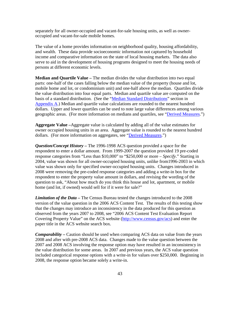separately for all owner-occupied and vacant-for-sale housing units, as well as owneroccupied and vacant-for-sale mobile homes.

The value of a home provides information on neighborhood quality, housing affordability, and wealth. These data provide socioeconomic information not captured by household income and comparative information on the state of local housing markets. The data also serve to aid in the development of housing programs designed to meet the housing needs of persons at different economic levels.

**Median and Quartile Value –** The median divides the value distribution into two equal parts: one-half of the cases falling below the median value of the property (house and lot, mobile home and lot, or condominium unit) and one-half above the median. Quartiles divide the value distribution into four equal parts. Median and quartile value are computed on the basis of a standard distribution. (See the ["Median Standard Distributions"](#page-144-0) section in [Appendix A.](#page-136-0)) Median and quartile value calculations are rounded to the nearest hundred dollars. Upper and lower quartiles can be used to note large value differences among various geographic areas. (For more information on medians and quartiles, see ["Derived Measures.](#page-130-0)")

**Aggregate Value –**Aggregate value is calculated by adding all of the value estimates for owner occupied housing units in an area. Aggregate value is rounded to the nearest hundred dollars. (For more information on aggregates, see ["Derived Measures.](#page-130-0)")

*Question/Concept History –* The 1996-1998 ACS question provided a space for the respondent to enter a dollar amount. From 1999-2007 the question provided 19 pre-coded response categories from "Less than \$10,000" to "\$250,000 or more – *Specify*." Starting in 2004, value was shown for all owner-occupied housing units, unlike from1996-2003 in which value was shown only for specified owner-occupied housing units. Changes introduced in 2008 were removing the pre-coded response categories and adding a write-in box for the respondent to enter the property value amount in dollars, and revising the wording of the question to ask, "About how much do you think this house and lot, apartment, or mobile home (and lot, if owned) would sell for if it were for sale?"

*Limitation of the Data* – The Census Bureau tested the changes introduced to the 2008 version of the value question in the 2006 ACS Content Test. The results of this testing show that the changes may introduce an inconsistency in the data produced for this question as observed from the years 2007 to 2008, see "2006 ACS Content Test Evaluation Report Covering Property Value" on the ACS website [\(http://www.census.gov/acs\)](http://www.census.gov/acs) and enter the paper title in the ACS website search box.

*Comparability –* Caution should be used when comparing ACS data on value from the years 2008 and after with pre-2008 ACS data. Changes made to the value question between the 2007 and 2008 ACS involving the response option may have resulted in an inconsistency in the value distribution for some areas. In 2007 and previous years, the ACS value question included categorical response options with a write-in for values over \$250,000. Beginning in 2008, the response option became solely a write-in.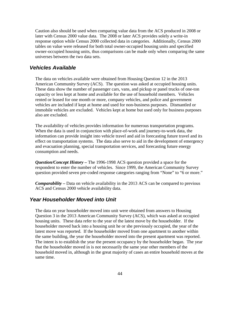Caution also should be used when comparing value data from the ACS produced in 2008 or later with Census 2000 value data. The 2008 or later ACS provides solely a write-in response option while Census 2000 collected data in categories. Additionally, Census 2000 tables on value were released for both total owner-occupied housing units and specified owner-occupied housing units, thus comparisons can be made only when comparing the same universes between the two data sets.

# *Vehicles Available*

The data on vehicles available were obtained from Housing Question 12 in the 2013 American Community Survey (ACS). The question was asked at occupied housing units. These data show the number of passenger cars, vans, and pickup or panel trucks of one-ton capacity or less kept at home and available for the use of household members. Vehicles rented or leased for one month or more, company vehicles, and police and government vehicles are included if kept at home and used for non-business purposes. Dismantled or immobile vehicles are excluded. Vehicles kept at home but used only for business purposes also are excluded.

The availability of vehicles provides information for numerous transportation programs. When the data is used in conjunction with place-of-work and journey-to-work data, the information can provide insight into vehicle travel and aid in forecasting future travel and its effect on transportation systems. The data also serve to aid in the development of emergency and evacuation planning, special transportation services, and forecasting future energy consumption and needs.

*Question/Concept History –* The 1996-1998 ACS question provided a space for the respondent to enter the number of vehicles. Since 1999, the American Community Survey question provided seven pre-coded response categories ranging from "None" to "6 or more."

*Comparability –* Data on vehicle availability in the 2013 ACS can be compared to previous ACS and Census 2000 vehicle availability data.

#### *Year Householder Moved into Unit*

The data on year householder moved into unit were obtained from answers to Housing Question 3 in the 2013 American Community Survey (ACS), which was asked at occupied housing units. These data refer to the year of the latest move by the householder. If the householder moved back into a housing unit he or she previously occupied, the year of the latest move was reported. If the householder moved from one apartment to another within the same building, the year the householder moved into the present apartment was reported. The intent is to establish the year the present occupancy by the householder began. The year that the householder moved in is not necessarily the same year other members of the household moved in, although in the great majority of cases an entire household moves at the same time.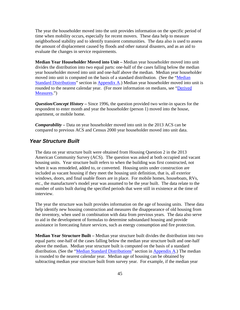The year the householder moved into the unit provides information on the specific period of time when mobility occurs, especially for recent movers. These data help to measure neighborhood stability and to identify transient communities. The data also is used to assess the amount of displacement caused by floods and other natural disasters, and as an aid to evaluate the changes in service requirements.

**Median Year Householder Moved into Unit –** Median year householder moved into unit divides the distribution into two equal parts: one-half of the cases falling below the median year householder moved into unit and one-half above the median. Median year householder moved into unit is computed on the basis of a standard distribution. (See the ["Median](#page-144-0)  [Standard Distributions"](#page-144-0) section in [Appendix A.](#page-137-0)) Median year householder moved into unit is rounded to the nearest calendar year. (For more information on medians, see "Derived [Measures.](#page-130-0)")

*Question/Concept History –* Since 1996, the question provided two write-in spaces for the respondent to enter month and year the householder (person 1) moved into the house, apartment, or mobile home.

*Comparability –* Data on year householder moved into unit in the 2013 ACS can be compared to previous ACS and Census 2000 year householder moved into unit data.

# *Year Structure Built*

The data on year structure built were obtained from Housing Question 2 in the 2013 American Community Survey (ACS). The question was asked at both occupied and vacant housing units. Year structure built refers to when the building was first constructed, not when it was remodeled, added to, or converted. Housing units under construction are included as vacant housing if they meet the housing unit definition, that is, all exterior windows, doors, and final usable floors are in place. For mobile homes, houseboats, RVs, etc., the manufacturer's model year was assumed to be the year built. The data relate to the number of units built during the specified periods that were still in existence at the time of interview.

The year the structure was built provides information on the age of housing units. These data help identify new housing construction and measures the disappearance of old housing from the inventory, when used in combination with data from previous years. The data also serve to aid in the development of formulas to determine substandard housing and provide assistance in forecasting future services, such as energy consumption and fire protection.

**Median Year Structure Built –** Median year structure built divides the distribution into two equal parts: one-half of the cases falling below the median year structure built and one-half above the median. Median year structure built is computed on the basis of a standard distribution. (See the ["Median Standard Distributions"](#page-144-0) section in [Appendix A.](#page-137-0)) The median is rounded to the nearest calendar year. Median age of housing can be obtained by subtracting median year structure built from survey year. For example, if the median year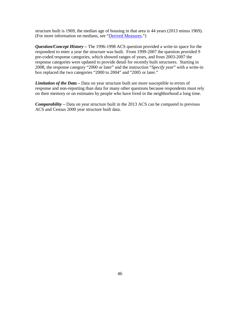structure built is 1969, the median age of housing in that area is 44 years (2013 minus 1969). (For more information on medians, see ["Derived Measures.](#page-130-0)")

*Question/Concept History –* The 1996-1998 ACS question provided a write-in space for the respondent to enter a year the structure was built. From 1999-2007 the question provided 9 pre-coded response categories, which showed ranges of years, and from 2003-2007 the response categories were updated to provide detail for recently built structures. Starting in 2008, the response category "2000 or later" and the instruction "*Specify year*" with a write-in box replaced the two categories "2000 to 2004" and "2005 or later."

*Limitation of the Data* **–** Data on year structure built are more susceptible to errors of response and non-reporting than data for many other questions because respondents must rely on their memory or on estimates by people who have lived in the neighborhood a long time.

*Comparability –* Data on year structure built in the 2013 ACS can be compared to previous ACS and Census 2000 year structure built data.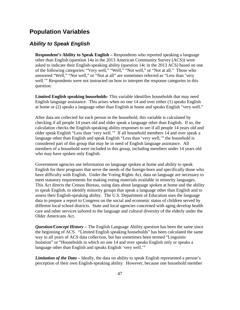# **Population Variables**

# *Ability to Speak English*

**Respondent's Ability to Speak English –** Respondents who reported speaking a language other than English (question 14a in the 2013 American Community Survey (ACS)) were asked to indicate their English-speaking ability (question 14c in the 2013 ACS) based on one of the following categories: "Very well," "Well," "Not well," or "Not at all." Those who answered "Well," "Not well," or "Not at all" are sometimes referred as "Less than 'very well.'" Respondents were not instructed on how to interpret the response categories in this question.

**Limited English speaking households-** This variable identifies households that may need English language assistance. This arises when no one 14 and over either (1) speaks English at home or (2) speaks a language other than English at home and speaks English "very well."

After data are collected for each person in the household, this variable is calculated by checking if all people 14 years old and older speak a language other than English. If so, the calculation checks the English-speaking ability responses to see if all people 14 years old and older speak English "Less than 'very well.'" If all household members 14 and over speak a language other than English and speak English "Less than 'very well,'" the household is considered part of this group that may be in need of English language assistance. All members of a household were included in this group, including members under 14 years old who may have spoken only English.

Government agencies use information on language spoken at home and ability to speak English for their programs that serve the needs of the foreign-born and specifically those who have difficulty with English. Under the Voting Rights Act, data on language are necessary to meet statutory requirements for making voting materials available in minority languages. This Act directs the Census Bureau, using data about language spoken at home and the ability to speak English, to identify minority groups that speak a language other than English and to assess their English-speaking ability. The U.S. Department of Education uses the language data to prepare a report to Congress on the social and economic status of children served by different local school districts. State and local agencies concerned with aging develop health care and other services tailored to the language and cultural diversity of the elderly under the Older Americans Act.

*Question/Concept History –* The English Language Ability question has been the same since the beginning of ACS. "Limited English speaking households" has been calculated the same way in all years of ACS data collection, but has sometimes been termed "Linguistic Isolation" or "Households in which no one 14 and over speaks English only or speaks a language other than English and speaks English 'very well.'"

*Limitation of the Data* – Ideally, the data on ability to speak English represented a person's perception of their own English-speaking ability. However, because one household member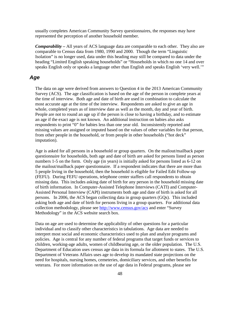usually completes American Community Survey questionnaires, the responses may have represented the perception of another household member.

*Comparability –* All years of ACS language data are comparable to each other. They also are comparable to Census data from 1980, 1990 and 2000. Though the term "Linguistic Isolation" is no longer used, data under this heading may still be compared to data under the heading "Limited English speaking households" or "Households in which no one 14 and over speaks English only or speaks a language other than English and speaks English 'very well.'"

# *Age*

The data on age were derived from answers to Question 4 in the 2013 American Community Survey (ACS). The age classification is based on the age of the person in complete years at the time of interview. Both age and date of birth are used in combination to calculate the most accurate age at the time of the interview. Respondents are asked to give an age in whole, completed years as of interview date as well as the month, day and year of birth. People are not to round an age up if the person is close to having a birthday, and to estimate an age if the exact age is not known. An additional instruction on babies also asks respondents to print "0" for babies less than one year old. Inconsistently reported and missing values are assigned or imputed based on the values of other variables for that person, from other people in the household, or from people in other households ("hot deck" imputation).

Age is asked for all persons in a household or group quarters. On the mailout/mailback paper questionnaire for households, both age and date of birth are asked for persons listed as person numbers 1-5 on the form. Only age (in years) is initially asked for persons listed as 6-12 on the mailout/mailback paper questionnaire. If a respondent indicates that there are more than 5 people living in the household, then the household is eligible for Failed Edit Follow-up (FEFU). During FEFU operations, telephone center staffers call respondents to obtain missing data. This includes asking date of birth for any person in the household missing date of birth information. In Computer-Assisted Telephone Interviews (CATI) and Computer-Assisted Personal Interview (CAPI) instruments both age and date of birth is asked for all persons. In 2006, the ACS began collecting data in group quarters (GQs). This included asking both age and date of birth for persons living in a group quarters. For additional data collection methodology, please see<http://www.census.gov/acs> and enter "Survey Methodology" in the ACS website search box.

Data on age are used to determine the applicability of other questions for a particular individual and to classify other characteristics in tabulations. Age data are needed to interpret most social and economic characteristics used to plan and analyze programs and policies. Age is central for any number of federal programs that target funds or services to children, working-age adults, women of childbearing age, or the older population. The U.S. Department of Education uses census age data in its formula for allotment to states. The U.S. Department of Veterans Affairs uses age to develop its mandated state projections on the need for hospitals, nursing homes, cemeteries, domiciliary services, and other benefits for veterans. For more information on the use of age data in Federal programs, please see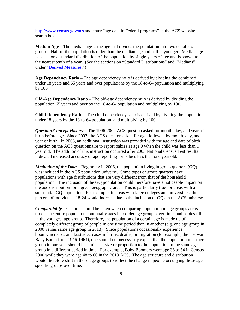<http://www.census.gov/acs> and enter "age data in Federal programs" in the ACS website search box.

**Median Age** – The median age is the age that divides the population into two equal-size groups. Half of the population is older than the median age and half is younger. Median age is based on a standard distribution of the population by single years of age and is shown to the nearest tenth of a year. (See the sections on "Standard Distributions" and "Medians" under ["Derived Measures.](#page-130-0)")

**Age Dependency Ratio –** The age dependency ratio is derived by dividing the combined under 18 years and 65 years and over populations by the 18-to-64 population and multiplying by 100.

**Old-Age Dependency Ratio** – The old-age dependency ratio is derived by dividing the population 65 years and over by the 18-to-64 population and multiplying by 100.

**Child Dependency Ratio** – The child dependency ratio is derived by dividing the population under 18 years by the 18-to-64 population, and multiplying by 100.

*Question/Concept History –* The 1996-2002 ACS question asked for month, day, and year of birth before age. Since 2003, the ACS question asked for age, followed by month, day, and year of birth. In 2008, an additional instruction was provided with the age and date of birth question on the ACS questionnaire to report babies as age 0 when the child was less than 1 year old. The addition of this instruction occurred after 2005 National Census Test results indicated increased accuracy of age reporting for babies less than one year old.

*Limitation of the Data* – Beginning in 2006, the population living in group quarters (GQ) was included in the ACS population universe. Some types of group quarters have populations with age distributions that are very different from that of the household population. The inclusion of the GQ population could therefore have a noticeable impact on the age distribution for a given geographic area. This is particularly true for areas with a substantial GQ population. For example, in areas with large colleges and universities, the percent of individuals 18-24 would increase due to the inclusion of GQs in the ACS universe.

*Comparability –* Caution should be taken when comparing population in age groups across time. The entire population continually ages into older age groups over time, and babies fill in the youngest age group. Therefore, the population of a certain age is made up of a completely different group of people in one time period than in another (e.g. one age group in 2000 versus same age group in 2013). Since populations occasionally experience booms/increases and busts/decreases in births, deaths, or migration (for example, the postwar Baby Boom from 1946-1964), one should not necessarily expect that the population in an age group in one year should be similar in size or proportion to the population in the same age group in a different period in time. For example, Baby Boomers were age 36 to 54 in Census 2000 while they were age 48 to 66 in the 2013 ACS. The age structure and distribution would therefore shift in those age groups to reflect the change in people occupying those agespecific groups over time.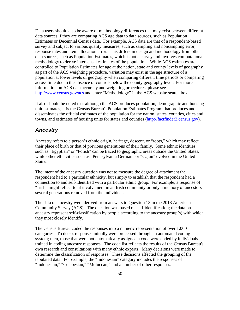Data users should also be aware of methodology differences that may exist between different data sources if they are comparing ACS age data to data sources, such as Population Estimates or Decennial Census data. For example, ACS data are that of a respondent-based survey and subject to various quality measures, such as sampling and nonsampling error, response rates and item allocation error. This differs in design and methodology from other data sources, such as Population Estimates, which is not a survey and involves computational methodology to derive intercensal estimates of the population. While ACS estimates are controlled to Population Estimates for age at the nation, state and county levels of geography as part of the ACS weighting procedure, variation may exist in the age structure of a population at lower levels of geography when comparing different time periods or comparing across time due to the absence of controls below the county geography level. For more information on ACS data accuracy and weighting procedures, please see <http://www.census.gov/acs> and enter "Methodology" in the ACS website search box.

It also should be noted that although the ACS produces population, demographic and housing unit estimates, it is the Census Bureau's Population Estimates Program that produces and disseminates the official estimates of the population for the nation, states, counties, cities and towns, and estimates of housing units for states and counties [\(http://factfinder2.census.gov\)](http://factfinder2.census.gov/).

#### *Ancestry*

Ancestry refers to a person's ethnic origin, heritage, descent, or "roots," which may reflect their place of birth or that of previous generations of their family. Some ethnic identities, such as "Egyptian" or "Polish" can be traced to geographic areas outside the United States, while other ethnicities such as "Pennsylvania German" or "Cajun" evolved in the United States.

The intent of the ancestry question was not to measure the degree of attachment the respondent had to a particular ethnicity, but simply to establish that the respondent had a connection to and self-identified with a particular ethnic group. For example, a response of "Irish" might reflect total involvement in an Irish community or only a memory of ancestors several generations removed from the individual.

The data on ancestry were derived from answers to Question 13 in the 2013 American Community Survey (ACS). The question was based on self-identification; the data on ancestry represent self-classification by people according to the ancestry group(s) with which they most closely identify.

The Census Bureau coded the responses into a numeric representation of over 1,000 categories. To do so, responses initially were processed through an automated coding system; then, those that were not automatically assigned a code were coded by individuals trained in coding ancestry responses. The code list reflects the results of the Census Bureau's own research and consultations with many ethnic experts. Many decisions were made to determine the classification of responses. These decisions affected the grouping of the tabulated data. For example, the "Indonesian" category includes the responses of "Indonesian," "Celebesian," "Moluccan," and a number of other responses.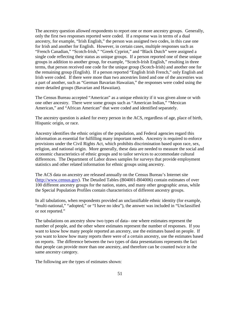The ancestry question allowed respondents to report one or more ancestry groups. Generally, only the first two responses reported were coded. If a response was in terms of a dual ancestry, for example, "Irish English," the person was assigned two codes, in this case one for Irish and another for English. However, in certain cases, multiple responses such as "French Canadian," "Scotch-Irish," "Greek Cypriot," and "Black Dutch" were assigned a single code reflecting their status as unique groups. If a person reported one of these unique groups in addition to another group, for example, "Scotch-Irish English," resulting in three terms, that person received one code for the unique group (Scotch-Irish) and another one for the remaining group (English). If a person reported "English Irish French," only English and Irish were coded. If there were more than two ancestries listed and one of the ancestries was a part of another, such as "German Bavarian Hawaiian," the responses were coded using the more detailed groups (Bavarian and Hawaiian).

The Census Bureau accepted "American" as a unique ethnicity if it was given alone or with one other ancestry. There were some groups such as "American Indian," "Mexican American," and "African American" that were coded and identified separately.

The ancestry question is asked for every person in the ACS, regardless of age, place of birth, Hispanic origin, or race.

Ancestry identifies the ethnic origins of the population, and Federal agencies regard this information as essential for fulfilling many important needs. Ancestry is required to enforce provisions under the Civil Rights Act, which prohibits discrimination based upon race, sex, religion, and national origin. More generally, these data are needed to measure the social and economic characteristics of ethnic groups and to tailor services to accommodate cultural differences. The Department of Labor draws samples for surveys that provide employment statistics and other related information for ethnic groups using ancestry.

The ACS data on ancestry are released annually on the Census Bureau's Internet site [\(http://www.census.gov\)](http://www.census.gov/). The Detailed Tables (B04001-B04006) contain estimates of over 100 different ancestry groups for the nation, states, and many other geographic areas, while the Special Population Profiles contain characteristics of different ancestry groups.

In all tabulations, when respondents provided an unclassifiable ethnic identity (for example, "multi-national," "adopted," or "I have no idea"), the answer was included in "Unclassified or not reported."

The tabulations on ancestry show two types of data– one where estimates represent the number of people, and the other where estimates represent the number of responses. If you want to know how many people reported an ancestry, use the estimates based on people. If you want to know how many reports there were of a certain ancestry, use the estimates based on reports. The difference between the two types of data presentations represents the fact that people can provide more than one ancestry, and therefore can be counted twice in the same ancestry category.

The following are the types of estimates shown: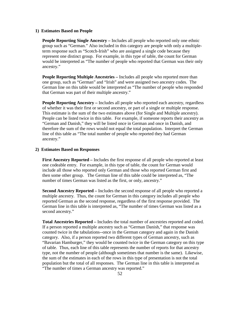#### **1) Estimates Based on People**

**People Reporting Single Ancestry –** Includes all people who reported only one ethnic group such as "German." Also included in this category are people with only a multipleterm response such as "Scotch-Irish" who are assigned a single code because they represent one distinct group. For example, in this type of table, the count for German would be interpreted as "The number of people who reported that German was their only ancestry."

**People Reporting Multiple Ancestries –** Includes all people who reported more than one group, such as "German" and "Irish" and were assigned two ancestry codes. The German line on this table would be interpreted as "The number of people who responded that German was part of their multiple ancestry."

**People Reporting Ancestry** – Includes all people who reported each ancestry, regardless of whether it was their first or second ancestry, or part of a single or multiple response. This estimate is the sum of the two estimates above (for Single and Multiple ancestry). People can be listed twice in this table. For example, if someone reports their ancestry as "German and Danish," they will be listed once in German and once in Danish, and therefore the sum of the rows would not equal the total population. Interpret the German line of this table as "The total number of people who reported they had German ancestry."

#### **2) Estimates Based on Responses**

**First Ancestry Reported –** Includes the first response of all people who reported at least one codeable entry. For example, in this type of table, the count for German would include all those who reported only German and those who reported German first and then some other group. The German line of this table could be interpreted as, "The number of times German was listed as the first, or only, ancestry."

**Second Ancestry Reported –** Includes the second response of all people who reported a multiple ancestry. Thus, the count for German in this category includes all people who reported German as the second response, regardless of the first response provided. The German line in this table is interpreted as, "The number of times German was listed as a second ancestry."

**Total Ancestries Reported –** Includes the total number of ancestries reported and coded. If a person reported a multiple ancestry such as "German Danish," that response was counted twice in the tabulations--once in the German category and again in the Danish category. Also, if a person reported two different types of German ancestry, such as "Bavarian Hamburger," they would be counted twice in the German category on this type of table. Thus, each line of this table represents the number of reports for that ancestry type, not the number of people (although sometimes that number is the same). Likewise, the sum of the estimates in each of the rows in this type of presentation is not the total population but the total of all responses. The German line in this table is interpreted as "The number of times a German ancestry was reported."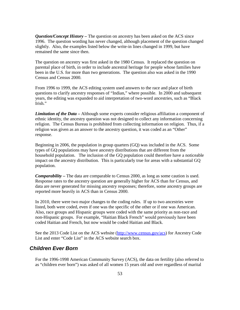*Question/Concept History –* The question on ancestry has been asked on the ACS since 1996. The question wording has never changed, although placement of the question changed slightly. Also, the examples listed below the write-in lines changed in 1999, but have remained the same since then.

The question on ancestry was first asked in the 1980 Census. It replaced the question on parental place of birth, in order to include ancestral heritage for people whose families have been in the U.S. for more than two generations. The question also was asked in the 1990 Census and Census 2000.

From 1996 to 1999, the ACS editing system used answers to the race and place of birth questions to clarify ancestry responses of "Indian," where possible. In 2000 and subsequent years, the editing was expanded to aid interpretation of two-word ancestries, such as "Black Irish."

*Limitation of the Data* **–** Although some experts consider religious affiliation a component of ethnic identity, the ancestry question was not designed to collect any information concerning religion. The Census Bureau is prohibited from collecting information on religion. Thus, if a religion was given as an answer to the ancestry question, it was coded as an "Other" response.

Beginning in 2006, the population in group quarters (GQ) was included in the ACS. Some types of GQ populations may have ancestry distributions that are different from the household population. The inclusion of the GQ population could therefore have a noticeable impact on the ancestry distribution. This is particularly true for areas with a substantial GQ population.

*Comparability* **–** The data are comparable to Census 2000, as long as some caution is used. Response rates to the ancestry question are generally higher for ACS than for Census, and data are never generated for missing ancestry responses; therefore, some ancestry groups are reported more heavily in ACS than in Census 2000.

In 2010, there were two major changes to the coding rules. If up to two ancestries were listed, both were coded, even if one was the specific of the other or if one was American. Also, race groups and Hispanic groups were coded with the same priority as non-race and non-Hispanic groups. For example, "Haitian Black French" would previously have been coded Haitian and French, but now would be coded Haitian and Black.

See the 2013 Code List on the ACS website [\(http://www.census.gov/acs\)](http://www.census.gov/acs) for Ancestry Code List and enter "Code List" in the ACS website search box.

# <span id="page-52-0"></span>*Children Ever Born*

For the 1996-1998 American Community Survey (ACS), the data on fertility (also referred to as "children ever born") was asked of all women 15 years old and over regardless of marital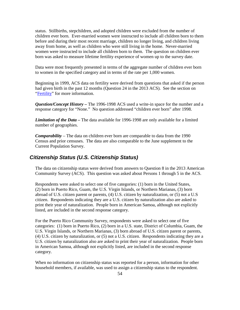status. Stillbirths, stepchildren, and adopted children were excluded from the number of children ever born. Ever-married women were instructed to include all children born to them before and during their most recent marriage, children no longer living, and children living away from home, as well as children who were still living in the home. Never-married women were instructed to include all children born to them. The question on children ever born was asked to measure lifetime fertility experience of women up to the survey date.

Data were most frequently presented in terms of the aggregate number of children ever born to women in the specified category and in terms of the rate per 1,000 women.

Beginning in 1999, ACS data on fertility were derived from questions that asked if the person had given birth in the past 12 months (Question 24 in the 2013 ACS). See the section on ["Fertility"](#page-66-0) for more information.

*Question/Concept History –* The 1996-1998 ACS used a write-in space for the number and a response category for "None." No question addressed "children ever born" after 1998.

*Limitation of the Data –* The data available for 1996-1998 are only available for a limited number of geographies.

*Comparability* – The data on children ever born are comparable to data from the 1990 Census and prior censuses. The data are also comparable to the June supplement to the Current Population Survey.

# <span id="page-53-0"></span>*Citizenship Status (U.S. Citizenship Status)*

The data on citizenship status were derived from answers to Question 8 in the 2013 American Community Survey (ACS). This question was asked about Persons 1 through 5 in the ACS.

Respondents were asked to select one of five categories: (1) born in the United States, (2) born in Puerto Rico, Guam, the U.S. Virgin Islands, or Northern Marianas, (3) born abroad of U.S. citizen parent or parents, (4) U.S. citizen by naturalization, or (5) not a U.S citizen. Respondents indicating they are a U.S. citizen by naturalization also are asked to print their year of naturalization. People born in American Samoa, although not explicitly listed, are included in the second response category.

For the Puerto Rico Community Survey, respondents were asked to select one of five categories: (1) born in Puerto Rico, (2) born in a U.S. state, District of Columbia, Guam, the U.S. Virgin Islands, or Northern Marianas, (3) born abroad of U.S. citizen parent or parents, (4) U.S. citizen by naturalization, or (5) not a U.S. citizen. Respondents indicating they are a U.S. citizen by naturalization also are asked to print their year of naturalization. People born in American Samoa, although not explicitly listed, are included in the second response category.

When no information on citizenship status was reported for a person, information for other household members, if available, was used to assign a citizenship status to the respondent.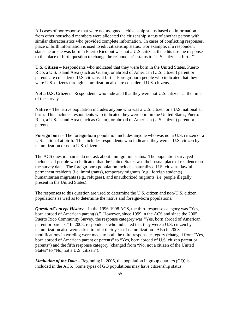All cases of nonresponse that were not assigned a citizenship status based on information from other household members were allocated the citizenship status of another person with similar characteristics who provided complete information. In cases of conflicting responses, place of birth information is used to edit citizenship status. For example, if a respondent states he or she was born in Puerto Rico but was not a U.S. citizen, the edits use the response to the place of birth question to change the respondent's status to "U.S. citizen at birth."

**U.S. Citizen –** Respondents who indicated that they were born in the United States, Puerto Rico, a U.S. Island Area (such as Guam), or abroad of American (U.S. citizen) parent or parents are considered U.S. citizens at birth. Foreign-born people who indicated that they were U.S. citizens through naturalization also are considered U.S. citizens.

**Not a U.S. Citizen –** Respondents who indicated that they were not U.S. citizens at the time of the survey.

**Native –** The native population includes anyone who was a U.S. citizen or a U.S. national at birth. This includes respondents who indicated they were born in the United States, Puerto Rico, a U.S. Island Area (such as Guam), or abroad of American (U.S. citizen) parent or parents.

**Foreign born –** The foreign-born population includes anyone who was not a U.S. citizen or a U.S. national at birth. This includes respondents who indicated they were a U.S. citizen by naturalization or not a U.S. citizen.

The ACS questionnaires do not ask about immigration status. The population surveyed includes all people who indicated that the United States was their usual place of residence on the survey date. The foreign-born population includes naturalized U.S. citizens, lawful permanent residents (i.e. immigrants), temporary migrants (e.g., foreign students), humanitarian migrants (e.g., refugees), and unauthorized migrants (i.e. people illegally present in the United States).

The responses to this question are used to determine the U.S. citizen and non-U.S. citizen populations as well as to determine the native and foreign-born populations.

*Question/Concept History* – In the 1996-1998 ACS, the third response category was "Yes, born abroad of American parent(s)." However, since 1999 in the ACS and since the 2005 Puerto Rico Community Survey, the response category was "Yes, born abroad of American parent or parents." In 2008, respondents who indicated that they were a U.S. citizen by naturalization also were asked to print their year of naturalization. Also in 2008, modifications in wording were made to both the third response category (changed from "Yes, born abroad of American parent or parents" to "Yes, born abroad of U.S. citizen parent or parents") and the fifth response category (changed from "No, not a citizen of the United States" to "No, not a U.S. citizen").

*Limitation of the Data* – Beginning in 2006, the population in group quarters (GQ) is included in the ACS. Some types of GQ populations may have citizenship status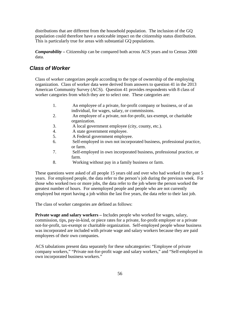distributions that are different from the household population. The inclusion of the GQ population could therefore have a noticeable impact on the citizenship status distribution. This is particularly true for areas with substantial GQ populations.

*Comparability –* Citizenship can be compared both across ACS years and to Census 2000 data.

# *Class of Worker*

Class of worker categorizes people according to the type of ownership of the employing organization. Class of worker data were derived from answers to question 41 in the 2013 American Community Survey (ACS). Question 41 provides respondents with 8 class of worker categories from which they are to select one. These categories are:

- 1. An employee of a private, for-profit company or business, or of an individual, for wages, salary, or commissions.
- 2. An employee of a private, not-for-profit, tax-exempt, or charitable organization.
- 3. A local government employee (city, county, etc.).
- 4. A state government employee.
- 5. A Federal government employee.
- 6. Self-employed in own not incorporated business, professional practice, or farm.
- 7. Self-employed in own incorporated business, professional practice, or farm.
- 8. Working without pay in a family business or farm.

These questions were asked of all people 15 years old and over who had worked in the past 5 years. For employed people, the data refer to the person's job during the previous week. For those who worked two or more jobs, the data refer to the job where the person worked the greatest number of hours. For unemployed people and people who are not currently employed but report having a job within the last five years, the data refer to their last job.

The class of worker categories are defined as follows:

**Private wage and salary workers –** Includes people who worked for wages, salary, commission, tips, pay-in-kind, or piece rates for a private, for-profit employer or a private not-for-profit, tax-exempt or charitable organization. Self-employed people whose business was incorporated are included with private wage and salary workers because they are paid employees of their own companies.

ACS tabulations present data separately for these subcategories: "Employee of private company workers," "Private not-for-profit wage and salary workers," and "Self-employed in own incorporated business workers."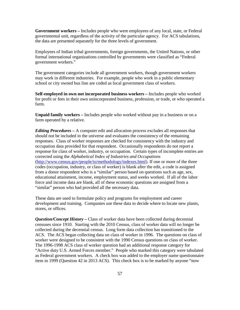**Government workers –** Includes people who were employees of any local, state, or Federal governmental unit, regardless of the activity of the particular agency. For ACS tabulations, the data are presented separately for the three levels of government.

Employees of Indian tribal governments, foreign governments, the United Nations, or other formal international organizations controlled by governments were classified as "Federal government workers."

The government categories include all government workers, though government workers may work in different industries. For example, people who work in a public elementary school or city owned bus line are coded as local government class of workers.

**Self-employed in own not incorporated business workers –** Includes people who worked for profit or fees in their own unincorporated business, profession, or trade, or who operated a farm.

**Unpaid family workers** *–* Includes people who worked without pay in a business or on a farm operated by a relative.

*Editing Procedures –* A computer edit and allocation process excludes all responses that should not be included in the universe and evaluates the consistency of the remaining responses. Class of worker responses are checked for consistency with the industry and occupation data provided for that respondent. Occasionally respondents do not report a response for class of worker, industry, or occupation. Certain types of incomplete entries are corrected using the *Alphabetical Index of Industries and Occupations* [\(http://www.census.gov/people/io/methodology/indexes.html\)](http://www.census.gov/people/io/methodology/indexes.html). If one or more of the three codes (occupation, industry, or class of worker) is blank after the edit, a code is assigned from a donor respondent who is a "similar" person based on questions such as age, sex, educational attainment, income, employment status, and weeks worked. If all of the labor force and income data are blank, all of these economic questions are assigned from a "similar" person who had provided all the necessary data.

These data are used to formulate policy and programs for employment and career development and training. Companies use these data to decide where to locate new plants, stores, or offices.

*Question/Concept History –* Class of worker data have been collected during decennial censuses since 1910. Starting with the 2010 Census, class of worker data will no longer be collected during the decennial census. Long form data collection has transitioned to the ACS. The ACS began collecting data on class of worker in 1996. The questions on class of worker were designed to be consistent with the 1990 Census questions on class of worker. The 1996-1998 ACS class of worker question had an additional response category for "Active duty U.S. Armed Forces member." People who marked this category were tabulated as Federal government workers. A check box was added to the employer name questionnaire item in 1999 (Question 42 in 2013 ACS). This check box is to be marked by anyone "now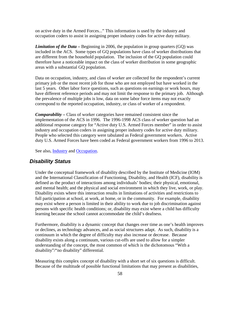on active duty in the Armed Forces..." This information is used by the industry and occupation coders to assist in assigning proper industry codes for active duty military.

*Limitation of the Data* – Beginning in 2006, the population in group quarters (GQ) was included in the ACS. Some types of GQ populations have class of worker distributions that are different from the household population. The inclusion of the GQ population could therefore have a noticeable impact on the class of worker distribution in some geographic areas with a substantial GQ population.

Data on occupation, industry, and class of worker are collected for the respondent's current primary job or the most recent job for those who are not employed but have worked in the last 5 years. Other labor force questions, such as questions on earnings or work hours, may have different reference periods and may not limit the response to the primary job. Although the prevalence of multiple jobs is low, data on some labor force items may not exactly correspond to the reported occupation, industry, or class of worker of a respondent.

*Comparability –* Class of worker categories have remained consistent since the implementation of the ACS in 1996. The 1996-1998 ACS class of worker question had an additional response category for "Active duty U.S. Armed Forces member" in order to assist industry and occupation coders in assigning proper industry codes for active duty military. People who selected this category were tabulated as Federal government workers. Active duty U.S. Armed Forces have been coded as Federal government workers from 1996 to 2013.

See also, [Industry](#page-86-0) and [Occupation.](#page-99-0)

#### *Disability Status*

Under the conceptual framework of disability described by the Institute of Medicine (IOM) and the International Classification of Functioning, Disability, and Health (ICF), disability is defined as the product of interactions among individuals' bodies; their physical, emotional, and mental health; and the physical and social environment in which they live, work, or play. Disability exists where this interaction results in limitations of activities and restrictions to full participation at school, at work, at home, or in the community. For example, disability may exist where a person is limited in their ability to work due to job discrimination against persons with specific health conditions; or, disability may exist where a child has difficulty learning because the school cannot accommodate the child's deafness.

Furthermore, disability is a dynamic concept that changes over time as one's health improves or declines, as technology advances, and as social structures adapt. As such, disability is a continuum in which the degree of difficulty may also increase or decrease. Because disability exists along a continuum, various cut-offs are used to allow for a simpler understanding of the concept, the most common of which is the dichotomous "With a disability"/"no disability" differential.

Measuring this complex concept of disability with a short set of six questions is difficult. Because of the multitude of possible functional limitations that may present as disabilities,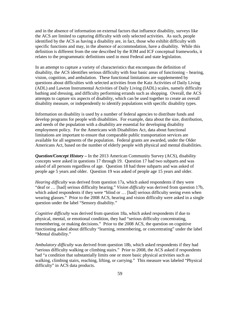and in the absence of information on external factors that influence disability, surveys like the ACS are limited to capturing difficulty with only selected activities. As such, people identified by the ACS as having a disability are, in fact, those who exhibit difficulty with specific functions and may, in the absence of accommodation, have a disability. While this definition is different from the one described by the IOM and ICF conceptual frameworks, it relates to the programmatic definitions used in most Federal and state legislation.

In an attempt to capture a variety of characteristics that encompass the definition of disability, the ACS identifies serious difficulty with four basic areas of functioning – hearing, vision, cognition, and ambulation. These functional limitations are supplemented by questions about difficulties with selected activities from the Katz Activities of Daily Living (ADL) and Lawton Instrumental Activities of Daily Living (IADL) scales, namely difficulty bathing and dressing, and difficulty performing errands such as shopping. Overall, the ACS attempts to capture six aspects of disability, which can be used together to create an overall disability measure, or independently to identify populations with specific disability types.

Information on disability is used by a number of federal agencies to distribute funds and develop programs for people with disabilities. For example, data about the size, distribution, and needs of the population with a disability are essential for developing disability employment policy. For the Americans with Disabilities Act, data about functional limitations are important to ensure that comparable public transportation services are available for all segments of the population. Federal grants are awarded, under the Older Americans Act, based on the number of elderly people with physical and mental disabilities.

*Question/Concept History* – In the 2013 American Community Survey (ACS), disability concepts were asked in questions 17 through 19. Question 17 had two subparts and was asked of all persons regardless of age. Question 18 had three subparts and was asked of people age 5 years and older. Question 19 was asked of people age 15 years and older.

*Hearing difficulty* was derived from question 17a, which asked respondents if they were "deaf or … [had] serious difficulty hearing." *Vision difficulty* was derived from question 17b, which asked respondents if they were "blind or ... [had] serious difficulty seeing even when wearing glasses." Prior to the 2008 ACS, hearing and vision difficulty were asked in a single question under the label "Sensory disability."

*Cognitive difficulty* was derived from question 18a, which asked respondents if due to physical, mental, or emotional condition, they had "serious difficulty concentrating, remembering, or making decisions." Prior to the 2008 ACS, the question on cognitive functioning asked about difficulty "learning, remembering, or concentrating" under the label "Mental disability."

*Ambulatory difficulty* was derived from question 18b, which asked respondents if they had "serious difficulty walking or climbing stairs." Prior to 2008, the ACS asked if respondents had "a condition that substantially limits one or more basic physical activities such as walking, climbing stairs, reaching, lifting, or carrying." This measure was labeled "Physical difficulty" in ACS data products.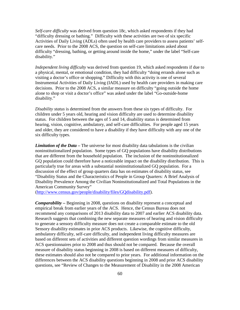*Self-care difficulty* was derived from question 18c, which asked respondents if they had "difficulty dressing or bathing." Difficulty with these activities are two of six specific Activities of Daily Living (ADLs) often used by health care providers to assess patients' selfcare needs. Prior to the 2008 ACS, the question on self-care limitations asked about difficulty "dressing, bathing, or getting around inside the home," under the label "Self-care disability."

*Independent living difficulty* was derived from question 19, which asked respondents if due to a physical, mental, or emotional condition, they had difficulty "doing errands alone such as visiting a doctor's office or shopping." Difficulty with this activity is one of several Instrumental Activities of Daily Living (IADL) used by health care providers in making care decisions. Prior to the 2008 ACS, a similar measure on difficulty "going outside the home alone to shop or visit a doctor's office" was asked under the label "Go-outside-home disability."

*Disability status* is determined from the answers from these six types of difficulty. For children under 5 years old, hearing and vision difficulty are used to determine disability status. For children between the ages of 5 and 14, disability status is determined from hearing, vision, cognitive, ambulatory, and self-care difficulties. For people aged 15 years and older, they are considered to have a disability if they have difficulty with any one of the six difficulty types.

*Limitation of the Data* – The universe for most disability data tabulations is the civilian noninstitutionalized population. Some types of GQ populations have disability distributions that are different from the household population. The inclusion of the noninstitutionalized GQ population could therefore have a noticeable impact on the disability distribution. This is particularly true for areas with a substantial noninstitutionalized GQ population. For a discussion of the effect of group quarters data has on estimates of disability status, see "Disability Status and the Characteristics of People in Group Quarters: A Brief Analysis of Disability Prevalence Among the Civilian Noninstitutionalized and Total Populations in the American Community Survey"

[\(http://www.census.gov/people/disability/files/GQdisability.pdf\)](http://www.census.gov/people/disability/files/GQdisability.pdf).

*Comparability –* Beginning in 2008, questions on disability represent a conceptual and empirical break from earlier years of the ACS. Hence, the Census Bureau does not recommend any comparisons of 2013 disability data to 2007 and earlier ACS disability data. Research suggests that combining the new separate measures of hearing and vision difficulty to generate a sensory difficulty measure does not create a comparable estimate to the old Sensory disability estimates in prior ACS products. Likewise, the cognitive difficulty, ambulatory difficulty, self-care difficulty, and independent living difficulty measures are based on different sets of activities and different question wordings from similar measures in ACS questionnaires prior to 2008 and thus should not be compared. Because the overall measure of disability status beginning in 2008 is based on different measures of difficulty, these estimates should also not be compared to prior years. For additional information on the differences between the ACS disability questions beginning in 2008 and prior ACS disability questions, see "Review of Changes to the Measurement of Disability in the 2008 American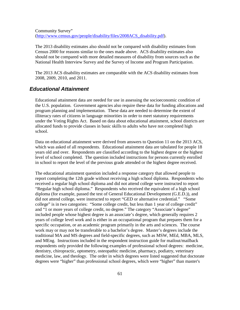Community Survey" [\(http://www.census.gov/people/disability/files/2008ACS\\_disability.pdf\)](http://www.census.gov/people/disability/files/2008ACS_disability.pdf).

The 2013 disability estimates also should not be compared with disability estimates from Census 2000 for reasons similar to the ones made above. ACS disability estimates also should not be compared with more detailed measures of disability from sources such as the National Health Interview Survey and the Survey of Income and Program Participation.

The 2013 ACS disability estimates are comparable with the ACS disability estimates from 2008, 2009, 2010, and 2011.

#### *Educational Attainment*

Educational attainment data are needed for use in assessing the socioeconomic condition of the U.S. population. Government agencies also require these data for funding allocations and program planning and implementation. These data are needed to determine the extent of illiteracy rates of citizens in language minorities in order to meet statutory requirements under the Voting Rights Act. Based on data about educational attainment, school districts are allocated funds to provide classes in basic skills to adults who have not completed high school.

Data on educational attainment were derived from answers to Question 11 on the 2013 ACS, which was asked of all respondents. Educational attainment data are tabulated for people 18 years old and over. Respondents are classified according to the highest degree or the highest level of school completed. The question included instructions for persons currently enrolled in school to report the level of the previous grade attended or the highest degree received.

The educational attainment question included a response category that allowed people to report completing the 12th grade without receiving a high school diploma. Respondents who received a regular high school diploma and did not attend college were instructed to report "Regular high school diploma." Respondents who received the equivalent of a high school diploma (for example, passed the test of General Educational Development (G.E.D.)), and did not attend college, were instructed to report "GED or alternative credential." "Some college" is in two categories: "Some college credit, but less than 1 year of college credit" and "1 or more years of college credit, no degree." The category "Associate's degree" included people whose highest degree is an associate's degree, which generally requires 2 years of college level work and is either in an occupational program that prepares them for a specific occupation, or an academic program primarily in the arts and sciences. The course work may or may not be transferable to a bachelor's degree. Master's degrees include the traditional MA and MS degrees and field-specific degrees, such as MSW, MEd, MBA, MLS, and MEng. Instructions included in the respondent instruction guide for mailout/mailback respondents only provided the following examples of professional school degrees: medicine, dentistry, chiropractic, optometry, osteopathic medicine, pharmacy, podiatry, veterinary medicine, law, and theology. The order in which degrees were listed suggested that doctorate degrees were "higher" than professional school degrees, which were "higher" than master's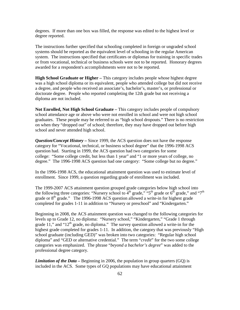degrees. If more than one box was filled, the response was edited to the highest level or degree reported.

The instructions further specified that schooling completed in foreign or ungraded school systems should be reported as the equivalent level of schooling in the regular American system. The instructions specified that certificates or diplomas for training in specific trades or from vocational, technical or business schools were not to be reported. Honorary degrees awarded for a respondent's accomplishments were not to be reported.

**High School Graduate or Higher –** This category includes people whose highest degree was a high school diploma or its equivalent, people who attended college but did not receive a degree, and people who received an associate's, bachelor's, master's, or professional or doctorate degree. People who reported completing the 12th grade but not receiving a diploma are not included.

**Not Enrolled, Not High School Graduate –** This category includes people of compulsory school attendance age or above who were not enrolled in school and were not high school graduates. These people may be referred to as "high school dropouts." There is no restriction on when they "dropped out" of school; therefore, they may have dropped out before high school and never attended high school.

*Question/Concept History –* Since 1999, the ACS question does not have the response category for "Vocational, technical, or business school degree" that the 1996-1998 ACS question had. Starting in 1999, the ACS question had two categories for some college: "Some college credit, but less than 1 year" and "1 or more years of college, no degree." The 1996-1998 ACS question had one category: "Some college but no degree."

In the 1996-1998 ACS, the educational attainment question was used to estimate level of enrollment. Since 1999, a question regarding grade of enrollment was included.

The 1999-2007 ACS attainment question grouped grade categories below high school into the following three categories: "Nursery school to  $4<sup>th</sup>$  grade," "5<sup>th</sup> grade or 6<sup>th</sup> grade," and "7<sup>th</sup> grade or  $8<sup>th</sup>$  grade." The 1996-1998 ACS question allowed a write-in for highest grade completed for grades 1-11 in addition to "Nursery or preschool" and "Kindergarten."

Beginning in 2008, the ACS attainment question was changed to the following categories for levels up to Grade 12, no diploma: "Nursery school," "Kindergarten," "Grade 1 through grade  $11$ ," and " $12<sup>th</sup>$  grade, no diploma." The survey question allowed a write-in for the highest grade completed for grades 1-11. In addition, the category that was previously "High school graduate (including GED)" was broken into two categories: "Regular high school diploma" and "GED or alternative credential." The term "*credit*" for the two some college categories was emphasized. The phrase "*beyond a bachelor's degree*" was added to the professional degree category.

*Limitation of the Data* – Beginning in 2006, the population in group quarters (GQ) is included in the ACS. Some types of GQ populations may have educational attainment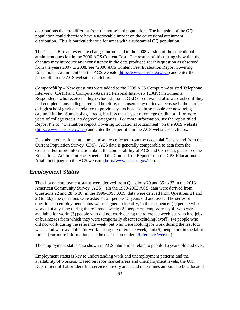distributions that are different from the household population. The inclusion of the GQ population could therefore have a noticeable impact on the educational attainment distribution. This is particularly true for areas with a substantial GQ population.

The Census Bureau tested the changes introduced to the 2008 version of the educational attainment question in the 2006 ACS Content Test. The results of this testing show that the changes may introduce an inconsistency in the data produced for this question as observed from the years 2007 to 2008, see "2006 ACS Content Test Evaluation Report Covering Educational Attainment" on the ACS website [\(http://www.census.gov/acs\)](http://www.census.gov/acs) and enter the paper title in the ACS website search box.

*Comparability –* New questions were added to the 2008 ACS Computer-Assisted Telephone Interview (CATI) and Computer-Assisted Personal Interview (CAPI) instruments. Respondents who received a high school diploma, GED or equivalent also were asked if they had completed any college credit. Therefore, data users may notice a decrease in the number of high school graduates relative to previous years because those people are now being captured in the "Some college credit, but less than 1 year of college credit" or "1 or more years of college credit, no degree" categories. For more information, see the report titled Report P.2.b: "Evaluation Report Covering Educational Attainment" on the ACS website [\(http://www.census.gov/acs\)](http://www.census.gov/acs) and enter the paper title in the ACS website search box.

Data about educational attainment also are collected from the decennial Census and from the Current Population Survey (CPS). ACS data is generally comparable to data from the Census. For more information about the comparability of ACS and CPS data, please see the Educational Attainment Fact Sheet and the Comparison Report from the CPS Educational Attainment page on the ACS website [\(http://www.census.gov/acs\)](http://www.census.gov/acs).

# *Employment Status*

The data on employment status were derived from Questions 29 and 35 to 37 in the 2013 American Community Survey (ACS). (In the 1999-2002 ACS, data were derived from Questions 22 and 28 to 30; in the 1996-1998 ACS, data were derived from Questions 21 and 28 to 30.) The questions were asked of all people 15 years old and over. The series of questions on employment status was designed to identify, in this sequence: (1) people who worked at any time during the reference week; (2) people on temporary layoff who were available for work; (3) people who did not work during the reference week but who had jobs or businesses from which they were temporarily absent (excluding layoff); (4) people who did not work during the reference week, but who were looking for work during the last four weeks and were available for work during the reference week; and (5) people not in the labor force. (For more information, see the discussion under ["Reference Week.](#page-115-0)")

The employment status data shown in ACS tabulations relate to people 16 years old and over.

Employment status is key to understanding work and unemployment patterns and the availability of workers. Based on labor market areas and unemployment levels, the U.S. Department of Labor identifies service delivery areas and determines amounts to be allocated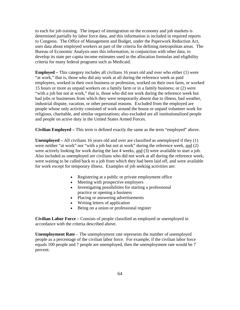to each for job training. The impact of immigration on the economy and job markets is determined partially by labor force data, and this information is included in required reports to Congress. The Office of Management and Budget, under the Paperwork Reduction Act, uses data about employed workers as part of the criteria for defining metropolitan areas. The Bureau of Economic Analysis uses this information, in conjunction with other data, to develop its state per capita income estimates used in the allocation formulas and eligibility criteria for many federal programs such as Medicaid.

**Employed –** This category includes all civilians 16 years old and over who either (1) were "at work," that is, those who did any work at all during the reference week as paid employees, worked in their own business or profession, worked on their own farm, or worked 15 hours or more as unpaid workers on a family farm or in a family business; or (2) were "with a job but not at work," that is, those who did not work during the reference week but had jobs or businesses from which they were temporarily absent due to illness, bad weather, industrial dispute, vacation, or other personal reasons. Excluded from the employed are people whose only activity consisted of work around the house or unpaid volunteer work for religious, charitable, and similar organizations; also excluded are all institutionalized people and people on active duty in the United States Armed Forces.

**Civilian Employed –** This term is defined exactly the same as the term "employed" above.

**Unemployed –** All civilians 16 years old and over are classified as unemployed if they (1) were neither "at work" nor "with a job but not at work" during the reference week, and (2) were actively looking for work during the last 4 weeks, and (3) were available to start a job. Also included as unemployed are civilians who did not work at all during the reference week, were waiting to be called back to a job from which they had been laid off, and were available for work except for temporary illness. Examples of job seeking activities are:

- Registering at a public or private employment office
- Meeting with prospective employers
- Investigating possibilities for starting a professional practice or opening a business
- Placing or answering advertisements
- Writing letters of application
- Being on a union or professional register

**Civilian Labor Force –** Consists of people classified as employed or unemployed in accordance with the criteria described above.

**Unemployment Rate** – The unemployment rate represents the number of unemployed people as a percentage of the civilian labor force. For example, if the civilian labor force equals 100 people and 7 people are unemployed, then the unemployment rate would be 7 percent.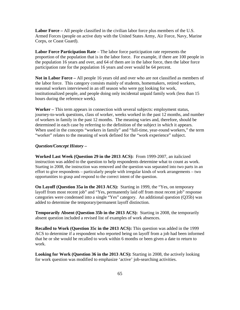**Labor Force –** All people classified in the civilian labor force plus members of the U.S. Armed Forces (people on active duty with the United States Army, Air Force, Navy, Marine Corps, or Coast Guard).

**Labor Force Participation Rate** – The labor force participation rate represents the proportion of the population that is in the labor force. For example, if there are 100 people in the population 16 years and over, and 64 of them are in the labor force, then the labor force participation rate for the population 16 years and over would be 64 percent.

**Not in Labor Force –** All people 16 years old and over who are not classified as members of the labor force. This category consists mainly of students, homemakers, retired workers, seasonal workers interviewed in an off season who were not looking for work, institutionalized people, and people doing only incidental unpaid family work (less than 15 hours during the reference week).

**Worker –** This term appears in connection with several subjects: employment status, journey-to-work questions, class of worker, weeks worked in the past 12 months, and number of workers in family in the past 12 months. The meaning varies and, therefore, should be determined in each case by referring to the definition of the subject in which it appears. When used in the concepts "workers in family" and "full-time, year-round workers," the term "worker" relates to the meaning of work defined for the "work experience" subject.

#### *Question/Concept History –*

**Worked Last Week (Question 29 in the 2013 ACS):** From 1999-2007, an italicized instruction was added to the question to help respondents determine what to count as work. Starting in 2008, the instruction was removed and the question was separated into two parts in an effort to give respondents – particularly people with irregular kinds of work arrangements – two opportunities to grasp and respond to the correct intent of the question.

**On Layoff (Question 35a in the 2013 ACS):** Starting in 1999, the "Yes, on temporary layoff from most recent job" and "Yes, permanently laid off from most recent job" response categories were condensed into a single "Yes" category. An additional question (Q35b) was added to determine the temporary/permanent layoff distinction.

**Temporarily Absent (Question 35b in the 2013 ACS):** Starting in 2008, the temporarily absent question included a revised list of examples of work absences.

**Recalled to Work (Question 35c in the 2013 ACS):** This question was added in the 1999 ACS to determine if a respondent who reported being on layoff from a job had been informed that he or she would be recalled to work within 6 months or been given a date to return to work.

**Looking for Work (Question 36 in the 2013 ACS):** Starting in 2008, the actively looking for work question was modified to emphasize 'active' job-searching activities.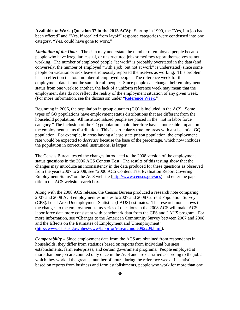**Available to Work (Question 37 in the 2013 ACS):** Starting in 1999, the "Yes, if a job had been offered" and "Yes, if recalled from layoff" response categories were condensed into one category, "Yes, could have gone to work."

*Limitation of the Data* **–** The data may understate the number of employed people because people who have irregular, casual, or unstructured jobs sometimes report themselves as not working. The number of employed people "at work" is probably overstated in the data (and conversely, the number of employed "with a job, but not at work" is understated) since some people on vacation or sick leave erroneously reported themselves as working. This problem has no effect on the total number of employed people. The reference week for the employment data is not the same for all people. Since people can change their employment status from one week to another, the lack of a uniform reference week may mean that the employment data do not reflect the reality of the employment situation of any given week. (For more information, see the discussion under ["Reference Week.](#page-115-0)")

Beginning in 2006, the population in group quarters (GQ) is included in the ACS. Some types of GQ populations have employment status distributions that are different from the household population. All institutionalized people are placed in the "not in labor force category." The inclusion of the GQ population could therefore have a noticeable impact on the employment status distribution. This is particularly true for areas with a substantial GQ population. For example, in areas having a large state prison population, the employment rate would be expected to *decrease* because the base of the percentage, which now includes the population in correctional institutions, is larger.

The Census Bureau tested the changes introduced to the 2008 version of the employment status questions in the 2006 ACS Content Test. The results of this testing show that the changes may introduce an inconsistency in the data produced for these questions as observed from the years 2007 to 2008, see "2006 ACS Content Test Evaluation Report Covering Employment Status" on the ACS website [\(http://www.census.gov/acs\)](http://www.census.gov/acs) and enter the paper title in the ACS website search box.

Along with the 2008 ACS release, the Census Bureau produced a research note comparing 2007 and 2008 ACS employment estimates to 2007 and 2008 Current Population Survey (CPS)/Local Area Unemployment Statistics (LAUS) estimates. The research note shows that the changes to the employment status series of questions in the 2008 ACS will make ACS labor force data more consistent with benchmark data from the CPS and LAUS program. For more information, see "Changes to the American Community Survey between 2007 and 2008 and the Effects on the Estimates of Employment and Unemployment" [\(http://www.census.gov/hhes/www/laborfor/researchnote092209.html\)](http://www.census.gov/hhes/www/laborfor/researchnote092209.html).

*Comparability –* Since employment data from the ACS are obtained from respondents in households, they differ from statistics based on reports from individual business establishments, farm enterprises, and certain government programs. People employed at more than one job are counted only once in the ACS and are classified according to the job at which they worked the greatest number of hours during the reference week. In statistics based on reports from business and farm establishments, people who work for more than one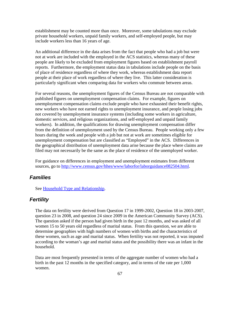establishment may be counted more than once. Moreover, some tabulations may exclude private household workers, unpaid family workers, and self-employed people, but may include workers less than 16 years of age.

An additional difference in the data arises from the fact that people who had a job but were not at work are included with the employed in the ACS statistics, whereas many of these people are likely to be excluded from employment figures based on establishment payroll reports. Furthermore, the employment status data in tabulations include people on the basis of place of residence regardless of where they work, whereas establishment data report people at their place of work regardless of where they live. This latter consideration is particularly significant when comparing data for workers who commute between areas.

For several reasons, the unemployment figures of the Census Bureau are not comparable with published figures on unemployment compensation claims. For example, figures on unemployment compensation claims exclude people who have exhausted their benefit rights, new workers who have not earned rights to unemployment insurance, and people losing jobs not covered by unemployment insurance systems (including some workers in agriculture, domestic services, and religious organizations, and self-employed and unpaid family workers). In addition, the qualifications for drawing unemployment compensation differ from the definition of unemployment used by the Census Bureau. People working only a few hours during the week and people with a job but not at work are sometimes eligible for unemployment compensation but are classified as "Employed" in the ACS. Differences in the geographical distribution of unemployment data arise because the place where claims are filed may not necessarily be the same as the place of residence of the unemployed worker.

For guidance on differences in employment and unemployment estimates from different sources, go to [http://www.census.gov/hhes/www/laborfor/laborguidance082504.html.](http://www.census.gov/hhes/www/laborfor/laborguidance082504.html)

# *Families*

See [Household Type and Relationship.](#page-73-0)

### <span id="page-66-0"></span>*Fertility*

The data on fertility were derived from Question 17 in 1999-2002, Question 18 in 2003-2007, question 23 in 2008, and question 24 since 2009 in the American Community Survey (ACS). The question asked if the person had given birth in the past 12 months, and was asked of all women 15 to 50 years old regardless of marital status. From this question, we are able to determine geographies with high numbers of women with births and the characteristics of these women, such as age and marital status. When fertility was not reported, it was imputed according to the woman's age and marital status and the possibility there was an infant in the household.

Data are most frequently presented in terms of the aggregate number of women who had a birth in the past 12 months in the specified category, and in terms of the rate per 1,000 women.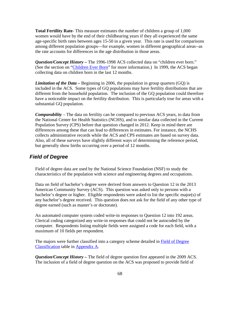**Total Fertility Rate**- This measure estimates the number of children a group of 1,000 women would have by the end of their childbearing years if they all experienced the same age-specific birth rates between ages 15-50 in a given year. This rate is used for comparisons among different population groups—for example, women in different geographical areas--as the rate accounts for differences in the age distribution in those areas.

*Question/Concept History –* The 1996-1998 ACS collected data on "children ever born." (See the section on ["Children Ever Born"](#page-52-0) for more information.) In 1999, the ACS began collecting data on children born in the last 12 months.

*Limitation of the Data* – Beginning in 2006, the population in group quarters (GQ) is included in the ACS. Some types of GQ populations may have fertility distributions that are different from the household population. The inclusion of the GQ population could therefore have a noticeable impact on the fertility distribution. This is particularly true for areas with a substantial GQ population.

*Comparability* – The data on fertility can be compared to previous ACS years, to data from the National Center for Health Statistics (NCHS), and to similar data collected in the Current Population Survey (CPS) before that question changed in 2012. Keep in mind there are differences among these that can lead to differences in estimates. For instance, the NCHS collects administrative records while the ACS and CPS estimates are based on survey data. Also, all of these surveys have slightly different ways of determining the reference period, but generally show births occurring over a period of 12 months.

# *Field of Degree*

Field of degree data are used by the National Science Foundation (NSF) to study the characteristics of the population with science and engineering degrees and occupations.

Data on field of bachelor's degree were derived from answers to Question 12 in the 2013 American Community Survey (ACS). This question was asked only to persons with a bachelor's degree or higher. Eligible respondents were asked to list the specific major(s) of any bachelor's degree received. This question does not ask for the field of any other type of degree earned (such as master's or doctorate).

An automated computer system coded write-in responses to Question 12 into 192 areas. Clerical coding categorized any write-in responses that could not be autocoded by the computer. Respondents listing multiple fields were assigned a code for each field, with a maximum of 10 fields per respondent.

The majors were further classified into a category scheme detailed in [Field of Degree](#page-137-1)  [Classification](#page-137-1) table in [Appendix A.](#page-137-0)

*Question/Concept History –* The field of degree question first appeared in the 2009 ACS. The inclusion of a field of degree question on the ACS was proposed to provide field of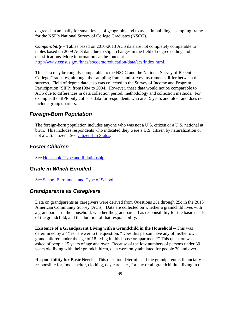degree data annually for small levels of geography and to assist in building a sampling frame for the NSF's National Survey of College Graduates (NSCG).

*Comparability –* Tables based on 2010-2013 ACS data are not completely comparable to tables based on 2009 ACS data due to slight changes in the field of degree coding and classifications. More information can be found at [http://www.census.gov/hhes/socdemo/education/data/acs/index.html.](http://www.census.gov/hhes/socdemo/education/data/acs/index.html)

This data may be roughly comparable to the NSCG and the National Survey of Recent College Graduates, although the sampling frame and survey instruments differ between the surveys. Field of degree data also was collected in the Survey of Income and Program Participation (SIPP) from1984 to 2004. However, these data would not be comparable to ACS due to differences in data collection period, methodology and collection methods. For example, the SIPP only collects data for respondents who are 15 years and older and does not include group quarters.

### *Foreign-Born Population*

The foreign-born population includes anyone who was not a U.S. citizen or a U.S. national at birth. This includes respondents who indicated they were a U.S. citizen by naturalization or not a U.S. citizen. See [Citizenship Status.](#page-53-0)

### *Foster Children*

See [Household Type and Relationship.](#page-73-0)

# *Grade in Which Enrolled*

See [School Enrollment and Type of School.](#page-117-0)

#### *Grandparents as Caregivers*

Data on grandparents as caregivers were derived from Questions 25a through 25c in the 2013 American Community Survey (ACS). Data are collected on whether a grandchild lives with a grandparent in the household, whether the grandparent has responsibility for the basic needs of the grandchild, and the duration of that responsibility.

**Existence of a Grandparent Living with a Grandchild in the Household –** This was determined by a "Yes" answer to the question, "Does this person have any of his/her own grandchildren under the age of 18 living in this house or apartment?" This question was asked of people 15 years of age and over. Because of the low numbers of persons under 30 years old living with their grandchildren, data were only tabulated for people 30 and over.

**Responsibility for Basic Needs –** This question determines if the grandparent is financially responsible for food, shelter, clothing, day care, etc., for any or all grandchildren living in the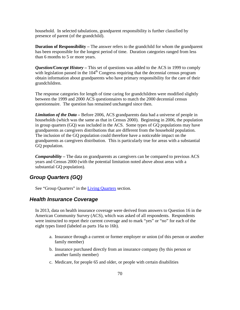household. In selected tabulations, grandparent responsibility is further classified by presence of parent (of the grandchild).

**Duration of Responsibility** – The answer refers to the grandchild for whom the grandparent has been responsible for the longest period of time. Duration categories ranged from less than 6 months to 5 or more years.

*Question/Concept History –* This set of questions was added to the ACS in 1999 to comply with legislation passed in the  $104<sup>th</sup>$  Congress requiring that the decennial census program obtain information about grandparents who have primary responsibility for the care of their grandchildren.

The response categories for length of time caring for grandchildren were modified slightly between the 1999 and 2000 ACS questionnaires to match the 2000 decennial census questionnaire. The question has remained unchanged since then.

*Limitation of the Data –* Before 2006, ACS grandparents data had a universe of people in households (which was the same as that in Census 2000). Beginning in 2006, the population in group quarters (GQ) was included in the ACS. Some types of GQ populations may have grandparents as caregivers distributions that are different from the household population. The inclusion of the GQ population could therefore have a noticeable impact on the grandparents as caregivers distribution. This is particularly true for areas with a substantial GQ population.

*Comparability* – The data on grandparents as caregivers can be compared to previous ACS years and Census 2000 (with the potential limitation noted above about areas with a substantial GQ population).

# *Group Quarters (GQ)*

See "Group Quarters" in the [Living Quarters](#page-6-0) section.

#### *Health Insurance Coverage*

In 2013, data on health insurance coverage were derived from answers to Question 16 in the American Community Survey (ACS), which was asked of all respondents. Respondents were instructed to report their current coverage and to mark "yes" or "no" for each of the eight types listed (labeled as parts 16a to 16h).

- a. Insurance through a current or former employer or union (of this person or another family member)
- b. Insurance purchased directly from an insurance company (by this person or another family member)
- c. Medicare, for people 65 and older, or people with certain disabilities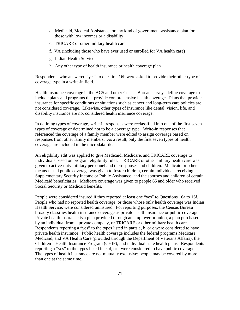- d. Medicaid, Medical Assistance, or any kind of government-assistance plan for those with low incomes or a disability
- e. TRICARE or other military health care
- f. VA (including those who have ever used or enrolled for VA health care)
- g. Indian Health Service
- h. Any other type of health insurance or health coverage plan

Respondents who answered "yes" to question 16h were asked to provide their other type of coverage type in a write-in field.

Health insurance coverage in the ACS and other Census Bureau surveys define coverage to include plans and programs that provide comprehensive health coverage. Plans that provide insurance for specific conditions or situations such as cancer and long-term care policies are not considered coverage. Likewise, other types of insurance like dental, vision, life, and disability insurance are not considered health insurance coverage.

In defining types of coverage, write-in responses were reclassified into one of the first seven types of coverage or determined not to be a coverage type. Write-in responses that referenced the coverage of a family member were edited to assign coverage based on responses from other family members. As a result, only the first seven types of health coverage are included in the microdata file.

An eligibility edit was applied to give Medicaid, Medicare, and TRICARE coverage to individuals based on program eligibility rules. TRICARE or other military health care was given to active-duty military personnel and their spouses and children. Medicaid or other means-tested public coverage was given to foster children, certain individuals receiving Supplementary Security Income or Public Assistance, and the spouses and children of certain Medicaid beneficiaries. Medicare coverage was given to people 65 and older who received Social Security or Medicaid benefits.

People were considered insured if they reported at least one "yes" to Questions 16a to 16f. People who had no reported health coverage, or those whose only health coverage was Indian Health Service, were considered uninsured. For reporting purposes, the Census Bureau broadly classifies health insurance coverage as private health insurance or public coverage. Private health insurance is a plan provided through an employer or union, a plan purchased by an individual from a private company, or TRICARE or other military health care. Respondents reporting a "yes" to the types listed in parts a, b, or e were considered to have private health insurance. Public health coverage includes the federal programs Medicare, Medicaid, and VA Health Care (provided through the Department of Veterans Affairs); the Children's Health Insurance Program (CHIP); and individual state health plans. Respondents reporting a "yes" to the types listed in c, d, or f were considered to have public coverage. The types of health insurance are not mutually exclusive; people may be covered by more than one at the same time.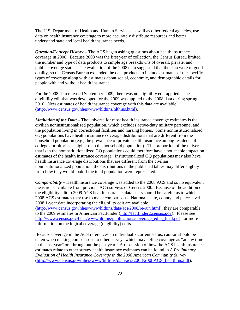The U.S. Department of Health and Human Services, as well as other federal agencies, use data on health insurance coverage to more accurately distribute resources and better understand state and local health insurance needs.

*Question/Concept History –* The ACS began asking questions about health insurance coverage in 2008. Because 2008 was the first year of collection, the Census Bureau limited the number and type of data products to simple age breakdowns of overall, private, and public coverage status. The evaluation of the 2008 data suggested that the data were of good quality, so the Census Bureau expanded the data products to include estimates of the specific types of coverage along with estimates about social, economic, and demographic details for people with and without health insurance.

For the 2008 data released September 2009, there was no eligibility edit applied. The eligibility edit that was developed for the 2009 was applied to the 2008 data during spring 2010. New estimates of health insurance coverage with this data are available [\(http://www.census.gov/hhes/www/hlthins/hlthins.html\)](http://www.census.gov/hhes/www/hlthins/hlthins.html).

*Limitation of the Data –* The universe for most health insurance coverage estimates is the civilian noninstitutionalized population, which excludes active-duty military personnel and the population living in correctional facilities and nursing homes. Some noninstitutionalized GQ populations have health insurance coverage distributions that are different from the household population (e.g., the prevalence of private health insurance among residents of college dormitories is higher than the household population). The proportion of the universe that is in the noninstitutionalized GQ populations could therefore have a noticeable impact on estimates of the health insurance coverage. Institutionalized GQ populations may also have health insurance coverage distributions that are different from the civilian noninstitutionalized population, the distributions in the published tables may differ slightly from how they would look if the total population were represented.

*Comparability –* Health insurance coverage was added to the 2008 ACS and so no equivalent measure is available from previous ACS surveys or Census 2000. Because of the addition of the eligibility edit to 2009 ACS health insurance, data users should be careful as to which 2008 ACS estimates they use to make comparisons. National, state, county and place-level 2008 1-year data incorporating the eligibility edit are available [\(http://www.census.gov/hhes/www/hlthins/data/acs/2008/re-run.html\)](http://www.census.gov/hhes/www/hlthins/data/acs/2008/re-run.html); they are comparable to the 2009 estimates in American FactFinder [\(http://factfinder2.census.gov\)](http://factfinder2.census.gov/). Please see [http://www.census.gov/hhes/www/hlthins/publications/coverage\\_edits\\_final.pdf](http://www.census.gov/hhes/www/hlthins/publications/coverage_edits_final.pdf) for more information on the logical coverage (eligibility) edits.

Because coverage in the ACS references an individual's current status, caution should be taken when making comparisons to other surveys which may define coverage as "at any time in the last year" or "throughout the past year." A discussion of how the ACS health insurance estimates relate to other survey health insurance estimates can be found in *A Preliminary Evaluation of Health Insurance Coverage in the 2008 American Community Survey* [\(http://www.census.gov/hhes/www/hlthins/data/acs/2008/2008ACS\\_healthins.pdf\)](http://www.census.gov/hhes/www/hlthins/data/acs/2008/2008ACS_healthins.pdf).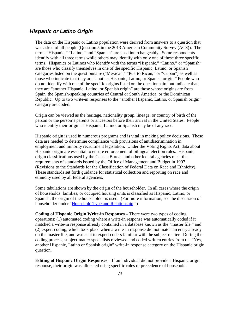## *Hispanic or Latino Origin*

The data on the Hispanic or Latino population were derived from answers to a question that was asked of all people (Question 5 in the 2013 American Community Survey (ACS)). The terms "Hispanic," "Latino," and "Spanish" are used interchangeably. Some respondents identify with all three terms while others may identify with only one of these three specific terms. Hispanics or Latinos who identify with the terms "Hispanic," "Latino," or "Spanish" are those who classify themselves in one of the specific Hispanic, Latino, or Spanish categories listed on the questionnaire ("Mexican," "Puerto Rican," or "Cuban") as well as those who indicate that they are "another Hispanic, Latino, or Spanish origin." People who do not identify with one of the specific origins listed on the questionnaire but indicate that they are "another Hispanic, Latino, or Spanish origin" are those whose origins are from Spain, the Spanish-speaking countries of Central or South America, or the Dominican Republic. Up to two write-in responses to the "another Hispanic, Latino, or Spanish origin" category are coded.

Origin can be viewed as the heritage, nationality group, lineage, or country of birth of the person or the person's parents or ancestors before their arrival in the United States. People who identify their origin as Hispanic, Latino, or Spanish may be of any race.

Hispanic origin is used in numerous programs and is vital in making policy decisions. These data are needed to determine compliance with provisions of antidiscrimination in employment and minority recruitment legislation. Under the Voting Rights Act, data about Hispanic origin are essential to ensure enforcement of bilingual election rules. Hispanic origin classifications used by the Census Bureau and other federal agencies meet the requirements of standards issued by the Office of Management and Budget in 1997 (Revisions to the Standards for the Classification of Federal Data on Race and Ethnicity). These standards set forth guidance for statistical collection and reporting on race and ethnicity used by all federal agencies.

Some tabulations are shown by the origin of the householder. In all cases where the origin of households, families, or occupied housing units is classified as Hispanic, Latino, or Spanish, the origin of the householder is used. (For more information, see the discussion of householder under ["Household Type and Relationship.](#page-73-0)")

**Coding of Hispanic Origin Write-in Responses –** There were two types of coding operations: (1) automated coding where a write-in response was automatically coded if it matched a write-in response already contained in a database known as the "master file," and (2) expert coding, which took place when a write-in response did not match an entry already on the master file, and was sent to expert coders familiar with the subject matter. During the coding process, subject-matter specialists reviewed and coded written entries from the "Yes, another Hispanic, Latino or Spanish origin" write-in response category on the Hispanic origin question.

**Editing of Hispanic Origin Responses** – If an individual did not provide a Hispanic origin response, their origin was allocated using specific rules of precedence of household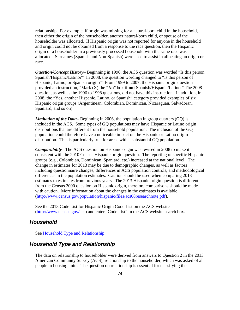relationship. For example, if origin was missing for a natural-born child in the household, then either the origin of the householder, another natural-born child, or spouse of the householder was allocated. If Hispanic origin was not reported for anyone in the household and origin could not be obtained from a response to the race question, then the Hispanic origin of a householder in a previously processed household with the same race was allocated. Surnames (Spanish and Non-Spanish) were used to assist in allocating an origin or race.

*Question/Concept History*– Beginning in 1996, the ACS question was worded "Is this person Spanish/Hispanic/Latino?" In 2008, the question wording changed to "Is this person of Hispanic, Latino, or Spanish origin?" From 1999 to 2007, the Hispanic origin question provided an instruction, "Mark (X) the "**No**" box if **not** Spanish/Hispanic/Latino." The 2008 question, as well as the 1996 to 1998 questions, did not have this instruction. In addition, in 2008, the "Yes, another Hispanic, Latino, or Spanish" category provided examples of six Hispanic origin groups (Argentinean, Colombian, Dominican, Nicaraguan, Salvadoran, Spaniard, and so on).

*Limitation of the Data*– Beginning in 2006, the population in group quarters (GQ) is included in the ACS. Some types of GQ populations may have Hispanic or Latino origin distributions that are different from the household population. The inclusion of the GQ population could therefore have a noticeable impact on the Hispanic or Latino origin distribution. This is particularly true for areas with a substantial GQ population.

*Comparability–* The ACS question on Hispanic origin was revised in 2008 to make it consistent with the 2010 Census Hispanic origin question. The reporting of specific Hispanic groups (e.g., Colombian, Dominican, Spaniard, etc.) increased at the national level. The change in estimates for 2013 may be due to demographic changes, as well as factors including questionnaire changes, differences in ACS population controls, and methodological differences in the population estimates. Caution should be used when comparing 2013 estimates to estimates from previous years. The 2013 Hispanic origin question is different from the Census 2000 question on Hispanic origin, therefore comparisons should be made with caution. More information about the changes in the estimates is available [\(http://www.census.gov/population/hispanic/files/acs08researchnote.pdf\)](http://www.census.gov/population/hispanic/files/acs08researchnote.pdf).

See the 2013 Code List for Hispanic Origin Code List on the ACS website [\(http://www.census.gov/acs\)](http://www.census.gov/acs) and enter "Code List" in the ACS website search box.

## *Household*

See [Household Type and Relationship.](#page-73-0)

# <span id="page-73-0"></span>*Household Type and Relationship*

The data on relationship to householder were derived from answers to Question 2 in the 2013 American Community Survey (ACS), relationship to the householder, which was asked of all people in housing units. The question on relationship is essential for classifying the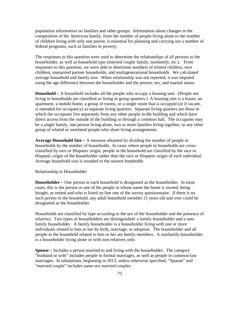population information on families and other groups. Information about changes in the composition of the American family, from the number of people living alone to the number of children living with only one parent, is essential for planning and carrying out a number of federal programs, such as families in poverty.

The responses to this question were used to determine the relationships of all persons to the householder, as well as household type (married couple family, nonfamily, etc.). From responses to this question, we were able to determine numbers of related children, own children, unmarried partner households, and multigenerational households. We calculated average household and family size. When relationship was not reported, it was imputed using the age difference between the householder and the person, sex, and marital status.

**Household –** A household includes all the people who occupy a housing unit. (People not living in households are classified as living in group quarters.) A housing unit is a house, an apartment, a mobile home, a group of rooms, or a single room that is occupied (or if vacant, is intended for occupancy) as separate living quarters. Separate living quarters are those in which the occupants live separately from any other people in the building and which have direct access from the outside of the building or through a common hall. The occupants may be a single family, one person living alone, two or more families living together, or any other group of related or unrelated people who share living arrangements.

**Average Household Size –** A measure obtained by dividing the number of people in households by the number of households. In cases where people in households are crossclassified by race or Hispanic origin, people in the household are classified by the race or Hispanic origin of the householder rather than the race or Hispanic origin of each individual. Average household size is rounded to the nearest hundredth.

#### Relationship to Householder

**Householder –** One person in each household is designated as the householder. In most cases, this is the person or one of the people in whose name the home is owned, being bought, or rented and who is listed on line one of the survey questionnaire. If there is no such person in the household, any adult household member 15 years old and over could be designated as the householder.

Households are classified by type according to the sex of the householder and the presence of relatives. Two types of householders are distinguished: a family householder and a nonfamily householder. A family householder is a householder living with one or more individuals related to him or her by birth, marriage, or adoption. The householder and all people in the household related to him or her are family members. A nonfamily householder is a householder living alone or with non-relatives only.

**Spouse –** Includes a person married to and living with the householder. The category "husband or wife" includes people in formal marriages, as well as people in common-law marriages. In tabulations, beginning in 2013, unless otherwise specified, "Spouse" and "married couple" includes same-sex married couples.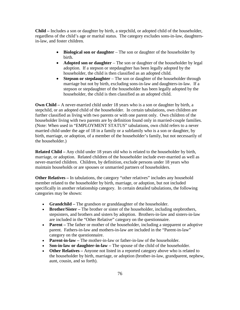**Child –** Includes a son or daughter by birth, a stepchild, or adopted child of the householder, regardless of the child's age or marital status. The category excludes sons-in-law, daughtersin-law, and foster children.

- **Biological son or daughter** The son or daughter of the householder by birth.
- **Adopted son or daughter** The son or daughter of the householder by legal adoption. If a stepson or stepdaughter has been legally adopted by the householder, the child is then classified as an adopted child.
- **Stepson or stepdaughter** The son or daughter of the householder through marriage but not by birth, excluding sons-in-law and daughters-in-law. If a stepson or stepdaughter of the householder has been legally adopted by the householder, the child is then classified as an adopted child.

**Own Child –** A never-married child under 18 years who is a son or daughter by birth, a stepchild, or an adopted child of the householder. In certain tabulations, own children are further classified as living with two parents or with one parent only. Own children of the householder living with two parents are by definition found only in married-couple families. (Note: When used in "EMPLOYMENT STATUS" tabulations, own child refers to a never married child under the age of 18 in a family or a subfamily who is a son or daughter, by birth, marriage, or adoption, of a member of the householder's family, but not necessarily of the householder.)

**Related Child –** Any child under 18 years old who is related to the householder by birth, marriage, or adoption. Related children of the householder include ever-married as well as never-married children. Children, by definition, exclude persons under 18 years who maintain households or are spouses or unmarried partners of householders.

**Other Relatives –** In tabulations, the category "other relatives" includes any household member related to the householder by birth, marriage, or adoption, but not included specifically in another relationship category. In certain detailed tabulations, the following categories may be shown:

- **Grandchild** The grandson or granddaughter of the householder.
- **Brother/Sister** The brother or sister of the householder, including stepbrothers, stepsisters, and brothers and sisters by adoption. Brothers-in-law and sisters-in-law are included in the "Other Relative" category on the questionnaire.
- **Parent** The father or mother of the householder, including a stepparent or adoptive parent. Fathers-in-law and mothers-in-law are included in the "Parent-in-law" category on the questionnaire.
- **Parent-in-law** The mother-in-law or father-in-law of the householder.
- **Son-in-law or daughter-in-law** The spouse of the child of the householder.
- **Other Relatives** Anyone not listed in a reported category above who is related to the householder by birth, marriage, or adoption (brother-in-law, grandparent, nephew, aunt, cousin, and so forth).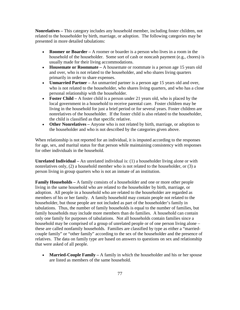**Nonrelatives –** This category includes any household member, including foster children, not related to the householder by birth, marriage, or adoption. The following categories may be presented in more detailed tabulations:

- **Roomer or Boarder –** A roomer or boarder is a person who lives in a room in the household of the householder. Some sort of cash or noncash payment (e.g., chores) is usually made for their living accommodations.
- **Housemate or Roommate** A housemate or roommate is a person age 15 years old and over, who is not related to the householder, and who shares living quarters primarily in order to share expenses.
- **Unmarried Partner –** An unmarried partner is a person age 15 years old and over, who is not related to the householder, who shares living quarters, and who has a close personal relationship with the householder.
- **Foster Child** A foster child is a person under 21 years old, who is placed by the local government in a household to receive parental care. Foster children may be living in the household for just a brief period or for several years. Foster children are nonrelatives of the householder. If the foster child is also related to the householder, the child is classified as that specific relative.
- **Other Nonrelatives** Anyone who is not related by birth, marriage, or adoption to the householder and who is not described by the categories given above.

When relationship is not reported for an individual, it is imputed according to the responses for age, sex, and marital status for that person while maintaining consistency with responses for other individuals in the household.

**Unrelated Individual –** An unrelated individual is: (1) a householder living alone or with nonrelatives only, (2) a household member who is not related to the householder, or (3) a person living in group quarters who is not an inmate of an institution.

**Family Households** – A family consists of a householder and one or more other people living in the same household who are related to the householder by birth, marriage, or adoption. All people in a household who are related to the householder are regarded as members of his or her family. A family household may contain people not related to the householder, but those people are not included as part of the householder's family in tabulations. Thus, the number of family households is equal to the number of families, but family households may include more members than do families. A household can contain only one family for purposes of tabulations. Not all households contain families since a household may be comprised of a group of unrelated people or of one person living alone – these are called nonfamily households. Families are classified by type as either a "marriedcouple family" or "other family" according to the sex of the householder and the presence of relatives. The data on family type are based on answers to questions on sex and relationship that were asked of all people.

• **Married-Couple Family** – A family in which the householder and his or her spouse are listed as members of the same household.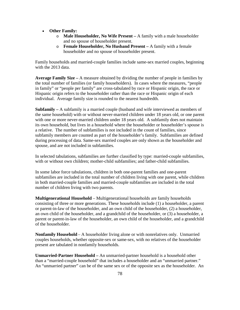- **Other Family:**
	- **Male Householder, No Wife Present** A family with a male householder and no spouse of householder present.
	- o **Female Householder, No Husband Present –** A family with a female householder and no spouse of householder present.

Family households and married-couple families include same-sex married couples, beginning with the 2013 data.

**Average Family Size –** A measure obtained by dividing the number of people in families by the total number of families (or family householders). In cases where the measures, "people in family" or "people per family" are cross-tabulated by race or Hispanic origin, the race or Hispanic origin refers to the householder rather than the race or Hispanic origin of each individual. Average family size is rounded to the nearest hundredth.

**Subfamily –** A subfamily is a married couple (husband and wife interviewed as members of the same household) with or without never-married children under 18 years old, or one parent with one or more never-married children under 18 years old. A subfamily does not maintain its own household, but lives in a household where the householder or householder's spouse is a relative. The number of subfamilies is not included in the count of families, since subfamily members are counted as part of the householder's family. Subfamilies are defined during processing of data. Same-sex married couples are only shown as the householder and spouse, and are not included in subfamilies.

In selected tabulations, subfamilies are further classified by type: married-couple subfamilies, with or without own children; mother-child subfamilies; and father-child subfamilies.

In some labor force tabulations, children in both one-parent families and one-parent subfamilies are included in the total number of children living with one parent, while children in both married-couple families and married-couple subfamilies are included in the total number of children living with two parents.

**Multigenerational Household** – Multigenerational households are family households consisting of three or more generations. These households include (1) a householder, a parent or parent-in-law of the householder, and an own child of the householder, (2) a householder, an own child of the householder, and a grandchild of the householder, or (3) a householder, a parent or parent-in-law of the householder, an own child of the householder, and a grandchild of the householder.

**Nonfamily Household** – A householder living alone or with nonrelatives only. Unmarried couples households, whether opposite-sex or same-sex, with no relatives of the householder present are tabulated in nonfamily households.

**Unmarried-Partner Household –** An unmarried-partner household is a household other than a "married-couple household" that includes a householder and an "unmarried partner." An "unmarried partner" can be of the same sex or of the opposite sex as the householder. An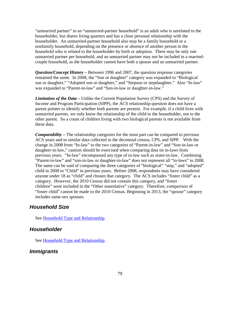"unmarried partner" in an "unmarried-partner household" is an adult who is unrelated to the householder, but shares living quarters and has a close personal relationship with the householder. An unmarried-partner household also may be a family household or a nonfamily household, depending on the presence or absence of another person in the household who is related to the householder by birth or adoption. There may be only one unmarried partner per household, and an unmarried partner may not be included in a marriedcouple household, as the householder cannot have both a spouse and an unmarried partner.

*Question/Concept History* **–** Between 1996 and 2007, the question response categories remained the same. In 2008, the "Son or daughter" category was expanded to "Biological son or daughter," "Adopted son or daughter," and "Stepson or stepdaughter." Also "In-law" was expanded to "Parent-in-law" and "Son-in-law or daughter-in-law."

*Limitation of the Data –* Unlike the Current Population Survey (CPS) and the Survey of Income and Program Participation (SIPP), the ACS relationship question does not have a parent pointer to identify whether both parents are present. For example, if a child lives with unmarried parents, we only know the relationship of the child to the householder, not to the other parent. So a count of children living with two biological parents is not available from these data.

*Comparability* – The relationship categories for the most part can be compared to previous ACS years and to similar data collected in the decennial census, CPS, and SIPP. With the change in 2008 from "In-law" to the two categories of "Parent-in-law" and "Son-in-law or daughter-in-law," caution should be exercised when comparing data on in-laws from previous years. "In-law" encompassed any type of in-law such as sister-in-law. Combining "Parent-in-law" and "son-in-law or daughter-in-law" does not represent all "in-laws" in 2008. The same can be said of comparing the three categories of "biological" "step," and "adopted" child in 2008 to "Child" in previous years. Before 2008, respondents may have considered anyone under 18 as "child" and chosen that category. The ACS includes "foster child" as a category. However, the 2010 Census did not contain this category, and "foster children" were included in the "Other nonrelative" category. Therefore, comparison of "foster child" cannot be made to the 2010 Census. Beginning in 2013, the "spouse" category includes same-sex spouses.

## *Household Size*

See [Household Type and Relationship.](#page-73-0)

## *Householder*

See [Household Type and Relationship.](#page-73-0)

#### *Immigrants*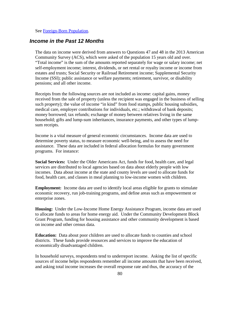#### See [Foreign-Born Population.](#page-68-0)

# *Income in the Past 12 Months*

The data on income were derived from answers to Questions 47 and 48 in the 2013 American Community Survey (ACS), which were asked of the population 15 years old and over. "Total income" is the sum of the amounts reported separately for wage or salary income; net self-employment income; interest, dividends, or net rental or royalty income or income from estates and trusts; Social Security or Railroad Retirement income; Supplemental Security Income (SSI); public assistance or welfare payments; retirement, survivor, or disability pensions; and all other income.

Receipts from the following sources are not included as income: capital gains, money received from the sale of property (unless the recipient was engaged in the business of selling such property); the value of income "in kind" from food stamps, public housing subsidies, medical care, employer contributions for individuals, etc.; withdrawal of bank deposits; money borrowed; tax refunds; exchange of money between relatives living in the same household; gifts and lump-sum inheritances, insurance payments, and other types of lumpsum receipts.

Income is a vital measure of general economic circumstances. Income data are used to determine poverty status, to measure economic well-being, and to assess the need for assistance. These data are included in federal allocation formulas for many government programs. For instance:

**Social Services:** Under the Older Americans Act, funds for food, health care, and legal services are distributed to local agencies based on data about elderly people with low incomes. Data about income at the state and county levels are used to allocate funds for food, health care, and classes in meal planning to low-income women with children.

**Employment:** Income data are used to identify local areas eligible for grants to stimulate economic recovery, run job-training programs, and define areas such as empowerment or enterprise zones.

**Housing:** Under the Low-Income Home Energy Assistance Program, income data are used to allocate funds to areas for home energy aid. Under the Community Development Block Grant Program, funding for housing assistance and other community development is based on income and other census data.

**Education:** Data about poor children are used to allocate funds to counties and school districts. These funds provide resources and services to improve the education of economically disadvantaged children.

In household surveys, respondents tend to underreport income. Asking the list of specific sources of income helps respondents remember all income amounts that have been received, and asking total income increases the overall response rate and thus, the accuracy of the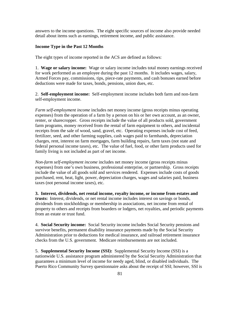answers to the income questions. The eight specific sources of income also provide needed detail about items such as earnings, retirement income, and public assistance.

#### **Income Type in the Past 12 Months**

The eight types of income reported in the ACS are defined as follows:

1. **Wage or salary income:** Wage or salary income includes total money earnings received for work performed as an employee during the past 12 months. It includes wages, salary, Armed Forces pay, commissions, tips, piece-rate payments, and cash bonuses earned before deductions were made for taxes, bonds, pensions, union dues, etc.

2. **Self-employment income:** Self-employment income includes both farm and non-farm self-employment income.

*Farm self-employment income* includes net money income (gross receipts minus operating expenses) from the operation of a farm by a person on his or her own account, as an owner, renter, or sharecropper. Gross receipts include the value of all products sold, government farm programs, money received from the rental of farm equipment to others, and incidental receipts from the sale of wood, sand, gravel, etc. Operating expenses include cost of feed, fertilizer, seed, and other farming supplies, cash wages paid to farmhands, depreciation charges, rent, interest on farm mortgages, farm building repairs, farm taxes (not state and federal personal income taxes), etc. The value of fuel, food, or other farm products used for family living is not included as part of net income.

*Non-farm self-employment income* includes net money income (gross receipts minus expenses) from one's own business, professional enterprise, or partnership. Gross receipts include the value of all goods sold and services rendered. Expenses include costs of goods purchased, rent, heat, light, power, depreciation charges, wages and salaries paid, business taxes (not personal income taxes), etc.

**3. Interest, dividends, net rental income, royalty income, or income from estates and trusts:** Interest, dividends, or net rental income includes interest on savings or bonds, dividends from stockholdings or membership in associations, net income from rental of property to others and receipts from boarders or lodgers, net royalties, and periodic payments from an estate or trust fund.

4. **Social Security income:** Social Security income includes Social Security pensions and survivor benefits, permanent disability insurance payments made by the Social Security Administration prior to deductions for medical insurance, and railroad retirement insurance checks from the U.S. government. Medicare reimbursements are not included.

5. **Supplemental Security Income (SSI):** Supplemental Security Income (SSI) is a nationwide U.S. assistance program administered by the Social Security Administration that guarantees a minimum level of income for needy aged, blind, or disabled individuals. The Puerto Rico Community Survey questionnaire asks about the receipt of SSI; however, SSI is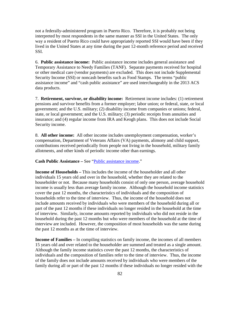not a federally-administered program in Puerto Rico. Therefore, it is probably not being interpreted by most respondents in the same manner as SSI in the United States. The only way a resident of Puerto Rico could have appropriately reported SSI would have been if they lived in the United States at any time during the past 12-month reference period and received SSI.

<span id="page-81-0"></span>6. **Public assistance income:** Public assistance income includes general assistance and Temporary Assistance to Needy Families (TANF). Separate payments received for hospital or other medical care (vendor payments) are excluded. This does not include Supplemental Security Income (SSI) or noncash benefits such as Food Stamps. The terms "public assistance income" and "cash public assistance" are used interchangeably in the 2013 ACS data products.

7. **Retirement, survivor, or disability income:** Retirement income includes: (1) retirement pensions and survivor benefits from a former employer; labor union; or federal, state, or local government; and the U.S. military; (2) disability income from companies or unions; federal, state, or local government; and the U.S. military; (3) periodic receipts from annuities and insurance; and (4) regular income from IRA and Keogh plans. This does not include Social Security income.

8. **All other income:** All other income includes unemployment compensation, worker's compensation, Department of Veterans Affairs (VA) payments, alimony and child support, contributions received periodically from people not living in the household, military family allotments, and other kinds of periodic income other than earnings.

**Cash Public Assistance –** See ["Public assistance income.](#page-81-0)"

**Income of Households –** This includes the income of the householder and all other individuals 15 years old and over in the household, whether they are related to the householder or not. Because many households consist of only one person, average household income is usually less than average family income. Although the household income statistics cover the past 12 months, the characteristics of individuals and the composition of households refer to the time of interview. Thus, the income of the household does not include amounts received by individuals who were members of the household during all or part of the past 12 months if these individuals no longer resided in the household at the time of interview. Similarly, income amounts reported by individuals who did not reside in the household during the past 12 months but who were members of the household at the time of interview are included. However, the composition of most households was the same during the past 12 months as at the time of interview.

**Income of Families –** In compiling statistics on family income, the incomes of all members 15 years old and over related to the householder are summed and treated as a single amount. Although the family income statistics cover the past 12 months, the characteristics of individuals and the composition of families refer to the time of interview. Thus, the income of the family does not include amounts received by individuals who were members of the family during all or part of the past 12 months if these individuals no longer resided with the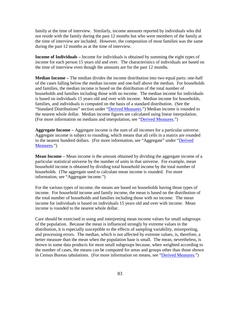family at the time of interview. Similarly, income amounts reported by individuals who did not reside with the family during the past 12 months but who were members of the family at the time of interview are included. However, the composition of most families was the same during the past 12 months as at the time of interview.

**Income of Individuals –** Income for individuals is obtained by summing the eight types of income for each person 15 years old and over. The characteristics of individuals are based on the time of interview even though the amounts are for the past 12 months.

**Median Income –** The median divides the income distribution into two equal parts: one-half of the cases falling below the median income and one-half above the median. For households and families, the median income is based on the distribution of the total number of households and families including those with no income. The median income for individuals is based on individuals 15 years old and over with income. Median income for households, families, and individuals is computed on the basis of a standard distribution. (See the "Standard Distributions" section under ["Derived Measures.](#page-130-0)") Median income is rounded to the nearest whole dollar. Median income figures are calculated using linear interpolation. (For more information on medians and interpolation, see ["Derived Measures.](#page-130-0)")

**Aggregate Income –** Aggregate income is the sum of all incomes for a particular universe. Aggregate income is subject to rounding, which means that all cells in a matrix are rounded to the nearest hundred dollars. (For more information, see "Aggregate" under ["Derived](#page-130-0)  [Measures.](#page-130-0)")

**Mean Income –** Mean income is the amount obtained by dividing the aggregate income of a particular statistical universe by the number of units in that universe. For example, mean household income is obtained by dividing total household income by the total number of households. (The aggregate used to calculate mean income is rounded. For more information, see "Aggregate income.")

For the various types of income, the means are based on households having those types of income. For household income and family income, the mean is based on the distribution of the total number of households and families including those with no income. The mean income for individuals is based on individuals 15 years old and over with income. Mean income is rounded to the nearest whole dollar.

Care should be exercised in using and interpreting mean income values for small subgroups of the population. Because the mean is influenced strongly by extreme values in the distribution, it is especially susceptible to the effects of sampling variability, misreporting, and processing errors. The median, which is not affected by extreme values, is, therefore, a better measure than the mean when the population base is small. The mean, nevertheless, is shown in some data products for most small subgroups because, when weighted according to the number of cases, the means can be computed for areas and groups other than those shown in Census Bureau tabulations. (For more information on means, see ["Derived Measures.](#page-130-0)")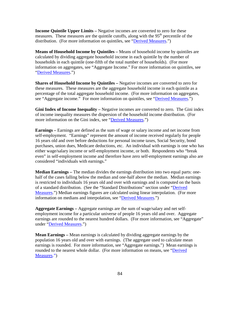**Income Quintile Upper Limits –** Negative incomes are converted to zero for these measures. These measures are the quintile cutoffs, along with the  $95<sup>th</sup>$  percentile of the distribution. (For more information on quintiles, see ["Derived Measures.](#page-130-0)")

**Means of Household Income by Quintiles –** Means of household income by quintiles are calculated by dividing aggregate household income in each quintile by the number of households in each quintile (one-fifth of the total number of households). (For more information on aggregates, see "Aggregate Income." For more information on quintiles, see ["Derived Measures.](#page-130-0)")

**Shares of Household Income by Quintiles –** Negative incomes are converted to zero for these measures. These measures are the aggregate household income in each quintile as a percentage of the total aggregate household income. (For more information on aggregates, see "Aggregate income." For more information on quintiles, see ["Derived Measures.](#page-130-0)")

**Gini Index of Income Inequality –** Negative incomes are converted to zero. The Gini index of income inequality measures the dispersion of the household income distribution. (For more information on the Gini index, see ["Derived Measures.](#page-130-0)")

**Earnings –** Earnings are defined as the sum of wage or salary income and net income from self-employment. "Earnings" represent the amount of income received regularly for people 16 years old and over before deductions for personal income taxes, Social Security, bond purchases, union dues, Medicare deductions, etc. An individual with earnings is one who has either wage/salary income or self-employment income, or both. Respondents who "break even" in self-employment income and therefore have zero self-employment earnings also are considered "individuals with earnings."

**Median Earnings –** The median divides the earnings distribution into two equal parts: onehalf of the cases falling below the median and one-half above the median. Median earnings is restricted to individuals 16 years old and over with earnings and is computed on the basis of a standard distribution. (See the "Standard Distributions" section under ["Derived](#page-130-0)  [Measures.](#page-130-0)") Median earnings figures are calculated using linear interpolation. (For more information on medians and interpolation, see ["Derived Measures.](#page-130-0)")

**Aggregate Earnings –** Aggregate earnings are the sum of wage/salary and net selfemployment income for a particular universe of people 16 years old and over. Aggregate earnings are rounded to the nearest hundred dollars. (For more information, see "Aggregate" under ["Derived Measures.](#page-130-0)")

**Mean Earnings –** Mean earnings is calculated by dividing aggregate earnings by the population 16 years old and over with earnings. (The aggregate used to calculate mean earnings is rounded. For more information, see "Aggregate earnings.") Mean earnings is rounded to the nearest whole dollar. (For more information on means, see ["Derived](#page-130-0)  [Measures.](#page-130-0)")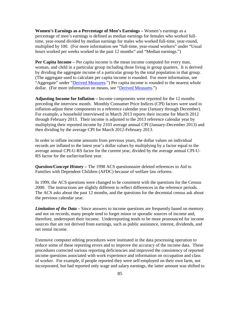**Women's Earnings as a Percentage of Men's Earnings –** Women's earnings as a percentage of men's earnings is defined as median earnings for females who worked fulltime, year-round divided by median earnings for males who worked full-time, year-round, multiplied by 100. (For more information see "full-time, year-round workers" under "Usual hours worked per weeks worked in the past 12 months" and "Median earnings.")

**Per Capita Income** – Per capita income is the mean income computed for every man, woman, and child in a particular group including those living in group quarters. It is derived by dividing the aggregate income of a particular group by the total population in that group. (The aggregate used to calculate per capita income is rounded. For more information, see "Aggregate" under ["Derived Measures.](#page-130-0)") Per capita income is rounded to the nearest whole dollar. (For more information on means, see ["Derived Measures.](#page-130-0)")

**Adjusting Income for Inflation –** Income components were reported for the 12 months preceding the interview month. Monthly Consumer Price Indices (CPI) factors were used to inflation-adjust these components to a reference calendar year (January through December). For example, a household interviewed in March 2013 reports their income for March 2012 through February 2013. Their income is adjusted to the 2013 reference calendar year by multiplying their reported income by 2103 average annual CPI (January-December 2013) and then dividing by the average CPI for March 2012-February 2013.

In order to inflate income amounts from previous years, the dollar values on individual records are inflated to the latest year's dollar values by multiplying by a factor equal to the average annual CPI-U-RS factor for the current year, divided by the average annual CPI-U-RS factor for the earlier/earliest year.

*Question/Concept History –* The 1998 ACS questionnaire deleted references to Aid to Families with Dependent Children (AFDC) because of welfare law reforms.

In 1999, the ACS questions were changed to be consistent with the questions for the Census 2000. The instructions are slightly different to reflect differences in the reference periods. The ACS asks about the past 12 months, and the questions for the decennial census ask about the previous calendar year.

*Limitation of the Data* – Since answers to income questions are frequently based on memory and not on records, many people tend to forget minor or sporadic sources of income and, therefore, underreport their income. Underreporting tends to be more pronounced for income sources that are not derived from earnings, such as public assistance, interest, dividends, and net rental income.

Extensive computer editing procedures were instituted in the data processing operation to reduce some of these reporting errors and to improve the accuracy of the income data. These procedures corrected various reporting deficiencies and improved the consistency of reported income questions associated with work experience and information on occupation and class of worker. For example, if people reported they were self-employed on their own farm, not incorporated, but had reported only wage and salary earnings, the latter amount was shifted to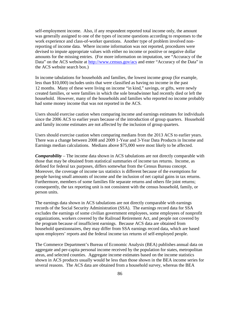self-employment income. Also, if any respondent reported total income only, the amount was generally assigned to one of the types of income questions according to responses to the work experience and class-of-worker questions. Another type of problem involved nonreporting of income data. Where income information was not reported, procedures were devised to impute appropriate values with either no income or positive or negative dollar amounts for the missing entries. (For more information on imputation, see "Accuracy of the Data" on the ACS website at <http://www.census.gov/acs> and enter "Accuracy of the Data" in the ACS website search box.)

In income tabulations for households and families, the lowest income group (for example, less than \$10,000) includes units that were classified as having no income in the past 12 months. Many of these were living on income "in kind," savings, or gifts, were newly created families, or were families in which the sole breadwinner had recently died or left the household. However, many of the households and families who reported no income probably had some money income that was not reported in the ACS.

Users should exercise caution when comparing income and earnings estimates for individuals since the 2006 ACS to earlier years because of the introduction of group quarters. Household and family income estimates are not affected by the inclusion of group quarters.

Users should exercise caution when comparing medians from the 2013 ACS to earlier years. There was a change between 2008 and 2009 1-Year and 3-Year Data Products in Income and Earnings median calculations. Medians above \$75,000 were most likely to be affected.

*Comparability* – The income data shown in ACS tabulations are not directly comparable with those that may be obtained from statistical summaries of income tax returns. Income, as defined for federal tax purposes, differs somewhat from the Census Bureau concept. Moreover, the coverage of income tax statistics is different because of the exemptions for people having small amounts of income and the inclusion of net capital gains in tax returns. Furthermore, members of some families file separate returns and others file joint returns; consequently, the tax reporting unit is not consistent with the census household, family, or person units.

The earnings data shown in ACS tabulations are not directly comparable with earnings records of the Social Security Administration (SSA). The earnings record data for SSA excludes the earnings of some civilian government employees, some employees of nonprofit organizations, workers covered by the Railroad Retirement Act, and people not covered by the program because of insufficient earnings. Because ACS data are obtained from household questionnaires, they may differ from SSA earnings record data, which are based upon employers' reports and the federal income tax returns of self-employed people.

The Commerce Department's Bureau of Economic Analysis (BEA) publishes annual data on aggregate and per-capita personal income received by the population for states, metropolitan areas, and selected counties. Aggregate income estimates based on the income statistics shown in ACS products usually would be less than those shown in the BEA income series for several reasons. The ACS data are obtained from a household survey, whereas the BEA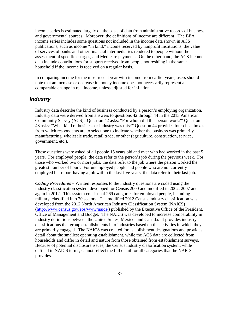income series is estimated largely on the basis of data from administrative records of business and governmental sources. Moreover, the definitions of income are different. The BEA income series includes some questions not included in the income data shown in ACS publications, such as income "in kind," income received by nonprofit institutions, the value of services of banks and other financial intermediaries rendered to people without the assessment of specific charges, and Medicare payments. On the other hand, the ACS income data include contributions for support received from people not residing in the same household if the income is received on a regular basis.

In comparing income for the most recent year with income from earlier years, users should note that an increase or decrease in money income does not necessarily represent a comparable change in real income, unless adjusted for inflation.

#### <span id="page-86-0"></span>*Industry*

Industry data describe the kind of business conducted by a person's employing organization. Industry data were derived from answers to questions 42 through 44 in the 2013 American Community Survey (ACS). Question 42 asks: "For whom did this person work?" Question 43 asks: "What kind of business or industry was this?" Question 44 provides four checkboxes from which respondents are to select one to indicate whether the business was primarily manufacturing, wholesale trade, retail trade, or other (agriculture, construction, service, government, etc.).

These questions were asked of all people 15 years old and over who had worked in the past 5 years. For employed people, the data refer to the person's job during the previous week. For those who worked two or more jobs, the data refer to the job where the person worked the greatest number of hours. For unemployed people and people who are not currently employed but report having a job within the last five years, the data refer to their last job.

*Coding Procedures –* Written responses to the industry questions are coded using the industry classification system developed for Census 2000 and modified in 2002, 2007 and again in 2012. This system consists of 269 categories for employed people, including military, classified into 20 sectors. The modified 2012 Census industry classification was developed from the 2012 North American Industry Classification System (NAICS) [\(http://www.census.gov/eos/www/naics/\)](http://www.census.gov/eos/www/naics/) published by the Executive Office of the President, Office of Management and Budget. The NAICS was developed to increase comparability in industry definitions between the United States, Mexico, and Canada. It provides industry classifications that group establishments into industries based on the activities in which they are primarily engaged. The NAICS was created for establishment designations and provides detail about the smallest operating establishment, while the ACS data are collected from households and differ in detail and nature from those obtained from establishment surveys. Because of potential disclosure issues, the Census industry classification system, while defined in NAICS terms, cannot reflect the full detail for all categories that the NAICS provides.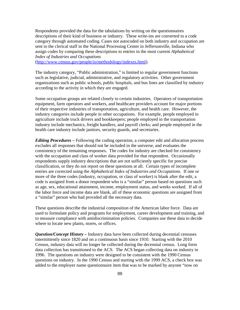Respondents provided the data for the tabulations by writing on the questionnaires descriptions of their kind of business or industry. These write-ins are converted to a code category through automated coding. Cases not autocoded on both industry and occupation are sent to the clerical staff in the National Processing Center in Jeffersonville, Indiana who assign codes by comparing these descriptions to entries in the most current *Alphabetical Index of Industries and Occupations*

[\(http://www.census.gov/people/io/methodology/indexes.html\)](http://www.census.gov/people/io/methodology/indexes.html).

The industry category, "Public administration," is limited to regular government functions such as legislative, judicial, administrative, and regulatory activities. Other government organizations such as public schools, public hospitals, and bus lines are classified by industry according to the activity in which they are engaged.

Some occupation groups are related closely to certain industries. Operators of transportation equipment, farm operators and workers, and healthcare providers account for major portions of their respective industries of transportation, agriculture, and health care. However, the industry categories include people in other occupations. For example, people employed in agriculture include truck drivers and bookkeepers; people employed in the transportation industry include mechanics, freight handlers, and payroll clerks; and people employed in the health care industry include janitors, security guards, and secretaries.

*Editing Procedures –* Following the coding operation, a computer edit and allocation process excludes all responses that should not be included in the universe, and evaluates the consistency of the remaining responses. The codes for industry are checked for consistency with the occupation and class of worker data provided for that respondent. Occasionally respondents supply industry descriptions that are not sufficiently specific for precise classification, or they do not report on these questions at all. Certain types of incomplete entries are corrected using the *Alphabetical Index of Industries and Occupations*. If one or more of the three codes (industry, occupation, or class of worker) is blank after the edit, a code is assigned from a donor respondent who is a "similar" person based on questions such as age, sex, educational attainment, income, employment status, and weeks worked. If all of the labor force and income data are blank, all of these economic questions are assigned from a "similar" person who had provided all the necessary data.

These questions describe the industrial composition of the American labor force. Data are used to formulate policy and programs for employment, career development and training, and to measure compliance with antidiscrimination policies. Companies use these data to decide where to locate new plants, stores, or offices.

*Question/Concept History –* Industry data have been collected during decennial censuses intermittently since 1820 and on a continuous basis since 1910. Starting with the 2010 Census, industry data will no longer be collected during the decennial census. Long form data collection has transitioned to the ACS. The ACS began collecting data on industry in 1996. The questions on industry were designed to be consistent with the 1990 Census questions on industry. In the 1990 Census and starting with the 1999 ACS, a check box was added to the employer name questionnaire item that was to be marked by anyone "now on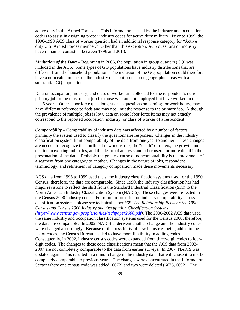active duty in the Armed Forces..." This information is used by the industry and occupation coders to assist in assigning proper industry codes for active duty military. Prior to 1999, the 1996-1998 ACS class of worker question had an additional response category for "Active duty U.S. Armed Forces member." Other than this exception, ACS questions on industry have remained consistent between 1996 and 2013.

*Limitation of the Data* – Beginning in 2006, the population in group quarters (GQ) was included in the ACS. Some types of GQ populations have industry distributions that are different from the household population. The inclusion of the GQ population could therefore have a noticeable impact on the industry distribution in some geographic areas with a substantial GQ population.

Data on occupation, industry, and class of worker are collected for the respondent's current primary job or the most recent job for those who are not employed but have worked in the last 5 years. Other labor force questions, such as questions on earnings or work hours, may have different reference periods and may not limit the response to the primary job. Although the prevalence of multiple jobs is low, data on some labor force items may not exactly correspond to the reported occupation, industry, or class of worker of a respondent.

*Comparability –* Comparability of industry data was affected by a number of factors, primarily the system used to classify the questionnaire responses. Changes in the industry classification system limit comparability of the data from one year to another. These changes are needed to recognize the "birth" of new industries, the "death" of others, the growth and decline in existing industries, and the desire of analysts and other users for more detail in the presentation of the data. Probably the greatest cause of noncomparability is the movement of a segment from one category to another. Changes in the nature of jobs, respondent terminology, and refinement of category composition made these movements necessary.

ACS data from 1996 to 1999 used the same industry classification systems used for the 1990 Census; therefore, the data are comparable. Since 1990, the industry classification has had major revisions to reflect the shift from the Standard Industrial Classification (SIC) to the North American Industry Classification System (NAICS). These changes were reflected in the Census 2000 industry codes. For more information on industry comparability across classification systems, please see technical paper #65: *The Relationship Between the 1990 Census and Census 2000 Industry and Occupation Classification Systems [\(https://www.census.gov/people/io/files/techpaper2000.pdf\)](https://www.census.gov/people/io/files/techpaper2000.pdf).* The 2000-2002 ACS data used the same industry and occupation classification systems used for the Census 2000; therefore, the data are comparable. In 2002, NAICS underwent another change and the industry codes were changed accordingly. Because of the possibility of new industries being added to the list of codes, the Census Bureau needed to have more flexibility in adding codes. Consequently, in 2002, industry census codes were expanded from three-digit codes to fourdigit codes. The changes to these code classifications mean that the ACS data from 2003- 2007 are not completely comparable to the data from earlier surveys. In 2007, NAICS was updated again. This resulted in a minor change in the industry data that will cause it to not be completely comparable to previous years. The changes were concentrated in the Information Sector where one census code was added (6672) and two were deleted (6675, 6692). The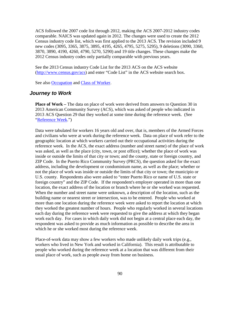ACS followed the 2007 code list through 2012, making the ACS 2007-2012 industry codes comparable. NAICS was updated again in 2012. The changes were used to create the 2012 Census industry code list, which was first applied to the 2013 ACS. The revision included 9 new codes (3095, 3365, 3875, 3895, 4195, 4265, 4795, 5275, 5295), 9 deletions (3090, 3360, 3870, 3890, 4190, 4260, 4790, 5270, 5290) and 19 title changes. These changes make the 2012 Census industry codes only partially comparable with previous years.

See the 2013 Census industry Code List for the 2013 ACS on the ACS website [\(http://www.census.gov/acs\)](http://www.census.gov/acs) and enter "Code List" in the ACS website search box.

See also [Occupation](#page-99-0) and [Class of Worker.](#page-55-0)

### <span id="page-89-0"></span>*Journey to Work*

**Place of Work –** The data on place of work were derived from answers to Question 30 in 2013 American Community Survey (ACS), which was asked of people who indicated in 2013 ACS Question 29 that they worked at some time during the reference week. (See ["Reference Week.](#page-115-0)")

Data were tabulated for workers 16 years old and over, that is, members of the Armed Forces and civilians who were at work during the reference week. Data on place of work refer to the geographic location at which workers carried out their occupational activities during the reference week. In the ACS, the exact address (number and street name) of the place of work was asked, as well as the place (city, town, or post office); whether the place of work was inside or outside the limits of that city or town; and the county, state or foreign country, and ZIP Code. In the Puerto Rico Community Survey (PRCS), the question asked for the exact address, including the development or condominium name, as well as the place; whether or not the place of work was inside or outside the limits of that city or town; the municipio or U.S. county. Respondents also were asked to "enter Puerto Rico or name of U.S. state or foreign country" and the ZIP Code. If the respondent's employer operated in more than one location, the exact address of the location or branch where he or she worked was requested. When the number and street name were unknown, a description of the location, such as the building name or nearest street or intersection, was to be entered. People who worked at more than one location during the reference week were asked to report the location at which they worked the greatest number of hours. People who regularly worked in several locations each day during the reference week were requested to give the address at which they began work each day. For cases in which daily work did not begin at a central place each day, the respondent was asked to provide as much information as possible to describe the area in which he or she worked most during the reference week.

Place-of-work data may show a few workers who made unlikely daily work trips (e.g., workers who lived in New York and worked in California). This result is attributable to people who worked during the reference week at a location that was different from their usual place of work, such as people away from home on business.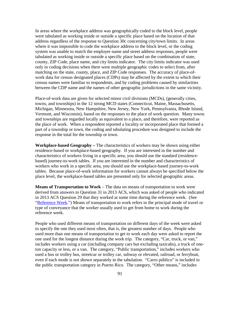In areas where the workplace address was geographically coded to the block level, people were tabulated as working inside or outside a specific place based on the location of that address regardless of the response to Question 30c concerning city/town limits. In areas where it was impossible to code the workplace address to the block level, or the coding system was unable to match the employer name and street address responses, people were tabulated as working inside or outside a specific place based on the combination of state, county, ZIP Code, place name, and city limits indicator. The city limits indicator was used only in coding decisions when there were multiple geographic codes to select from, after matching on the state, county, place, and ZIP Code responses. The accuracy of place-ofwork data for census designated places (CDPs) may be affected by the extent to which their census names were familiar to respondents, and by coding problems caused by similarities between the CDP name and the names of other geographic jurisdictions in the same vicinity.

Place-of-work data are given for selected minor civil divisions (MCDs), (generally cities, towns, and townships) in the 12 strong MCD states (Connecticut, Maine, Massachusetts, Michigan, Minnesota, New Hampshire, New Jersey, New York, Pennsylvania, Rhode Island, Vermont, and Wisconsin), based on the responses to the place of work question. Many towns and townships are regarded locally as equivalent to a place, and therefore, were reported as the place of work. When a respondent reported a locality or incorporated place that formed a part of a township or town, the coding and tabulating procedure was designed to include the response in the total for the township or town.

**Workplace-based Geography –** The characteristics of workers may be shown using either residence-based or workplace-based geography. If you are interested in the number and characteristics of workers living in a specific area, you should use the standard (residencebased) journey-to-work tables. If you are interested in the number and characteristics of workers who work in a specific area, you should use the workplace-based journey-to-work tables. Because place-of-work information for workers cannot always be specified below the place level, the workplace-based tables are presented only for selected geographic areas.

**Means of Transportation to Work** – The data on means of transportation to work were derived from answers to Question 31 in 2013 ACS, which was asked of people who indicated in 2013 ACS Question 29 that they worked at some time during the reference week. (See ["Reference Week.](#page-115-0)") Means of transportation to work refers to the principal mode of travel or type of conveyance that the worker usually used to get from home to work during the reference week.

People who used different means of transportation on different days of the week were asked to specify the one they used most often, that is, the greatest number of days. People who used more than one means of transportation to get to work each day were asked to report the one used for the longest distance during the work trip. The category, "Car, truck, or van," includes workers using a car (including company cars but excluding taxicabs), a truck of oneton capacity or less, or a van. The category, "Public transportation," includes workers who used a bus or trolley bus, streetcar or trolley car, subway or elevated, railroad, or ferryboat, even if each mode is not shown separately in the tabulation. "Carro público" is included in the public transportation category in Puerto Rico. The category, "Other means," includes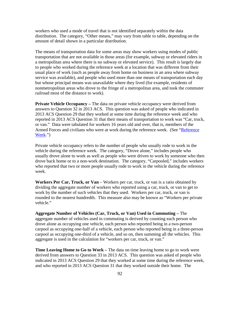workers who used a mode of travel that is not identified separately within the data distribution. The category, "Other means," may vary from table to table, depending on the amount of detail shown in a particular distribution.

The means of transportation data for some areas may show workers using modes of public transportation that are not available in those areas (for example, subway or elevated riders in a metropolitan area where there is no subway or elevated service). This result is largely due to people who worked during the reference week at a location that was different from their usual place of work (such as people away from home on business in an area where subway service was available), and people who used more than one means of transportation each day but whose principal means was unavailable where they lived (for example, residents of nonmetropolitan areas who drove to the fringe of a metropolitan area, and took the commuter railroad most of the distance to work).

**Private Vehicle Occupancy –** The data on private vehicle occupancy were derived from answers to Question 32 in 2013 ACS. This question was asked of people who indicated in 2013 ACS Question 29 that they worked at some time during the reference week and who reported in 2013 ACS Question 31 that their means of transportation to work was "Car, truck, or van." Data were tabulated for workers 16 years old and over, that is, members of the Armed Forces and civilians who were at work during the reference week. (See ["Reference](#page-115-0)  [Week.](#page-115-0)")

Private vehicle occupancy refers to the number of people who usually rode to work in the vehicle during the reference week. The category, "Drove alone," includes people who usually drove alone to work as well as people who were driven to work by someone who then drove back home or to a non-work destination. The category, "Carpooled," includes workers who reported that two or more people usually rode to work in the vehicle during the reference week.

**Workers Per Car, Truck, or Van** – Workers per car, truck, or van is a ratio obtained by dividing the aggregate number of workers who reported using a car, truck, or van to get to work by the number of such vehicles that they used. Workers per car, truck, or van is rounded to the nearest hundredth. This measure also may be known as "Workers per private vehicle."

**Aggregate Number of Vehicles (Car, Truck, or Van) Used in Commuting –** The aggregate number of vehicles used in commuting is derived by counting each person who drove alone as occupying one vehicle, each person who reported being in a two-person carpool as occupying one-half of a vehicle, each person who reported being in a three-person carpool as occupying one-third of a vehicle, and so on, then summing all the vehicles. This aggregate is used in the calculation for "workers per car, truck, or van."

<span id="page-91-0"></span>**Time Leaving Home to Go to Work –** The data on time leaving home to go to work were derived from answers to Question 33 in 2013 ACS. This question was asked of people who indicated in 2013 ACS Question 29 that they worked at some time during the reference week, and who reported in 2013 ACS Question 31 that they worked outside their home. The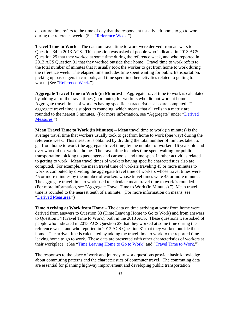departure time refers to the time of day that the respondent usually left home to go to work during the reference week. (See ["Reference Week.](#page-115-0)")

<span id="page-92-0"></span>**Travel Time to Work –** The data on travel time to work were derived from answers to Question 34 in 2013 ACS. This question was asked of people who indicated in 2013 ACS Question 29 that they worked at some time during the reference week, and who reported in 2013 ACS Question 31 that they worked outside their home. Travel time to work refers to the total number of minutes that it usually took the worker to get from home to work during the reference week. The elapsed time includes time spent waiting for public transportation, picking up passengers in carpools, and time spent in other activities related to getting to work. (See ["Reference Week.](#page-115-0)")

**Aggregate Travel Time to Work (in Minutes)** – Aggregate travel time to work is calculated by adding all of the travel times (in minutes) for workers who did not work at home. Aggregate travel times of workers having specific characteristics also are computed. The aggregate travel time is subject to rounding, which means that all cells in a matrix are rounded to the nearest 5 minutes. (For more information, see "Aggregate" under "Derived [Measures.](#page-130-0)")

**Mean Travel Time to Work (in Minutes)** – Mean travel time to work (in minutes) is the average travel time that workers usually took to get from home to work (one way) during the reference week. This measure is obtained by dividing the total number of minutes taken to get from home to work (the aggregate travel time) by the number of workers 16 years old and over who did not work at home. The travel time includes time spent waiting for public transportation, picking up passengers and carpools, and time spent in other activities related to getting to work. Mean travel times of workers having specific characteristics also are computed. For example, the mean travel time of workers traveling 45 or more minutes to work is computed by dividing the aggregate travel time of workers whose travel times were 45 or more minutes by the number of workers whose travel times were 45 or more minutes. The aggregate travel time to work used to calculate mean travel time to work is rounded. (For more information, see "Aggregate Travel Time to Work (in Minutes).") Mean travel time is rounded to the nearest tenth of a minute. (For more information on means, see ["Derived Measures.](#page-130-0)")

**Time Arriving at Work from Home** – The data on time arriving at work from home were derived from answers to Question 33 (Time Leaving Home to Go to Work) and from answers to Question 34 (Travel Time to Work), both in the 2013 ACS. These questions were asked of people who indicated in 2013 ACS Question 29 that they worked at some time during the reference week, and who reported in 2013 ACS Question 31 that they worked outside their home. The arrival time is calculated by adding the travel time to work to the reported time leaving home to go to work. These data are presented with other characteristics of workers at their workplace. (See ["Time Leaving Home to Go to Work"](#page-91-0) and ["Travel Time to Work.](#page-92-0)")

The responses to the place of work and journey to work questions provide basic knowledge about commuting patterns and the characteristics of commuter travel. The commuting data are essential for planning highway improvement and developing public transportation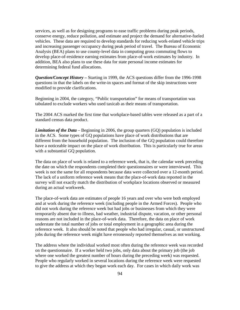services, as well as for designing programs to ease traffic problems during peak periods, conserve energy, reduce pollution, and estimate and project the demand for alternative-fueled vehicles. These data are required to develop standards for reducing work-related vehicle trips and increasing passenger occupancy during peak period of travel. The Bureau of Economic Analysis (BEA) plans to use county-level data in computing gross commuting flows to develop place-of-residence earning estimates from place-of-work estimates by industry. In addition, BEA also plans to use these data for state personal income estimates for determining federal fund allocations.

*Question/Concept History –* Starting in 1999, the ACS questions differ from the 1996-1998 questions in that the labels on the write-in spaces and format of the skip instructions were modified to provide clarifications.

Beginning in 2004, the category, "Public transportation" for means of transportation was tabulated to exclude workers who used taxicab as their means of transportation.

The 2004 ACS marked the first time that workplace-based tables were released as a part of a standard census data product.

*Limitation of the Data* – Beginning in 2006, the group quarters (GQ) population is included in the ACS. Some types of GQ populations have place of work distributions that are different from the household population. The inclusion of the GQ population could therefore have a noticeable impact on the place of work distribution. This is particularly true for areas with a substantial GO population.

The data on place of work is related to a reference week, that is, the calendar week preceding the date on which the respondents completed their questionnaires or were interviewed. This week is not the same for all respondents because data were collected over a 12-month period. The lack of a uniform reference week means that the place-of-work data reported in the survey will not exactly match the distribution of workplace locations observed or measured during an actual workweek.

The place-of-work data are estimates of people 16 years and over who were both employed and at work during the reference week (including people in the Armed Forces). People who did not work during the reference week but had jobs or businesses from which they were temporarily absent due to illness, bad weather, industrial dispute, vacation, or other personal reasons are not included in the place-of-work data. Therefore, the data on place of work understate the total number of jobs or total employment in a geographic area during the reference week. It also should be noted that people who had irregular, casual, or unstructured jobs during the reference week might have erroneously reported themselves as not working.

The address where the individual worked most often during the reference week was recorded on the questionnaire. If a worker held two jobs, only data about the primary job (the job where one worked the greatest number of hours during the preceding week) was requested. People who regularly worked in several locations during the reference week were requested to give the address at which they began work each day. For cases in which daily work was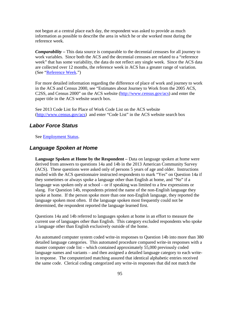not begun at a central place each day, the respondent was asked to provide as much information as possible to describe the area in which he or she worked most during the reference week.

*Comparability* **–** This data source is comparable to the decennial censuses for all journey to work variables. Since both the ACS and the decennial censuses are related to a "reference week" that has some variability, the data do not reflect any single week. Since the ACS data are collected over 12 months, the reference week in ACS has a greater range of variation. (See ["Reference Week.](#page-115-0)")

For more detailed information regarding the difference of place of work and journey to work in the ACS and Census 2000, see "Estimates about Journey to Work from the 2005 ACS, C2SS, and Census 2000" on the ACS website [\(http://www.census.gov/acs\)](http://www.census.gov/acs) and enter the paper title in the ACS website search box.

See 2013 Code List for Place of Work Code List on the ACS website [\(http://www.census.gov/acs\)](http://www.census.gov/acs) and enter "Code List" in the ACS website search box

# *Labor Force Status*

See [Employment Status.](#page-62-0)

#### *Language Spoken at Home*

**Language Spoken at Home by the Respondent –** Data on language spoken at home were derived from answers to questions 14a and 14b in the 2013 American Community Survey (ACS). These questions were asked only of persons 5 years of age and older. Instructions mailed with the ACS questionnaire instructed respondents to mark "Yes" on Question 14a if they sometimes or always spoke a language other than English at home, and "No" if a language was spoken only at school – or if speaking was limited to a few expressions or slang. For Question 14b, respondents printed the name of the non-English language they spoke at home. If the person spoke more than one non-English language, they reported the language spoken most often. If the language spoken most frequently could not be determined, the respondent reported the language learned first.

Questions 14a and 14b referred to languages spoken at home in an effort to measure the current use of languages other than English. This category excluded respondents who spoke a language other than English exclusively outside of the home.

An automated computer system coded write-in responses to Question 14b into more than 380 detailed language categories. This automated procedure compared write-in responses with a master computer code list – which contained approximately 55,000 previously coded language names and variants – and then assigned a detailed language category to each writein response. The computerized matching assured that identical alphabetic entries received the same code. Clerical coding categorized any write-in responses that did not match the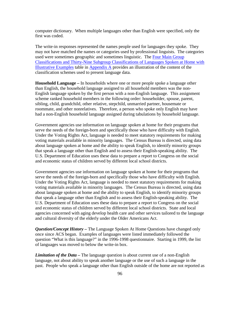computer dictionary. When multiple languages other than English were specified, only the first was coded.

The write-in responses represented the names people used for languages they spoke. They may not have matched the names or categories used by professional linguists. The categories used were sometimes geographic and sometimes linguistic. The [Four Main Group](#page-137-0)  [Classifications and Thirty-Nine Subgroup Classifications of Languages Spoken at Home with](#page-137-0)  [Illustrative Examples](#page-137-0) table in [Appendix A](#page-137-1) provides an illustration of the content of the classification schemes used to present language data.

**Household Language –** In households where one or more people spoke a language other than English, the household language assigned to all household members was the non-English language spoken by the first person with a non-English language. This assignment scheme ranked household members in the following order: householder, spouse, parent, sibling, child, grandchild, other relative, stepchild, unmarried partner, housemate or roommate, and other nonrelatives. Therefore, a person who spoke only English may have had a non-English household language assigned during tabulations by household language.

Government agencies use information on language spoken at home for their programs that serve the needs of the foreign-born and specifically those who have difficulty with English. Under the Voting Rights Act, language is needed to meet statutory requirements for making voting materials available in minority languages. The Census Bureau is directed, using data about language spoken at home and the ability to speak English, to identify minority groups that speak a language other than English and to assess their English-speaking ability. The U.S. Department of Education uses these data to prepare a report to Congress on the social and economic status of children served by different local school districts.

Government agencies use information on language spoken at home for their programs that serve the needs of the foreign-born and specifically those who have difficulty with English. Under the Voting Rights Act, language is needed to meet statutory requirements for making voting materials available in minority languages. The Census Bureau is directed, using data about language spoken at home and the ability to speak English, to identify minority groups that speak a language other than English and to assess their English-speaking ability. The U.S. Department of Education uses these data to prepare a report to Congress on the social and economic status of children served by different local school districts. State and local agencies concerned with aging develop health care and other services tailored to the language and cultural diversity of the elderly under the Older Americans Act.

*Question/Concept History –* The Language Spoken At Home Questions have changed only once since ACS began. Examples of languages were listed immediately followed the question "What is this language?" in the 1996-1998 questionnaire. Starting in 1999, the list of languages was moved to below the write-in box.

*Limitation of the Data* – The language question is about current use of a non-English language, not about ability to speak another language or the use of such a language in the past. People who speak a language other than English outside of the home are not reported as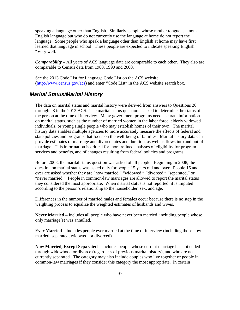speaking a language other than English. Similarly, people whose mother tongue is a non-English language but who do not currently use the language at home do not report the language. Some people who speak a language other than English at home may have first learned that language in school. These people are expected to indicate speaking English "Very well."

*Comparability –* All years of ACS language data are comparable to each other. They also are comparable to Census data from 1980, 1990 and 2000.

See the 2013 Code List for Language Code List on the ACS website [\(http://www.census.gov/acs\)](http://www.census.gov/acs) and enter "Code List" in the ACS website search box.

## *Marital Status/Marital History*

The data on marital status and marital history were derived from answers to Questions 20 through 23 in the 2013 ACS. The marital status question is asked to determine the status of the person at the time of interview. Many government programs need accurate information on marital status, such as the number of married women in the labor force, elderly widowed individuals, or young single people who may establish homes of their own. The marital history data enables multiple agencies to more accurately measure the effects of federal and state policies and programs that focus on the well-being of families. Marital history data can provide estimates of marriage and divorce rates and duration, as well as flows into and out of marriage. This information is critical for more refined analyses of eligibility for program services and benefits, and of changes resulting from federal policies and programs.

Before 2008, the marital status question was asked of all people. Beginning in 2008, the question on marital status was asked only for people 15 years old and over. People 15 and over are asked whether they are "now married," "widowed," "divorced," "separated," or "never married." People in common-law marriages are allowed to report the marital status they considered the most appropriate. When marital status is not reported, it is imputed according to the person's relationship to the householder, sex, and age.

Differences in the number of married males and females occur because there is no step in the weighting process to equalize the weighted estimates of husbands and wives.

**Never Married –** Includes all people who have never been married, including people whose only marriage(s) was annulled.

**Ever Married –** Includes people ever married at the time of interview (including those now married, separated, widowed, or divorced).

**Now Married, Except Separated –** Includes people whose current marriage has not ended through widowhood or divorce (regardless of previous marital history), and who are not currently separated. The category may also include couples who live together or people in common-law marriages if they consider this category the most appropriate. In certain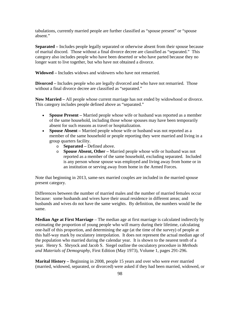tabulations, currently married people are further classified as "spouse present" or "spouse absent."

**Separated –** Includes people legally separated or otherwise absent from their spouse because of marital discord. Those without a final divorce decree are classified as "separated." This category also includes people who have been deserted or who have parted because they no longer want to live together, but who have not obtained a divorce.

**Widowed –** Includes widows and widowers who have not remarried.

**Divorced –** Includes people who are legally divorced and who have not remarried. Those without a final divorce decree are classified as "separated."

**Now Married –** All people whose current marriage has not ended by widowhood or divorce. This category includes people defined above as "separated."

- **Spouse Present –** Married people whose wife or husband was reported as a member of the same household, including those whose spouses may have been temporarily absent for such reasons as travel or hospitalization.
- **Spouse Absent –** Married people whose wife or husband was not reported as a member of the same household or people reporting they were married and living in a group quarters facility.
	- o **Separated –** Defined above.
	- o **Spouse Absent, Other –** Married people whose wife or husband was not reported as a member of the same household, excluding separated. Included is any person whose spouse was employed and living away from home or in an institution or serving away from home in the Armed Forces.

Note that beginning in 2013, same-sex married couples are included in the married spouse present category.

Differences between the number of married males and the number of married females occur because: some husbands and wives have their usual residence in different areas; and husbands and wives do not have the same weights. By definition, the numbers would be the same.

**Median Age at First Marriage** – The median age at first marriage is calculated indirectly by estimating the proportion of young people who will marry during their lifetime, calculating one-half of this proportion, and determining the age (at the time of the survey) of people at this half-way mark by osculatory interpolation. It does not represent the actual median age of the population who married during the calendar year. It is shown to the nearest tenth of a year. Henry S. Shryock and Jacob S. Siegel outline the osculatory procedure in *Methods and Materials of Demography*, First Edition (May 1973), Volume 1, pages 291-296.

**Marital History** *–* Beginning in 2008, people 15 years and over who were ever married (married, widowed, separated, or divorced) were asked if they had been married, widowed, or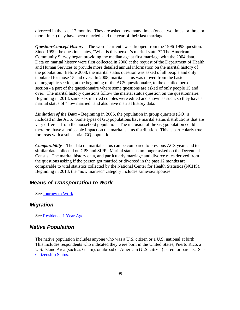divorced in the past 12 months. They are asked how many times (once, two times, or three or more times) they have been married, and the year of their last marriage.

*Question/Concept History –* The word "current" was dropped from the 1996-1998 question. Since 1999, the question states, "What is this person's marital status?" The American Community Survey began providing the median age at first marriage with the 2004 data. Data on marital history were first collected in 2008 at the request of the Department of Health and Human Services to provide more detailed annual information on the marital history of the population. Before 2008, the marital status question was asked of all people and only tabulated for those 15 and over. In 2008, marital status was moved from the basic demographic section, at the beginning of the ACS questionnaire, to the detailed person section - a part of the questionnaire where some questions are asked of only people 15 and over. The marital history questions follow the marital status question on the questionnaire. Beginning in 2013, same-sex married couples were edited and shown as such, so they have a marital status of "now married" and also have marital history data.

*Limitation of the Data –* Beginning in 2006, the population in group quarters (GQ) is included in the ACS. Some types of GQ populations have marital status distributions that are very different from the household population. The inclusion of the GQ population could therefore have a noticeable impact on the marital status distribution. This is particularly true for areas with a substantial GQ population.

*Comparability* – The data on marital status can be compared to previous ACS years and to similar data collected on CPS and SIPP. Marital status is no longer asked on the Decennial Census. The marital history data, and particularly marriage and divorce rates derived from the questions asking if the person got married or divorced in the past 12 months are comparable to vital statistics collected by the National Center for Health Statistics (NCHS). Beginning in 2013, the "now married" category includes same-sex spouses.

## *Means of Transportation to Work*

See [Journey to Work.](#page-89-0)

## *Migration*

See [Residence 1 Year Ago.](#page-115-1)

#### *Native Population*

The native population includes anyone who was a U.S. citizen or a U.S. national at birth. This includes respondents who indicated they were born in the United States, Puerto Rico, a U.S. Island Area (such as Guam), or abroad of American (U.S. citizen) parent or parents. See [Citizenship Status.](#page-53-0)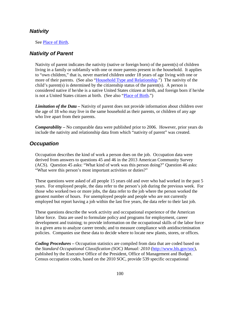## *Nativity*

See [Place of Birth.](#page-102-0)

### *Nativity of Parent*

Nativity of parent indicates the nativity (native or foreign born) of the parent(s) of children living in a family or subfamily with one or more parents present in the household. It applies to "own children," that is, never married children under 18 years of age living with one or more of their parents. (See also ["Household Type and Relationship.](#page-73-0)") The nativity of the child's parent(s) is determined by the citizenship status of the parent(s). A person is considered native if he/she is a native United States citizen at birth, and foreign born if he/she is not a United States citizen at birth. (See also ["Place of Birth.](#page-102-0)")

*Limitation of the Data* – Nativity of parent does not provide information about children over the age of 18 who may live in the same household as their parents, or children of any age who live apart from their parents.

*Comparability –* No comparable data were published prior to 2006. However, prior years do include the nativity and relationship data from which "nativity of parent" was created.

#### <span id="page-99-0"></span>*Occupation*

Occupation describes the kind of work a person does on the job. Occupation data were derived from answers to questions 45 and 46 in the 2013 American Community Survey (ACS). Question 45 asks: "What kind of work was this person doing?" Question 46 asks: "What were this person's most important activities or duties?"

These questions were asked of all people 15 years old and over who had worked in the past 5 years. For employed people, the data refer to the person's job during the previous week. For those who worked two or more jobs, the data refer to the job where the person worked the greatest number of hours. For unemployed people and people who are not currently employed but report having a job within the last five years, the data refer to their last job.

These questions describe the work activity and occupational experience of the American labor force. Data are used to formulate policy and programs for employment, career development and training; to provide information on the occupational skills of the labor force in a given area to analyze career trends; and to measure compliance with antidiscrimination policies. Companies use these data to decide where to locate new plants, stores, or offices.

*Coding Procedures –* Occupation statistics are compiled from data that are coded based on the *Standard Occupational Classification (SOC) Manual: 2010* [\(http://www.bls.gov/soc\)](http://www.bls.gov/soc), published by the Executive Office of the President, Office of Management and Budget. Census occupation codes, based on the 2010 SOC, provide 539 specific occupational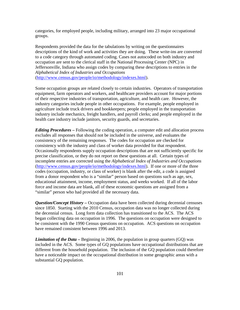categories, for employed people, including military, arranged into 23 major occupational groups.

Respondents provided the data for the tabulations by writing on the questionnaires descriptions of the kind of work and activities they are doing. These write-ins are converted to a code category through automated coding. Cases not autocoded on both industry and occupation are sent to the clerical staff in the National Processing Center (NPC) in Jeffersonville, Indiana who assign codes by comparing these descriptions to entries in the *Alphabetical Index of Industries and Occupations* [\(http://www.census.gov/people/io/methodology/indexes.html\)](http://www.census.gov/people/io/methodology/indexes.html).

Some occupation groups are related closely to certain industries. Operators of transportation equipment, farm operators and workers, and healthcare providers account for major portions of their respective industries of transportation, agriculture, and health care. However, the industry categories include people in other occupations. For example, people employed in agriculture include truck drivers and bookkeepers; people employed in the transportation industry include mechanics, freight handlers, and payroll clerks; and people employed in the health care industry include janitors, security guards, and secretaries.

*Editing Procedures –* Following the coding operation, a computer edit and allocation process excludes all responses that should not be included in the universe, and evaluates the consistency of the remaining responses. The codes for occupation are checked for consistency with the industry and class of worker data provided for that respondent. Occasionally respondents supply occupation descriptions that are not sufficiently specific for precise classification, or they do not report on these questions at all. Certain types of incomplete entries are corrected using the *Alphabetical Index of Industries and Occupations* [\(http://www.census.gov/people/io/methodology/indexes.html\)](http://www.census.gov/people/io/methodology/indexes.html). If one or more of the three codes (occupation, industry, or class of worker) is blank after the edit, a code is assigned from a donor respondent who is a "similar" person based on questions such as age, sex, educational attainment, income, employment status, and weeks worked. If all of the labor force and income data are blank, all of these economic questions are assigned from a "similar" person who had provided all the necessary data.

*Question/Concept History – Occupation data have been collected during decennial censuses* since 1850. Starting with the 2010 Census, occupation data was no longer collected during the decennial census. Long form data collection has transitioned to the ACS. The ACS began collecting data on occupation in 1996. The questions on occupation were designed to be consistent with the 1990 Census questions on occupation. ACS questions on occupation have remained consistent between 1996 and 2013.

*Limitation of the Data* – Beginning in 2006, the population in group quarters (GO) was included in the ACS. Some types of GQ populations have occupational distributions that are different from the household population. The inclusion of the GQ population could therefore have a noticeable impact on the occupational distribution in some geographic areas with a substantial GQ population.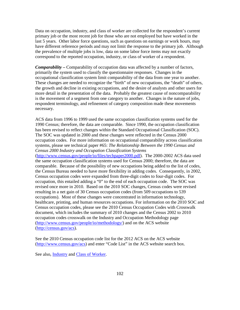Data on occupation, industry, and class of worker are collected for the respondent's current primary job or the most recent job for those who are not employed but have worked in the last 5 years. Other labor force questions, such as questions on earnings or work hours, may have different reference periods and may not limit the response to the primary job. Although the prevalence of multiple jobs is low, data on some labor force items may not exactly correspond to the reported occupation, industry, or class of worker of a respondent.

*Comparability –* Comparability of occupation data was affected by a number of factors, primarily the system used to classify the questionnaire responses. Changes in the occupational classification system limit comparability of the data from one year to another. These changes are needed to recognize the "birth" of new occupations, the "death" of others, the growth and decline in existing occupations, and the desire of analysts and other users for more detail in the presentation of the data. Probably the greatest cause of noncomparability is the movement of a segment from one category to another. Changes in the nature of jobs, respondent terminology, and refinement of category composition made these movements necessary.

ACS data from 1996 to 1999 used the same occupation classification systems used for the 1990 Census; therefore, the data are comparable. Since 1990, the occupation classification has been revised to reflect changes within the Standard Occupational Classification (SOC). The SOC was updated in 2000 and these changes were reflected in the Census 2000 occupation codes. For more information on occupational comparability across classification systems, please see technical paper #65: *The Relationship Between the 1990 Census and Census 2000 Industry and Occupation Classification Systems* [\(http://www.census.gov/people/io/files/techpaper2000.pdf\)](http://www.census.gov/people/io/files/techpaper2000.pdf). The 2000-2002 ACS data used the same occupation classification systems used for Census 2000; therefore, the data are comparable. Because of the possibility of new occupations being added to the list of codes, the Census Bureau needed to have more flexibility in adding codes. Consequently, in 2002, Census occupation codes were expanded from three-digit codes to four-digit codes. For occupation, this entailed adding a "0" to the end of each occupation code. The SOC was revised once more in 2010. Based on the 2010 SOC changes, Census codes were revised resulting in a net gain of 30 Census occupation codes (from 509 occupations to 539 occupations). Most of these changes were concentrated in information technology, healthcare, printing, and human resources occupations. For information on the 2010 SOC and Census occupation codes, please see the 2010 Census Occupation Codes with Crosswalk document, which includes the summary of 2010 changes and the Census 2002 to 2010 occupation codes crosswalk on the Industry and Occupation Methodology page [\(http://www.census.gov/people/io/methodology/\)](http://www.census.gov/people/io/methodology/) and on the ACS website [\(http://census.gov/acs\)](http://census.gov/acs).

See the 2010 Census occupation code list for the 2012 ACS on the ACS website [\(http://www.census.gov/acs\)](http://www.census.gov/acs) and enter "Code List" in the ACS website search box.

See also, [Industry](#page-86-0) and [Class of Worker.](#page-55-0)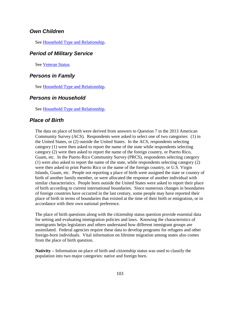# *Own Children*

See [Household Type and Relationship.](#page-73-0)

## *Period of Military Service*

See [Veteran Status.](#page-121-0)

## *Persons in Family*

See [Household Type and Relationship.](#page-73-0)

# *Persons in Household*

See [Household Type and Relationship.](#page-73-0)

# <span id="page-102-0"></span>*Place of Birth*

The data on place of birth were derived from answers to Question 7 in the 2013 American Community Survey (ACS). Respondents were asked to select one of two categories: (1) in the United States, or (2) outside the United States. In the ACS, respondents selecting category (1) were then asked to report the name of the state while respondents selecting category (2) were then asked to report the name of the foreign country, or Puerto Rico, Guam, etc. In the Puerto Rico Community Survey (PRCS), respondents selecting category (1) were also asked to report the name of the state, while respondents selecting category (2) were then asked to print Puerto Rico or the name of the foreign country, or U.S. Virgin Islands, Guam, etc. People not reporting a place of birth were assigned the state or country of birth of another family member, or were allocated the response of another individual with similar characteristics. People born outside the United States were asked to report their place of birth according to current international boundaries. Since numerous changes in boundaries of foreign countries have occurred in the last century, some people may have reported their place of birth in terms of boundaries that existed at the time of their birth or emigration, or in accordance with their own national preference.

The place of birth questions along with the citizenship status question provide essential data for setting and evaluating immigration policies and laws. Knowing the characteristics of immigrants helps legislators and others understand how different immigrant groups are assimilated. Federal agencies require these data to develop programs for refugees and other foreign-born individuals. Vital information on lifetime migration among states also comes from the place of birth question.

**Nativity –** Information on place of birth and citizenship status was used to classify the population into two major categories: native and foreign born.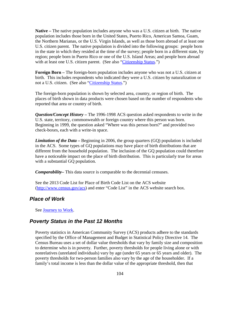**Native –** The native population includes anyone who was a U.S. citizen at birth. The native population includes those born in the United States, Puerto Rico, American Samoa, Guam, the Northern Marianas, or the U.S. Virgin Islands, as well as those born abroad of at least one U.S. citizen parent. The native population is divided into the following groups: people born in the state in which they resided at the time of the survey; people born in a different state, by region; people born in Puerto Rico or one of the U.S. Island Areas; and people born abroad with at least one U.S. citizen parent. (See also ["Citizenship Status.](#page-53-0)")

**Foreign Born –** The foreign-born population includes anyone who was not a U.S. citizen at birth. This includes respondents who indicated they were a U.S. citizen by naturalization or not a U.S. citizen. (See also ["Citizenship Status.](#page-53-0)")

The foreign-born population is shown by selected area, country, or region of birth. The places of birth shown in data products were chosen based on the number of respondents who reported that area or country of birth.

*Question/Concept History* **–** The 1996-1998 ACS question asked respondents to write in the U.S. state, territory, commonwealth or foreign country where this person was born. Beginning in 1999, the question asked "Where was this person born?" and provided two check-boxes, each with a write-in space.

*Limitation of the Data* – Beginning in 2006, the group quarters (GQ) population is included in the ACS. Some types of GQ populations may have place of birth distributions that are different from the household population. The inclusion of the GQ population could therefore have a noticeable impact on the place of birth distribution. This is particularly true for areas with a substantial GQ population.

*Comparability–* This data source is comparable to the decennial censuses.

See the 2013 Code List for Place of Birth Code List on the ACS website [\(http://www.census.gov/acs\)](http://www.census.gov/acs) and enter "Code List" in the ACS website search box.

## *Place of Work*

See [Journey to Work.](#page-89-0)

## *Poverty Status in the Past 12 Months*

Poverty statistics in American Community Survey (ACS) products adhere to the standards specified by the Office of Management and Budget in Statistical Policy Directive 14. The Census Bureau uses a set of dollar value thresholds that vary by family size and composition to determine who is in poverty. Further, poverty thresholds for people living alone or with nonrelatives (unrelated individuals) vary by age (under 65 years or 65 years and older). The poverty thresholds for two-person families also vary by the age of the householder. If a family's total income is less than the dollar value of the appropriate threshold, then that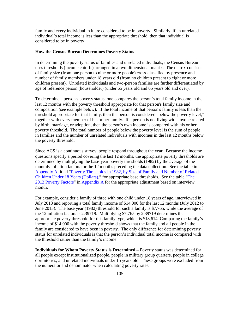family and every individual in it are considered to be in poverty. Similarly, if an unrelated individual's total income is less than the appropriate threshold, then that individual is considered to be in poverty.

#### **How the Census Bureau Determines Poverty Status**

In determining the poverty status of families and unrelated individuals, the Census Bureau uses thresholds (income cutoffs) arranged in a two-dimensional matrix. The matrix consists of family size (from one person to nine or more people) cross-classified by presence and number of family members under 18 years old (from no children present to eight or more children present). Unrelated individuals and two-person families are further differentiated by age of reference person (householder) (under 65 years old and 65 years old and over).

To determine a person's poverty status, one compares the person's total family income in the last 12 months with the poverty threshold appropriate for that person's family size and composition (see example below). If the total income of that person's family is less than the threshold appropriate for that family, then the person is considered "below the poverty level," together with every member of his or her family. If a person is not living with anyone related by birth, marriage, or adoption, then the person's own income is compared with his or her poverty threshold. The total number of people below the poverty level is the sum of people in families and the number of unrelated individuals with incomes in the last 12 months below the poverty threshold.

Since ACS is a continuous survey, people respond throughout the year. Because the income questions specify a period covering the last 12 months, the appropriate poverty thresholds are determined by multiplying the base-year poverty thresholds (1982) by the average of the monthly inflation factors for the 12 months preceding the data collection. See the table in [Appendix A](#page-137-1) titled ["Poverty Thresholds in 1982, by Size of Family and Number of Related](#page-141-0)  [Children Under 18 Years \(Dollars\),](#page-141-0)" for appropriate base thresholds. See the table ["The](#page-140-0)  2013 [Poverty Factors"](#page-140-0) in [Appendix A](#page-137-1) for the appropriate adjustment based on interview month.

For example, consider a family of three with one child under 18 years of age, interviewed in July 2013 and reporting a total family income of \$14,000 for the last 12 months (July 2012 to June 2013). The base year (1982) threshold for such a family is \$7,765, while the average of the 12 inflation factors is 2.39719. Multiplying \$7,765 by 2.39719 determines the appropriate poverty threshold for this family type, which is \$18,614. Comparing the family's income of \$14,000 with the poverty threshold shows that the family and all people in the family are considered to have been in poverty. The only difference for determining poverty status for unrelated individuals is that the person's individual total income is compared with the threshold rather than the family's income.

**Individuals for Whom Poverty Status is Determined –** Poverty status was determined for all people except institutionalized people, people in military group quarters, people in college dormitories, and unrelated individuals under 15 years old. These groups were excluded from the numerator and denominator when calculating poverty rates.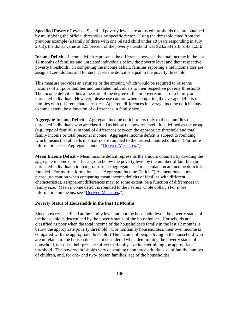**Specified Poverty Levels –** Specified poverty levels are adjusted thresholds that are obtained by multiplying the official thresholds by specific factor. Using the threshold cited from the previous example (a family of three with one related child under 18 years responding in July 2013), the dollar value at 125 percent of the poverty threshold was \$23,268 (\$18,614x 1.25).

**Income Deficit –** Income deficit represents the difference between the total income in the last 12 months of families and unrelated individuals below the poverty level and their respective poverty thresholds. In computing the income deficit, families reporting a net income loss are assigned zero dollars and for such cases the deficit is equal to the poverty threshold.

This measure provides an estimate of the amount, which would be required to raise the incomes of all poor families and unrelated individuals to their respective poverty thresholds. The income deficit is thus a measure of the degree of the impoverishment of a family or unrelated individual. However, please use caution when comparing the average deficits of families with different characteristics. Apparent differences in average income deficits may, to some extent, be a function of differences in family size.

**Aggregate Income Deficit –** Aggregate income deficit refers only to those families or unrelated individuals who are classified as below the poverty level. It is defined as the group (e.g., type of family) sum total of differences between the appropriate threshold and total family income or total personal income. Aggregate income deficit is subject to rounding, which means that all cells in a matrix are rounded to the nearest hundred dollars. (For more information, see "Aggregate" under ["Derived Measures.](#page-130-0)")

**Mean Income Deficit –** Mean income deficit represents the amount obtained by dividing the aggregate income deficit for a group below the poverty level by the number of families (or unrelated individuals) in that group. (The aggregate used to calculate mean income deficit is rounded. For more information, see "Aggregate Income Deficit.") As mentioned above, please use caution when comparing mean income deficits of families with different characteristics, as apparent differences may, to some extent, be a function of differences in family size. Mean income deficit is rounded to the nearest whole dollar. (For more information on means, see ["Derived Measures.](#page-130-0)")

#### **Poverty Status of Households in the Past 12 Months**

Since poverty is defined at the family level and not the household level, the poverty status of the household is determined by the poverty status of the householder. Households are classified as poor when the total income of the householder's family in the last 12 months is below the appropriate poverty threshold. (For nonfamily householders, their own income is compared with the appropriate threshold.) The income of people living in the household who are unrelated to the householder is not considered when determining the poverty status of a household, nor does their presence affect the family size in determining the appropriate threshold. The poverty thresholds vary depending upon three criteria: size of family, number of children, and, for one- and two- person families, age of the householder.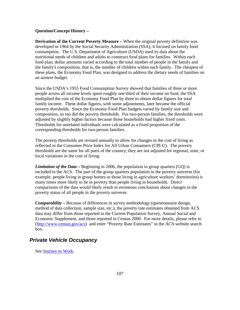#### **Question/Concept History –**

**Derivation of the Current Poverty Measure –** When the original poverty definition was developed in 1964 by the Social Security Administration (SSA), it focused on family food consumption. The U.S. Department of Agriculture (USDA) used its data about the nutritional needs of children and adults to construct food plans for families. Within each food plan, dollar amounts varied according to the total number of people in the family and the family's composition, that is, the number of children within each family. The cheapest of these plans, the Economy Food Plan, was designed to address the dietary needs of families on an austere budget.

Since the USDA's 1955 Food Consumption Survey showed that families of three or more people across all income levels spent roughly one-third of their income on food, the SSA multiplied the cost of the Economy Food Plan by three to obtain dollar figures for total family income. These dollar figures, with some adjustments, later became the official poverty thresholds. Since the Economy Food Plan budgets varied by family size and composition, so too did the poverty thresholds. For two-person families, the thresholds were adjusted by slightly higher factors because those households had higher fixed costs. Thresholds for unrelated individuals were calculated as a fixed proportion of the corresponding thresholds for two-person families.

The poverty thresholds are revised annually to allow for changes in the cost of living as reflected in the Consumer Price Index for All Urban Consumers (CPI-U). The poverty thresholds are the same for all parts of the country; they are not adjusted for regional, state, or local variations in the cost of living*.*

*Limitation of the Data* – Beginning in 2006, the population in group quarters (GQ) is included in the ACS. The part of the group quarters population in the poverty universe (for example, people living in group homes or those living in agriculture workers' dormitories) is many times more likely to be in poverty than people living in households. Direct comparisons of the data would likely result in erroneous conclusions about changes in the poverty status of all people in the poverty universe.

*Comparability –* Because of differences in survey methodology (questionnaire design, method of data collection, sample size, etc.), the poverty rate estimates obtained from ACS data may differ from those reported in the Current Population Survey, Annual Social and Economic Supplement, and those reported in Census 2000. For more details, please refer to [\(http://www.census.gov/acs\)](http://www.census.gov/acs) and enter "Poverty Rate Estimates" in the ACS website search box.

# *Private Vehicle Occupancy*

See [Journey to Work.](#page-89-0)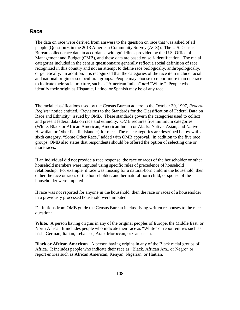#### *Race*

The data on race were derived from answers to the question on race that was asked of all people (Question 6 in the 2013 American Community Survey (ACS)). The U.S. Census Bureau collects race data in accordance with guidelines provided by the U.S. Office of Management and Budget (OMB), and these data are based on self-identification. The racial categories included in the census questionnaire generally reflect a social definition of race recognized in this country and not an attempt to define race biologically, anthropologically, or genetically. In addition, it is recognized that the categories of the race item include racial and national origin or sociocultural groups. People may choose to report more than one race to indicate their racial mixture, such as "American Indian" *and* "White." People who identify their origin as Hispanic, Latino, or Spanish may be of any race.

The racial classifications used by the Census Bureau adhere to the October 30, 1997, *Federal Register* notice entitled, "Revisions to the Standards for the Classification of Federal Data on Race and Ethnicity" issued by OMB. These standards govern the categories used to collect and present federal data on race and ethnicity. OMB requires five minimum categories (White, Black or African American, American Indian or Alaska Native, Asian, and Native Hawaiian or Other Pacific Islander) for race. The race categories are described below with a sixth category, "Some Other Race," added with OMB approval. In addition to the five race groups, OMB also states that respondents should be offered the option of selecting one or more races.

If an individual did not provide a race response, the race or races of the householder or other household members were imputed using specific rules of precedence of household relationship. For example, if race was missing for a natural-born child in the household, then either the race or races of the householder, another natural-born child, or spouse of the householder were imputed.

If race was not reported for anyone in the household, then the race or races of a householder in a previously processed household were imputed.

Definitions from OMB guide the Census Bureau in classifying written responses to the race question:

**White.** A person having origins in any of the original peoples of Europe, the Middle East, or North Africa. It includes people who indicate their race as "White" or report entries such as Irish, German, Italian, Lebanese, Arab, Moroccan, or Caucasian.

**Black or African American.** A person having origins in any of the Black racial groups of Africa. It includes people who indicate their race as "Black, African Am., or Negro" or report entries such as African American, Kenyan, Nigerian, or Haitian.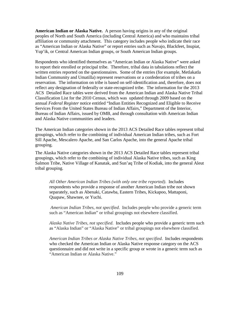**American Indian or Alaska Native.** A person having origins in any of the original peoples of North and South America (including Central America) and who maintains tribal affiliation or community attachment. This category includes people who indicate their race as "American Indian or Alaska Native" or report entries such as Navajo, Blackfeet, Inupiat, Yup'ik, or Central American Indian groups, or South American Indian groups.

Respondents who identified themselves as "American Indian or Alaska Native" were asked to report their enrolled or principal tribe. Therefore, tribal data in tabulations reflect the written entries reported on the questionnaires. Some of the entries (for example, Metlakatla Indian Community and Umatilla) represent reservations or a confederation of tribes on a reservation. The information on tribe is based on self-identification and, therefore, does not reflect any designation of federally or state-recognized tribe. The information for the 2013 ACS Detailed Race tables were derived from the American Indian and Alaska Native Tribal Classification List for the 2010 Census, which was updated through 2009 based on the annual *Federal Register* notice entitled "Indian Entities Recognized and Eligible to Receive Services From the United States Bureau of Indian Affairs," Department of the Interior, Bureau of Indian Affairs, issued by OMB, and through consultation with American Indian and Alaska Native communities and leaders.

The American Indian categories shown in the 2013 ACS Detailed Race tables represent tribal groupings, which refer to the combining of individual American Indian tribes, such as Fort Sill Apache, Mescalero Apache, and San Carlos Apache, into the general Apache tribal grouping.

The Alaska Native categories shown in the 2013 ACS Detailed Race tables represent tribal groupings, which refer to the combining of individual Alaska Native tribes, such as King Salmon Tribe, Native Village of Kanatak, and Sun'aq Tribe of Kodiak, into the general Aleut tribal grouping.

*All Other American Indian Tribes (with only one tribe reported)*. Includes respondents who provide a response of another American Indian tribe not shown separately, such as Abenaki, Catawba, Eastern Tribes, Kickapoo, Mattaponi, Quapaw, Shawnee, or Yuchi.

*American Indian Tribes, not specified*. Includes people who provide a generic term such as "American Indian" or tribal groupings not elsewhere classified.

*Alaska Native Tribes, not specified*. Includes people who provide a generic term such as "Alaska Indian" or "Alaska Native" or tribal groupings not elsewhere classified.

*American Indian Tribes or Alaska Native Tribes, not specified*. Includes respondents who checked the American Indian or Alaska Native response category on the ACS questionnaire and did not write in a specific group or wrote in a generic term such as "American Indian or Alaska Native."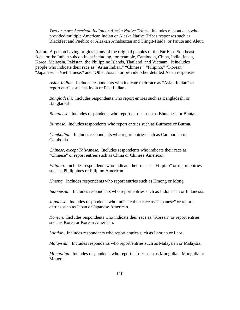*Two or more American Indian or Alaska Native Tribes*. Includes respondents who provided multiple American Indian or Alaska Native Tribes responses such as Blackfeet and Pueblo; or Alaskan Athabascan and Tlingit-Haida; or Paiute and Aleut.

**Asian.** A person having origins in any of the original peoples of the Far East, Southeast Asia, or the Indian subcontinent including, for example, Cambodia, China, India, Japan, Korea, Malaysia, Pakistan, the Philippine Islands, Thailand, and Vietnam. It includes people who indicate their race as "Asian Indian," "Chinese," "Filipino," "Korean," "Japanese," "Vietnamese," and "Other Asian" or provide other detailed Asian responses.

*Asian Indian.* Includes respondents who indicate their race as "Asian Indian" or report entries such as India or East Indian.

*Bangladeshi.* Includes respondents who report entries such as Bangladeshi or Bangladesh.

*Bhutanese*. Includes respondents who report entries such as Bhutanese or Bhutan.

*Burmese*. Includes respondents who report entries such as Burmese or Burma.

*Cambodian.* Includes respondents who report entries such as Cambodian or Cambodia.

*Chinese, except Taiwanese.* Includes respondents who indicate their race as "Chinese" or report entries such as China or Chinese American.

*Filipino.* Includes respondents who indicate their race as "Filipino" or report entries such as Philippines or Filipino American.

*Hmong.* Includes respondents who report entries such as Hmong or Mong.

*Indonesian*. Includes respondents who report entries such as Indonesian or Indonesia.

*Japanese.* Includes respondents who indicate their race as "Japanese" or report entries such as Japan or Japanese American.

*Korean.* Includes respondents who indicate their race as "Korean" or report entries such as Korea or Korean American.

*Laotian.* Includes respondents who report entries such as Laotian or Laos.

*Malaysian*. Includes respondents who report entries such as Malaysian or Malaysia.

*Mongolian*. Includes respondents who report entries such as Mongolian, Mongolia or Mongol.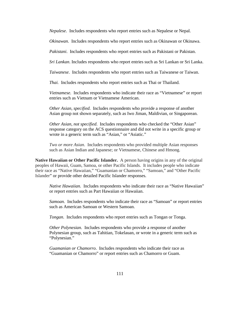*Nepalese*. Includes respondents who report entries such as Nepalese or Nepal.

*Okinawan*. Includes respondents who report entries such as Okinawan or Okinawa.

*Pakistani*. Includes respondents who report entries such as Pakistani or Pakistan.

*Sri Lankan*. Includes respondents who report entries such as Sri Lankan or Sri Lanka.

*Taiwanese*. Includes respondents who report entries such as Taiwanese or Taiwan.

*Thai.* Includes respondents who report entries such as Thai or Thailand.

*Vietnamese.* Includes respondents who indicate their race as "Vietnamese" or report entries such as Vietnam or Vietnamese American.

*Other Asian, specified*. Includes respondents who provide a response of another Asian group not shown separately, such as Iwo Jiman, Maldivian, or Singaporean.

*Other Asian, not specified*. Includes respondents who checked the "Other Asian" response category on the ACS questionnaire and did not write in a specific group or wrote in a generic term such as "Asian," or "Asiatic."

*Two or more Asian*. Includes respondents who provided multiple Asian responses such as Asian Indian and Japanese; or Vietnamese, Chinese and Hmong.

**Native Hawaiian or Other Pacific Islander.** A person having origins in any of the original peoples of Hawaii, Guam, Samoa, or other Pacific Islands. It includes people who indicate their race as "Native Hawaiian," "Guamanian or Chamorro," "Samoan," and "Other Pacific Islander" or provide other detailed Pacific Islander responses.

*Native Hawaiian.* Includes respondents who indicate their race as "Native Hawaiian" or report entries such as Part Hawaiian or Hawaiian.

*Samoan.* Includes respondents who indicate their race as "Samoan" or report entries such as American Samoan or Western Samoan.

*Tongan*. Includes respondents who report entries such as Tongan or Tonga.

*Other Polynesian.* Includes respondents who provide a response of another Polynesian group, such as Tahitian, Tokelauan, or wrote in a generic term such as "Polynesian."

*Guamanian or Chamorro*. Includes respondents who indicate their race as "Guamanian or Chamorro" or report entries such as Chamorro or Guam.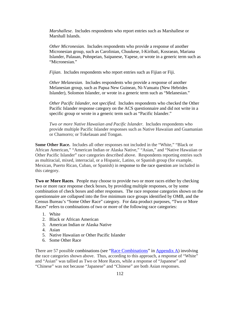*Marshallese*. Includes respondents who report entries such as Marshallese or Marshall Islands.

*Other Micronesian.* Includes respondents who provide a response of another Micronesian group, such as Carolinian, Chuukese, I-Kiribati, Kosraean, Mariana Islander, Palauan, Pohnpeian, Saipanese, Yapese, or wrote in a generic term such as "Micronesian."

*Fijian*. Includes respondents who report entries such as Fijian or Fiji.

*Other Melanesian.* Includes respondents who provide a response of another Melanesian group, such as Papua New Guinean, Ni-Vanuatu (New Hebrides Islander), Solomon Islander, or wrote in a generic term such as "Melanesian."

*Other Pacific Islander, not specified.* Includes respondents who checked the Other Pacific Islander response category on the ACS questionnaire and did not write in a specific group or wrote in a generic term such as "Pacific Islander."

*Two or more Native Hawaiian and Pacific Islander*. Includes respondents who provide multiple Pacific Islander responses such as Native Hawaiian and Guamanian or Chamorro; or Tokelauan and Tongan.

**Some Other Race.** Includes all other responses not included in the "White," "Black or African American," "American Indian or Alaska Native," "Asian," and "Native Hawaiian or Other Pacific Islander" race categories described above. Respondents reporting entries such as multiracial, mixed, interracial, or a Hispanic, Latino, or Spanish group (for example, Mexican, Puerto Rican, Cuban, or Spanish) in response to the race question are included in this category.

**Two or More Races***.* People may choose to provide two or more races either by checking two or more race response check boxes, by providing multiple responses, or by some combination of check boxes and other responses. The race response categories shown on the questionnaire are collapsed into the five minimum race groups identified by OMB, and the Census Bureau's "Some Other Race" category. For data product purposes, "Two or More Races" refers to combinations of two or more of the following race categories:

- 1. White
- 2. Black or African American
- 3. American Indian or Alaska Native
- 4. Asian
- 5. Native Hawaiian or Other Pacific Islander
- 6. Some Other Race

There are 57 possible combinations (see ["Race Combinations"](#page-142-0) in [Appendix A\)](#page-137-0) involving the race categories shown above. Thus, according to this approach, a response of "White" and "Asian" was tallied as Two or More Races, while a response of "Japanese" and "Chinese" was not because "Japanese" and "Chinese" are both Asian responses.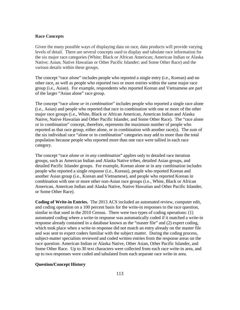#### **Race Concepts**

Given the many possible ways of displaying data on race, data products will provide varying levels of detail. There are several concepts used to display and tabulate race information for the six major race categories (White; Black or African American; American Indian or Alaska Native; Asian; Native Hawaiian or Other Pacific Islander; and Some Other Race) and the various details within these groups.

The concept "race *alone*" includes people who reported a single entry (i.e., Korean) and no other race, as well as people who reported two or more entries within the same major race group (i.e., Asian). For example, respondents who reported Korean and Vietnamese are part of the larger "Asian alone" race group.

The concept "race *alone or in combination*" includes people who reported a single race alone (i.e., Asian) and people who reported that race in combination with one or more of the other major race groups (i.e., White, Black or African American, American Indian and Alaska Native, Native Hawaiian and Other Pacific Islander, and Some Other Race). The "race alone or in combination" concept, therefore, represents the maximum number of people who reported as that race group, either alone, or in combination with another race(s). The sum of the six individual race "alone or in combination" categories may add to more than the total population because people who reported more than one race were tallied in each race category.

The concept "race *alone or in any combination*" applies only to detailed race iteration groups, such as American Indian and Alaska Native tribes, detailed Asian groups, and detailed Pacific Islander groups. For example, Korean alone or in any combination includes people who reported a single response (i.e., Korean), people who reported Korean and another Asian group (i.e., Korean and Vietnamese), and people who reported Korean in combination with one or more other non-Asian race groups (i.e., White, Black or African American, American Indian and Alaska Native, Native Hawaiian and Other Pacific Islander, or Some Other Race).

**Coding of Write-in Entries.** The 2013 ACS included an automated review, computer edit, and coding operation on a 100 percent basis for the write-in responses to the race question, similar to that used in the 2010 Census. There were two types of coding operations: (1) automated coding where a write-in response was automatically coded if it matched a write-in response already contained in a database known as the "master file" and (2) expert coding, which took place when a write-in response did not match an entry already on the master file and was sent to expert coders familiar with the subject matter. During the coding process, subject-matter specialists reviewed and coded written entries from the response areas on the race question: American Indian or Alaska Native, Other Asian, Other Pacific Islander, and Some Other Race. Up to 30 text characters were collected from each race write-in area, and up to two responses were coded and tabulated from each separate race write-in area.

#### **Question/Concept History**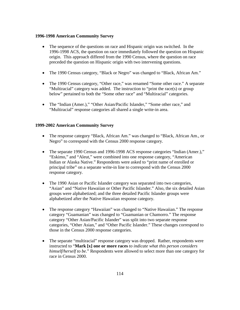#### **1996-1998 American Community Survey**

- The sequence of the questions on race and Hispanic origin was switched. In the 1996-1998 ACS, the question on race immediately followed the question on Hispanic origin. This approach differed from the 1990 Census, where the question on race preceded the question on Hispanic origin with two intervening questions.
- The 1990 Census category, "Black or Negro" was changed to "Black, African Am."
- The 1990 Census category, "Other race," was renamed "Some other race." A separate "Multiracial" category was added. The instruction to "print the race(s) or group below" pertained to both the "Some other race" and "Multiracial" categories.
- The "Indian (Amer.)," "Other Asian/Pacific Islander," "Some other race," and "Multiracial" response categories all shared a single write-in area.

#### **1999-2002 American Community Survey**

- The response category "Black, African Am." was changed to "Black, African Am., or Negro" to correspond with the Census 2000 response category.
- The separate 1990 Census and 1996-1998 ACS response categories "Indian (Amer.)," "Eskimo," and "Aleut," were combined into one response category, "American Indian or Alaska Native." Respondents were asked to "print name of enrolled or principal tribe" on a separate write-in line to correspond with the Census 2000 response category.
- The 1990 Asian or Pacific Islander category was separated into two categories, "Asian" and "Native Hawaiian or Other Pacific Islander." Also, the six detailed Asian groups were alphabetized; and the three detailed Pacific Islander groups were alphabetized after the Native Hawaiian response category.
- The response category "Hawaiian" was changed to "Native Hawaiian." The response category "Guamanian" was changed to "Guamanian or Chamorro." The response category "Other Asian/Pacific Islander" was split into two separate response categories, "Other Asian," and "Other Pacific Islander." These changes correspond to those in the Census 2000 response categories.
- The separate "multiracial" response category was dropped. Rather, respondents were instructed to "**Mark [x] one or more races** *to indicate what this person considers himself/herself to be*." Respondents were allowed to select more than one category for race in Census 2000.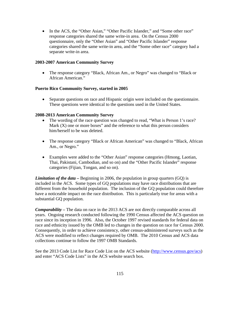• In the ACS, the "Other Asian," "Other Pacific Islander," and "Some other race" response categories shared the same write-in area. On the Census 2000 questionnaire, only the "Other Asian" and "Other Pacific Islander" response categories shared the same write-in area, and the "Some other race" category had a separate write-in area.

#### **2003-2007 American Community Survey**

• The response category "Black, African Am., or Negro" was changed to "Black or African American."

#### **Puerto Rico Community Survey, started in 2005**

• Separate questions on race and Hispanic origin were included on the questionnaire. These questions were identical to the questions used in the United States.

#### **2008-2013 American Community Survey**

- The wording of the race question was changed to read, "What is Person 1's race? Mark  $(X)$  one or more boxes" and the reference to what this person considers him/herself to be was deleted.
- The response category "Black or African American" was changed to "Black, African Am., or Negro."
- Examples were added to the "Other Asian" response categories (Hmong, Laotian, Thai, Pakistani, Cambodian, and so on) and the "Other Pacific Islander" response categories (Fijian, Tongan, and so on).

*Limitation of the data –* Beginning in 2006, the population in group quarters (GQ) is included in the ACS. Some types of GQ populations may have race distributions that are different from the household population. The inclusion of the GQ population could therefore have a noticeable impact on the race distribution. This is particularly true for areas with a substantial GQ population.

*Comparability –* The data on race in the 2013 ACS are not directly comparable across all years. Ongoing research conducted following the 1990 Census affected the ACS question on race since its inception in 1996. Also, the October 1997 revised standards for federal data on race and ethnicity issued by the OMB led to changes in the question on race for Census 2000. Consequently, in order to achieve consistency, other census-administered surveys such as the ACS were modified to reflect changes required by OMB. The 2010 Census and ACS data collections continue to follow the 1997 OMB Standards.

See the 2013 Code List for Race Code List on the ACS website [\(http://www.census.gov/acs\)](http://www.census.gov/acs) and enter "ACS Code Lists" in the ACS website search box.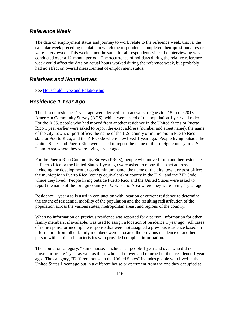#### *Reference Week*

The data on employment status and journey to work relate to the reference week, that is, the calendar week preceding the date on which the respondents completed their questionnaires or were interviewed. This week is not the same for all respondents since the interviewing was conducted over a 12-month period. The occurrence of holidays during the relative reference week could affect the data on actual hours worked during the reference week, but probably had no effect on overall measurement of employment status.

#### *Relatives and Nonrelatives*

See [Household Type and Relationship.](#page-73-0)

### *Residence 1 Year Ago*

The data on residence 1 year ago were derived from answers to Question 15 in the 2013 American Community Survey (ACS), which were asked of the population 1 year and older. For the ACS, people who had moved from another residence in the United States or Puerto Rico 1 year earlier were asked to report the exact address (number and street name); the name of the city, town, or post office; the name of the U.S. county or municipio in Puerto Rico; state or Puerto Rico; and the ZIP Code where they lived 1 year ago. People living outside the United States and Puerto Rico were asked to report the name of the foreign country or U.S. Island Area where they were living 1 year ago.

For the Puerto Rico Community Survey (PRCS), people who moved from another residence in Puerto Rico or the United States 1 year ago were asked to report the exact address, including the development or condominium name; the name of the city, town, or post office; the municipio in Puerto Rico (county equivalent) or county in the U.S.; and the ZIP Code where they lived. People living outside Puerto Rico and the United States were asked to report the name of the foreign country or U.S. Island Area where they were living 1 year ago.

Residence 1 year ago is used in conjunction with location of current residence to determine the extent of residential mobility of the population and the resulting redistribution of the population across the various states, metropolitan areas, and regions of the country.

When no information on previous residence was reported for a person, information for other family members, if available, was used to assign a location of residence 1 year ago. All cases of nonresponse or incomplete response that were not assigned a previous residence based on information from other family members were allocated the previous residence of another person with similar characteristics who provided complete information.

The tabulation category, "Same house," includes all people 1 year and over who did not move during the 1 year as well as those who had moved and returned to their residence 1 year ago. The category, "Different house in the United States" includes people who lived in the United States 1 year ago but in a different house or apartment from the one they occupied at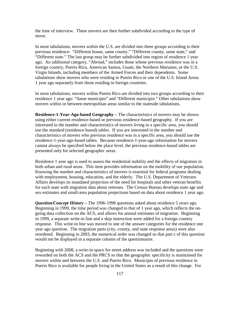the time of interview. These movers are then further subdivided according to the type of move.

In most tabulations, movers within the U.S. are divided into three groups according to their previous residence: "Different house, same county," "Different county, same state," and "Different state." The last group may be further subdivided into region of residence 1 year ago. An additional category, "Abroad," includes those whose previous residence was in a foreign country, Puerto Rico, American Samoa, Guam, the Northern Marianas, or the U.S. Virgin Islands, including members of the Armed Forces and their dependents. Some tabulations show movers who were residing in Puerto Rico or one of the U.S. Island Areas 1 year ago separately from those residing in foreign countries.

In most tabulations, movers within Puerto Rico are divided into two groups according to their residence 1 year ago: "Same municipio" and "Different municipio." Other tabulations show movers within or between metropolitan areas similar to the stateside tabulations.

**Residence-1-Year-Ago-based Geography –** The characteristics of movers may be shown using either current residence-based or previous residence-based geography. If you are interested in the number and characteristics of movers living in a specific area, you should use the standard (residence-based) tables. If you are interested in the number and characteristics of movers who previous residence was in a specific area, you should use the residence-1-year-ago-based tables. Because residence-1-year-ago information for movers cannot always be specified below the place level, the previous residence-based tables are presented only for selected geographic areas.

Residence 1 year ago is used to assess the residential stability and the effects of migration in both urban and rural areas. This item provides information on the mobility of our population. Knowing the number and characteristics of movers is essential for federal programs dealing with employment, housing, education, and the elderly. The U.S. Department of Veterans Affairs develops its mandated projection of the need for hospitals and other veteran benefits for each state with migration data about veterans. The Census Bureau develops state age and sex estimates and small-area population projections based on data about residence 1 year ago.

*Question/Concept History –* The 1996-1998 questions asked about residence 5 years ago. Beginning in 1999, the time period was changed to that of 1 year ago, which reflects the ongoing data collection on the ACS, and allows for annual estimates of migration. Beginning in 1999, a separate write-in line and a skip instruction were added for a foreign country response. This write-in line was moved to one of the answer categories for the residence one year ago question. The migration parts (city, county, and state response areas) were also reordered. Beginning in 2003, the numerical order was changed so that part c of this question would not be displayed in a separate column of the questionnaire.

Beginning with 2008, a write-in space for street address was included and the questions were reworded on both the ACS and the PRCS so that the geographic specificity is maintained for movers within and between the U.S. and Puerto Rico. Municipio of previous residence in Puerto Rico is available for people living in the United States as a result of this change. For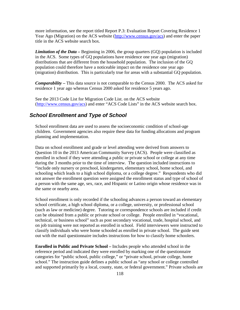more information, see the report titled Report P.3: Evaluation Report Covering Residence 1 Year Ago (Migration) on the ACS website [\(http://www.census.gov/acs\)](http://www.census.gov/acs) and enter the paper title in the ACS website search box.

*Limitation of the Data* – Beginning in 2006, the group quarters (GQ) population is included in the ACS. Some types of GQ populations have residence one year ago (migration) distributions that are different from the household population. The inclusion of the GQ population could therefore have a noticeable impact on the residence one year ago (migration) distribution. This is particularly true for areas with a substantial GQ population.

*Comparability* **–** This data source is not comparable to the Census 2000. The ACS asked for residence 1 year ago whereas Census 2000 asked for residence 5 years ago.

See the 2013 Code List for Migration Code List. on the ACS website [\(http://www.census.gov/acs\)](http://www.census.gov/acs) and enter "ACS Code Lists" in the ACS website search box.

#### <span id="page-117-0"></span>*School Enrollment and Type of School*

School enrollment data are used to assess the socioeconomic condition of school-age children. Government agencies also require these data for funding allocations and program planning and implementation.

Data on school enrollment and grade or level attending were derived from answers to Question 10 in the 2013 American Community Survey (ACS). People were classified as enrolled in school if they were attending a public or private school or college at any time during the 3 months prior to the time of interview. The question included instructions to "include only nursery or preschool, kindergarten, elementary school, home school, and schooling which leads to a high school diploma, or a college degree." Respondents who did not answer the enrollment question were assigned the enrollment status and type of school of a person with the same age, sex, race, and Hispanic or Latino origin whose residence was in the same or nearby area.

School enrollment is only recorded if the schooling advances a person toward an elementary school certificate, a high school diploma, or a college, university, or professional school (such as law or medicine) degree. Tutoring or correspondence schools are included if credit can be obtained from a public or private school or college. People enrolled in "vocational, technical, or business school" such as post secondary vocational, trade, hospital school, and on job training were not reported as enrolled in school. Field interviewers were instructed to classify individuals who were home schooled as enrolled in private school. The guide sent out with the mail questionnaire includes instructions for how to classify home schoolers.

**Enrolled in Public and Private School –** Includes people who attended school in the reference period and indicated they were enrolled by marking one of the questionnaire categories for "public school, public college," or "private school, private college, home school." The instruction guide defines a public school as "any school or college controlled and supported primarily by a local, county, state, or federal government." Private schools are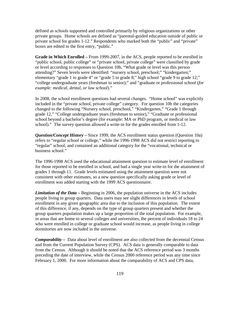defined as schools supported and controlled primarily by religious organizations or other private groups. Home schools are defined as "parental-guided education outside of public or private school for grades 1-12." Respondents who marked both the "public" and "private" boxes are edited to the first entry, "public."

**Grade in Which Enrolled –** From 1999-2007, in the ACS, people reported to be enrolled in "public school, public college" or "private school, private college" were classified by grade or level according to responses to Question 10b, "What grade or level was this person attending?" Seven levels were identified: "nursery school, preschool;" "kindergarten;" elementary "grade 1 to grade 4" or "grade 5 to grade 8;" high school "grade 9 to grade 12;" "college undergraduate years (freshman to senior);" and "graduate or professional school (*for example: medical, dental, or law school*)."

In 2008, the school enrollment questions had several changes. "Home school" was explicitly included in the "private school, private college" category. For question 10b the categories changed to the following "Nursery school, preschool," "Kindergarten," "Grade 1 through grade 12," "College undergraduate years (freshman to senior)," "Graduate or professional school beyond a bachelor's degree (for example: MA or PhD program, or medical or law school)." The survey question allowed a write-in for the grades enrolled from 1-12.

*Question/Concept History –* Since 1999, the ACS enrollment status question (Question 10a) refers to "regular school or college," while the 1996-1998 ACS did not restrict reporting to "regular" school, and contained an additional category for the "vocational, technical or business school."

The 1996-1998 ACS used the educational attainment question to estimate level of enrollment for those reported to be enrolled in school, and had a single year write-in for the attainment of grades 1 through 11. Grade levels estimated using the attainment question were not consistent with other estimates, so a new question specifically asking grade or level of enrollment was added starting with the 1999 ACS questionnaire.

*Limitation of the Data* – Beginning in 2006, the population universe in the ACS includes people living in group quarters. Data users may see slight differences in levels of school enrollment in any given geographic area due to the inclusion of this population. The extent of this difference, if any, depends on the type of group quarters present and whether the group quarters population makes up a large proportion of the total population. For example, in areas that are home to several colleges and universities, the percent of individuals 18 to 24 who were enrolled in college or graduate school would increase, as people living in college dormitories are now included in the universe.

*Comparability –* Data about level of enrollment are also collected from the decennial Census and from the Current Population Survey (CPS). ACS data is generally comparable to data from the Census. Although it should be noted that the ACS reference period was 3 months preceding the date of interview, while the Census 2000 reference period was any time since February 1, 2000. For more information about the comparability of ACS and CPS data,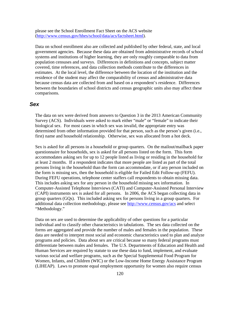please see the School Enrollment Fact Sheet on the ACS website [\(http://www.census.gov/hhes/school/data/acs/factsheet.html\)](http://www.census.gov/hhes/school/data/acs/factsheet.html).

Data on school enrollment also are collected and published by other federal, state, and local government agencies. Because these data are obtained from administrative records of school systems and institutions of higher learning, they are only roughly comparable to data from population censuses and surveys. Differences in definitions and concepts, subject matter covered, time references, and data collection methods contribute to the differences in estimates. At the local level, the difference between the location of the institution and the residence of the student may affect the comparability of census and administrative data because census data are collected from and based on a respondent's residence. Differences between the boundaries of school districts and census geographic units also may affect these comparisons.

#### *Sex*

The data on sex were derived from answers to Question 3 in the 2013 American Community Survey (ACS). Individuals were asked to mark either "male" or "female" to indicate their biological sex. For most cases in which sex was invalid, the appropriate entry was determined from other information provided for that person, such as the person's given (i.e., first) name and household relationship. Otherwise, sex was allocated from a hot deck.

Sex is asked for all persons in a household or group quarters. On the mailout/mailback paper questionnaire for households, sex is asked for all persons listed on the form. This form accommodates asking sex for up to 12 people listed as living or residing in the household for at least 2 months. If a respondent indicates that more people are listed as part of the total persons living in the household than the form can accommodate, or if any person included on the form is missing sex, then the household is eligible for Failed Edit Follow-up (FEFU). During FEFU operations, telephone center staffers call respondents to obtain missing data. This includes asking sex for any person in the household missing sex information. In Computer-Assisted Telephone Interviews (CATI) and Computer-Assisted Personal Interview (CAPI) instruments sex is asked for all persons. In 2006, the ACS began collecting data in group quarters (GQs). This included asking sex for persons living in a group quarters. For additional data collection methodology, please see <http://www.census.gov/acs> and select "Methodology."

Data on sex are used to determine the applicability of other questions for a particular individual and to classify other characteristics in tabulations. The sex data collected on the forms are aggregated and provide the number of males and females in the population. These data are needed to interpret most social and economic characteristics used to plan and analyze programs and policies. Data about sex are critical because so many federal programs must differentiate between males and females. The U.S. Departments of Education and Health and Human Services are required by statute to use these data to fund, implement, and evaluate various social and welfare programs, such as the Special Supplemental Food Program for Women, Infants, and Children (WIC) or the Low-Income Home Energy Assistance Program (LIHEAP). Laws to promote equal employment opportunity for women also require census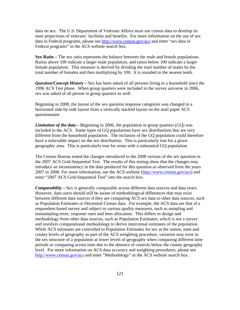data on sex. The U.S. Department of Veterans Affairs must use census data to develop its state projections of veterans' facilities and benefits. For more information on the use of sex data in Federal programs, please see<http://www.census.gov/acs> and enter "sex data in Federal programs" in the ACS website search box.

**Sex Ratio** – The sex ratio represents the balance between the male and female populations. Ratios above 100 indicate a larger male population, and ratios below 100 indicate a larger female population. This measure is derived by dividing the total number of males by the total number of females and then multiplying by 100. It is rounded to the nearest tenth.

*Question/Concept History –* Sex has been asked of all persons living in a household since the 1996 ACS Test phase. When group quarters were included in the survey universe in 2006, sex was asked of all person in group quarters as well.

Beginning in 2008, the layout of the sex question response categories was changed to a horizontal side-by-side layout from a vertically stacked layout on the mail paper ACS questionnaire

*Limitation of the data –* Beginning in 2006, the population in group quarters (GQ) was included in the ACS. Some types of GQ populations have sex distributions that are very different from the household population. The inclusion of the GQ population could therefore have a noticeable impact on the sex distribution. This is particularly true for a given geographic area. This is particularly true for areas with a substantial GQ population.

The Census Bureau tested the changes introduced to the 2008 version of the sex question in the 2007 ACS Grid-Sequential Test. The results of this testing show that the changes may introduce an inconsistency in the data produced for this question as observed from the years 2007 to 2008. For more information, see the ACS website [\(http://www.census.gov/acs\)](http://www.census.gov/acs) and enter "2007 ACS Grid-Sequential Test" into the search box.

*Comparability –* Sex is generally comparable across different data sources and data years. However, data users should still be aware of methodological differences that may exist between different data sources if they are comparing ACS sex data to other data sources, such as Population Estimates or Decennial Census data. For example, the ACS data are that of a respondent-based survey and subject to various quality measures, such as sampling and nonsampling error, response rates and item allocation. This differs in design and methodology from other data sources, such as Population Estimates, which is not a survey and involves computational methodology to derive intercensal estimates of the population. While ACS estimates are controlled to Population Estimates for sex at the nation, state and county levels of geography as part of the ACS weighting procedure, variation may exist in the sex structure of a population at lower levels of geography when comparing different time periods or comparing across time due to the absence of controls below the county geography level. For more information on ACS data accuracy and weighting procedures, please see <http://www.census.gov/acs> and enter "Methodology" in the ACS website search box.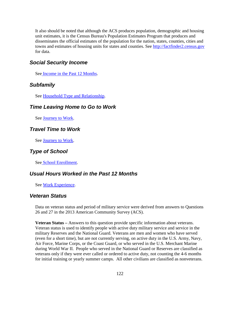It also should be noted that although the ACS produces population, demographic and housing unit estimates, it is the Census Bureau's Population Estimates Program that produces and disseminates the official estimates of the population for the nation, states, counties, cities and towns and estimates of housing units for states and counties. See [http://factfinder2.census.gov](http://factfinder2.census.gov/) for data.

#### *Social Security Income*

See [Income in the Past 12 Months.](#page-79-0)

#### *Subfamily*

See [Household Type and Relationship.](#page-73-0)

#### *Time Leaving Home to Go to Work*

See [Journey to Work.](#page-89-0)

## *Travel Time to Work*

See [Journey to Work.](#page-89-0)

#### *Type of School*

See [School Enrollment.](#page-117-0)

## *Usual Hours Worked in the Past 12 Months*

See [Work Experience.](#page-126-0)

### *Veteran Status*

Data on veteran status and period of military service were derived from answers to Questions 26 and 27 in the 2013 American Community Survey (ACS).

**Veteran Status –** Answers to this question provide specific information about veterans. Veteran status is used to identify people with active duty military service and service in the military Reserves and the National Guard. Veterans are men and women who have served (even for a short time), but are not currently serving, on active duty in the U.S. Army, Navy, Air Force, Marine Corps, or the Coast Guard, or who served in the U.S. Merchant Marine during World War II. People who served in the National Guard or Reserves are classified as veterans only if they were ever called or ordered to active duty, not counting the 4-6 months for initial training or yearly summer camps. All other civilians are classified as nonveterans.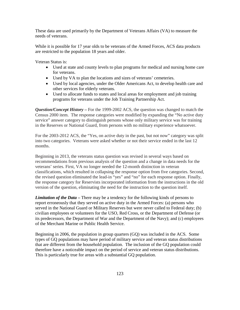These data are used primarily by the Department of Veterans Affairs (VA) to measure the needs of veterans.

While it is possible for 17 year olds to be veterans of the Armed Forces, ACS data products are restricted to the population 18 years and older.

Veteran Status is:

- Used at state and county levels to plan programs for medical and nursing home care for veterans.
- Used by VA to plan the locations and sizes of veterans' cemeteries.
- Used by local agencies, under the Older Americans Act, to develop health care and other services for elderly veterans.
- Used to allocate funds to states and local areas for employment and job training programs for veterans under the Job Training Partnership Act.

*Question/Concept History –* For the 1999-2002 ACS, the question was changed to match the Census 2000 item. The response categories were modified by expanding the "No active duty service" answer category to distinguish persons whose only military service was for training in the Reserves or National Guard, from persons with no military experience whatsoever.

For the 2003-2012 ACS, the "Yes, on active duty in the past, but not now" category was split into two categories. Veterans were asked whether or not their service ended in the last 12 months.

Beginning in 2013, the veterans status question was revised in several ways based on recommendations from previous analysis of the question and a change in data needs for the veterans' series. First, VA no longer needed the 12-month distinction in veteran classifications, which resulted in collapsing the response option from five categories. Second, the revised question eliminated the lead-in "yes" and "no" for each response option. Finally, the response category for Reservists incorporated information from the instructions in the old version of the question, eliminating the need for the instruction to the question itself.

*Limitation of the Data* **–** There may be a tendency for the following kinds of persons to report erroneously that they served on active duty in the Armed Forces: (a) persons who served in the National Guard or Military Reserves but were never called to Federal duty; (b) civilian employees or volunteers for the USO, Red Cross, or the Department of Defense (or its predecessors, the Department of War and the Department of the Navy); and (c) employees of the Merchant Marine or Public Health Service.

Beginning in 2006, the population in group quarters (GQ) was included in the ACS. Some types of GQ populations may have period of military service and veteran status distributions that are different from the household population. The inclusion of the GQ population could therefore have a noticeable impact on the period of service and veteran status distributions. This is particularly true for areas with a substantial GQ population.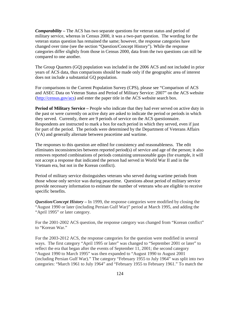*Comparability* **–** The ACS has two separate questions for veteran status and period of military service, whereas in Census 2000, it was a two-part question. The wording for the veteran status question has remained the same; however, the response categories have changed over time (see the section "Question/Concept History"). While the response categories differ slightly from those in Census 2000, data from the two questions can still be compared to one another.

The Group Quarters (GQ) population was included in the 2006 ACS and not included in prior years of ACS data, thus comparisons should be made only if the geographic area of interest does not include a substantial GQ population.

For comparisons to the Current Population Survey (CPS), please see "Comparison of ACS and ASEC Data on Veteran Status and Period of Military Service: 2007" on the ACS website [\(http://census.gov/acs\)](http://census.gov/acs) and enter the paper title in the ACS website search box.

**Period of Military Service –** People who indicate that they had ever served on active duty in the past or were currently on active duty are asked to indicate the period or periods in which they served. Currently, there are 9 periods of service on the ACS questionnaire. Respondents are instructed to mark a box for each period in which they served, even if just for part of the period. The periods were determined by the Department of Veterans Affairs (VA) and generally alternate between peacetime and wartime.

The responses to this question are edited for consistency and reasonableness. The edit eliminates inconsistencies between reported period(s) of service and age of the person; it also removes reported combinations of periods containing unreasonable gaps (for example, it will not accept a response that indicated the person had served in World War II and in the Vietnam era, but not in the Korean conflict).

Period of military service distinguishes veterans who served during wartime periods from those whose only service was during peacetime. Questions about period of military service provide necessary information to estimate the number of veterans who are eligible to receive specific benefits.

*Question/Concept History –* In 1999, the response categories were modified by closing the "August 1990 or later (including Persian Gulf War)" period at March 1995, and adding the "April 1995" or later category.

For the 2001-2002 ACS question, the response category was changed from "Korean conflict" to "Korean War."

For the 2003-2012 ACS, the response categories for the question were modified in several ways. The first category "April 1995 or later" was changed to "September 2001 or later" to reflect the era that began after the events of September 11, 2001; the second category "August 1990 to March 1995" was then expanded to "August 1990 to August 2001 (including Persian Gulf War)." The category "February 1955 to July 1964" was split into two categories: "March 1961 to July 1964" and "February 1955 to February 1961." To match the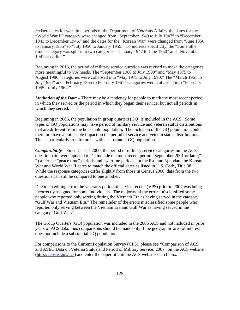revised dates for war-time periods of the Department of Veterans Affairs, the dates for the "World War II" category were changed from "September 1940 to July 1947" to "December 1941 to December 1946," and the dates for the "Korean War" were changed from "June 1950 to January 1955" to "July 1950 to January 1955." To increase specificity, the "Some other time" category was split into two categories: "January 1947 to June 1950" and "November 1941 or earlier."

Beginning in 2013, the period of military service question was revised to make the categories more meaningful to VA needs. The "September 1980 to July 1990" and "May 1975 to August 1980" categories were collapsed into "May 1975 to July 1990." The "March 1961 to July 1964" and "February 1955 to February 1961" categories were collapsed into "February 1955 to July 1964."

*Limitation of the Data* **–** There may be a tendency for people to mark the most recent period in which they served or the period in which they began their service, but not all periods in which they served.

Beginning in 2006, the population in group quarters (GQ) is included in the ACS. Some types of GQ populations may have period of military service and veteran status distributions that are different from the household population. The inclusion of the GQ population could therefore have a noticeable impact on the period of service and veteran status distributions. This is particularly true for areas with a substantial GQ population.

*Comparability* **–** Since Census 2000, the period of military service categories on the ACS questionnaire were updated to: 1) include the most recent period "September 2001 or later;" 2) alternate "peace time" periods and "wartime periods" in the list; and 3) update the Korean War and World War II dates to match the official dates as listed in U.S. Code, Title 38. While the response categories differ slightly from those in Census 2000, data from the two questions can still be compared to one another.

Due to an editing error, the veteran's period of service recode (VPS) prior to 2007 was being incorrectly assigned for some individuals. The majority of the errors misclassified some people who reported only serving during the Vietnam Era as having served in the category "Gulf War and Vietnam Era." The remainder of the errors misclassified some people who reported only serving between the Vietnam Era and Gulf War as having served in the category "Gulf War."

The Group Quarters (GQ) population was included in the 2006 ACS and not included in prior years of ACS data, thus comparisons should be made only if the geographic area of interest does not include a substantial GQ population.

For comparisons to the Current Population Survey (CPS), please see "Comparison of ACS and ASEC Data on Veteran Status and Period of Military Service: 2007" on the ACS website [\(http://census.gov/acs\)](http://census.gov/acs) and enter the paper title in the ACS website search box.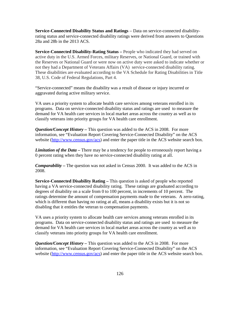**Service-Connected Disability Status and Ratings** *–* Data on service-connected disabilityrating status and service-connected disability ratings were derived from answers to Questions 28a and 28b in the 2013 ACS.

**Service-Connected Disability-Rating Status –** People who indicated they had served on active duty in the U.S. Armed Forces, military Reserves, or National Guard, or trained with the Reserves or National Guard or were now on active duty were asked to indicate whether or not they had a Department of Veterans Affairs (VA) service-connected disability rating. These disabilities are evaluated according to the VA Schedule for Rating Disabilities in Title 38, U.S. Code of Federal Regulations, Part 4.

"Service-connected" means the disability was a result of disease or injury incurred or aggravated during active military service.

VA uses a priority system to allocate health care services among veterans enrolled in its programs. Data on service-connected disability status and ratings are used to measure the demand for VA health care services in local market areas across the country as well as to classify veterans into priority groups for VA health care enrollment.

*Question/Concept History –* This question was added to the ACS in 2008. For more information, see "Evaluation Report Covering Service-Connected Disability" on the ACS website [\(http://www.census.gov/acs\)](http://www.census.gov/acs) and enter the paper title in the ACS website search box.

*Limitation of the Data* – There may be a tendency for people to erroneously report having a 0 percent rating when they have no service-connected disability rating at all.

*Comparability* **–** The question was not asked in Census 2000. It was added to the ACS in 2008.

**Service-Connected Disability Rating –** This question is asked of people who reported having a VA service-connected disability rating. These ratings are graduated according to degrees of disability on a scale from 0 to 100 percent, in increments of 10 percent. The ratings determine the amount of compensation payments made to the veterans. A zero-rating, which is different than having no rating at all, means a disability exists but it is not so disabling that it entitles the veteran to compensation payments.

VA uses a priority system to allocate health care services among veterans enrolled in its programs. Data on service-connected disability status and ratings are used to measure the demand for VA health care services in local market areas across the country as well as to classify veterans into priority groups for VA health care enrollment.

*Question/Concept History –* This question was added to the ACS in 2008. For more information, see "Evaluation Report Covering Service-Connected Disability" on the ACS website [\(http://www.census.gov/acs\)](http://www.census.gov/acs) and enter the paper title in the ACS website search box.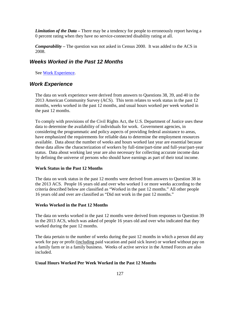*Limitation of the Data –* There may be a tendency for people to erroneously report having a 0 percent rating when they have no service-connected disability rating at all.

*Comparability* **–** The question was not asked in Census 2000. It was added to the ACS in 2008.

## *Weeks Worked in the Past 12 Months*

See [Work Experience.](#page-126-0)

#### <span id="page-126-0"></span>*Work Experience*

The data on work experience were derived from answers to Questions 38, 39, and 40 in the 2013 American Community Survey (ACS). This term relates to work status in the past 12 months, weeks worked in the past 12 months, and usual hours worked per week worked in the past 12 months.

To comply with provisions of the Civil Rights Act, the U.S. Department of Justice uses these data to determine the availability of individuals for work. Government agencies, in considering the programmatic and policy aspects of providing federal assistance to areas, have emphasized the requirements for reliable data to determine the employment resources available. Data about the number of weeks and hours worked last year are essential because these data allow the characterization of workers by full-time/part-time and full-year/part-year status. Data about working last year are also necessary for collecting accurate income data by defining the universe of persons who should have earnings as part of their total income.

#### **Work Status in the Past 12 Months**

The data on work status in the past 12 months were derived from answers to Question 38 in the 2013 ACS. People 16 years old and over who worked 1 or more weeks according to the criteria described below are classified as "Worked in the past 12 months." All other people 16 years old and over are classified as "Did not work in the past 12 months."

#### **Weeks Worked in the Past 12 Months**

The data on weeks worked in the past 12 months were derived from responses to Question 39 in the 2013 ACS, which was asked of people 16 years old and over who indicated that they worked during the past 12 months.

The data pertain to the number of weeks during the past 12 months in which a person did any work for pay or profit (including paid vacation and paid sick leave) or worked without pay on a family farm or in a family business. Weeks of active service in the Armed Forces are also included.

#### **Usual Hours Worked Per Week Worked in the Past 12 Months**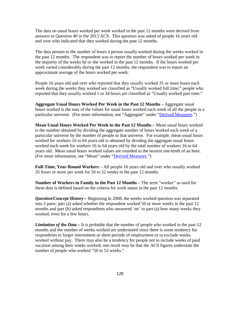The data on usual hours worked per week worked in the past 12 months were derived from answers to Question 40 in the 2013 ACS. This question was asked of people 16 years old and over who indicated that they worked during the past 12 months.

The data pertain to the number of hours a person usually worked during the weeks worked in the past 12 months. The respondent was to report the number of hours worked per week in the majority of the weeks he or she worked in the past 12 months. If the hours worked per week varied considerably during the past 12 months, the respondent was to report an approximate average of the hours worked per week.

People 16 years old and over who reported that they usually worked 35 or more hours each week during the weeks they worked are classified as "Usually worked full time;" people who reported that they usually worked 1 to 34 hours are classified as "Usually worked part time."

**Aggregate Usual Hours Worked Per Week in the Past 12 Months –** Aggregate usual hours worked is the sum of the values for usual hours worked each week of all the people in a particular universe. (For more information, see "Aggregate" under ["Derived Measures.](#page-130-0)")

**Mean Usual Hours Worked Per Week in the Past 12 Months –** Mean usual hours worked is the number obtained by dividing the aggregate number of hours worked each week of a particular universe by the number of people in that universe. For example, mean usual hours worked for workers 16 to 64 years old is obtained by dividing the aggregate usual hours worked each week for workers 16 to 64 years old by the total number of workers 16 to 64 years old. Mean usual hours worked values are rounded to the nearest one-tenth of an hour. (For more information, see "Mean" under ["Derived Measures.](#page-130-0)")

**Full-Time, Year-Round Workers** – All people 16 years old and over who usually worked 35 hours or more per week for 50 to 52 weeks in the past 12 months.

**Number of Workers in Family in the Past 12 Months – The term "worker" as used for** these data is defined based on the criteria for work status in the past 12 months.

*Question/Concept History –* Beginning in 2008, the weeks worked question was separated into 2 parts: part (a) asked whether the respondent worked 50 or more weeks in the past 12 months and part (b) asked respondents who answered 'no' to part (a) how many weeks they worked, even for a few hours.

*Limitation of the Data* – It is probable that the number of people who worked in the past 12 months and the number of weeks worked are understated since there is some tendency for respondents to forget intermittent or short periods of employment or to exclude weeks worked without pay. There may also be a tendency for people not to include weeks of paid vacation among their weeks worked; one result may be that the ACS figures understate the number of people who worked "50 to 52 weeks."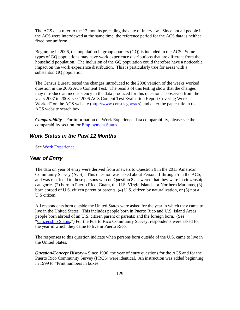The ACS data refer to the 12 months preceding the date of interview. Since not all people in the ACS were interviewed at the same time, the reference period for the ACS data is neither fixed nor uniform.

Beginning in 2006, the population in group quarters (GQ) is included in the ACS. Some types of GQ populations may have work experience distributions that are different from the household population. The inclusion of the GQ population could therefore have a noticeable impact on the work experience distribution. This is particularly true for areas with a substantial GQ population.

The Census Bureau tested the changes introduced to the 2008 version of the weeks worked question in the 2006 ACS Content Test. The results of this testing show that the changes may introduce an inconsistency in the data produced for this question as observed from the years 2007 to 2008, see "2006 ACS Content Test Evaluation Report Covering Weeks Worked" on the ACS website [\(http://www.census.gov/acs\)](http://www.census.gov/acs) and enter the paper title in the ACS website search box.

*Comparability* **–** For information on Work Experience data comparability, please see the comparability section for **Employment Status**.

## *Work Status in the Past 12 Months*

See [Work Experience.](#page-126-0)

#### *Year of Entry*

The data on year of entry were derived from answers to Question 9 in the 2013 American Community Survey (ACS). This question was asked about Persons 1 through 5 in the ACS, and was restricted to those persons who on Question 8 answered that they were in citizenship categories (2) born in Puerto Rico, Guam, the U.S. Virgin Islands, or Northern Marianas, (3) born abroad of U.S. citizen parent or parents, (4) U.S. citizen by naturalization, or (5) not a U.S citizen.

All respondents born outside the United States were asked for the year in which they came to live in the United States. This includes people born in Puerto Rico and U.S. Island Areas; people born abroad of an U.S. citizen parent or parents; and the foreign born. (See ["Citizenship Status.](#page-53-0)") For the Puerto Rico Community Survey, respondents were asked for the year in which they came to live in Puerto Rico.

The responses to this question indicate when persons born outside of the U.S. came to live in the United States.

*Question/Concept History –* Since 1996, the year of entry questions for the ACS and for the Puerto Rico Community Survey (PRCS) were identical. An instruction was added beginning in 1999 to "Print numbers in boxes."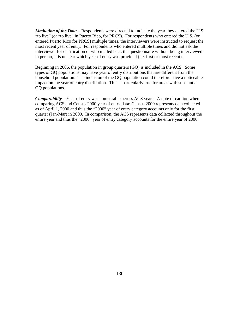*Limitation of the Data* – Respondents were directed to indicate the year they entered the U.S. "to live" (or "to live" in Puerto Rico, for PRCS). For respondents who entered the U.S. (or entered Puerto Rico for PRCS) multiple times, the interviewers were instructed to request the most recent year of entry. For respondents who entered multiple times and did not ask the interviewer for clarification or who mailed back the questionnaire without being interviewed in person, it is unclear which year of entry was provided (i.e. first or most recent).

Beginning in 2006, the population in group quarters (GQ) is included in the ACS. Some types of GQ populations may have year of entry distributions that are different from the household population. The inclusion of the GQ population could therefore have a noticeable impact on the year of entry distribution. This is particularly true for areas with substantial GQ populations.

*Comparability –* Year of entry was comparable across ACS years. A note of caution when comparing ACS and Census 2000 year of entry data: Census 2000 represents data collected as of April 1, 2000 and thus the "2000" year of entry category accounts only for the first quarter (Jan-Mar) in 2000. In comparison, the ACS represents data collected throughout the entire year and thus the "2000" year of entry category accounts for the entire year of 2000.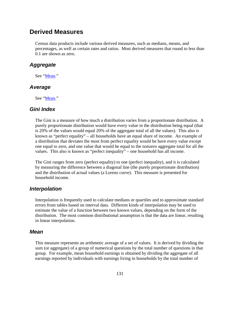## <span id="page-130-0"></span>**Derived Measures**

Census data products include various derived measures, such as medians, means, and percentages, as well as certain rates and ratios. Most derived measures that round to less than 0.1 are shown as zero.

## *Aggregate*

See ["Mean.](#page-130-1)"

## *Average*

See ["Mean.](#page-130-1)"

### *Gini Index*

The Gini is a measure of how much a distribution varies from a proportionate distribution. A purely proportionate distribution would have every value in the distribution being equal (that is 20% of the values would equal 20% of the aggregate total of all the values). This also is known as "perfect equality" – all households have an equal share of income. An example of a distribution that deviates the most from perfect equality would be have every value except one equal to zero, and one value that would be equal to the nonzero aggregate total for all the values. This also is known as "perfect inequality" – one household has all income.

The Gini ranges from zero (perfect equality) to one (perfect inequality), and it is calculated by measuring the difference between a diagonal line (the purely proportionate distribution) and the distribution of actual values (a Lorenz curve). This measure is presented for household income.

#### *Interpolation*

<span id="page-130-1"></span>Interpolation is frequently used to calculate medians or quartiles and to approximate standard errors from tables based on interval data. Different kinds of interpolation may be used to estimate the value of a function between two known values, depending on the form of the distribution. The most common distributional assumption is that the data are linear, resulting in linear interpolation.

#### *Mean*

This measure represents an arithmetic average of a set of values. It is derived by dividing the sum (or aggregate) of a group of numerical questions by the total number of questions in that group. For example, mean household earnings is obtained by dividing the aggregate of all earnings reported by individuals with earnings living in households by the total number of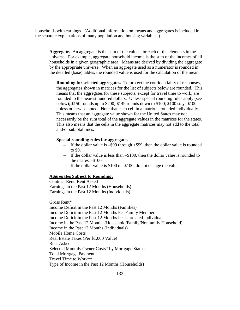households with earnings. (Additional information on means and aggregates is included in the separate explanations of many population and housing variables.)

**Aggregate.** An aggregate is the sum of the values for each of the elements in the universe. For example, aggregate household income is the sum of the incomes of all households in a given geographic area. Means are derived by dividing the aggregate by the appropriate universe. When an aggregate used as a numerator is rounded in the detailed (base) tables, the rounded value is used for the calculation of the mean.

**Rounding for selected aggregates.** To protect the confidentiality of responses, the aggregates shown in matrices for the list of subjects below are rounded. This means that the aggregates for these subjects, except for travel time to work, are rounded to the nearest hundred dollars. Unless special rounding rules apply (see below); \$150 rounds up to \$200; \$149 rounds down to \$100; \$100 stays \$100 unless otherwise noted. Note that each cell in a matrix is rounded individually. This means that an aggregate value shown for the United States may not necessarily be the sum total of the aggregate values in the matrices for the states. This also means that the cells in the aggregate matrices may not add to the total and/or subtotal lines.

#### **Special rounding rules for aggregates**.

- If the dollar value is –\$99 through +\$99, then the dollar value is rounded to \$0.
- If the dollar value is less than –\$100, then the dollar value is rounded to the nearest -\$100.
- If the dollar value is \$100 or -\$100, do not change the value.

#### **Aggregates Subject to Rounding:**

Contract Rent, Rent Asked Earnings in the Past 12 Months (Households) Earnings in the Past 12 Months (Individuals)

Gross Rent\* Income Deficit in the Past 12 Months (Families) Income Deficit in the Past 12 Months Per Family Member Income Deficit in the Past 12 Months Per Unrelated Individual Income in the Past 12 Months (Household/Family/Nonfamily Household) Income in the Past 12 Months (Individuals) Mobile Home Costs Real Estate Taxes (Per \$1,000 Value) Rent Asked Selected Monthly Owner Costs\* by Mortgage Status Total Mortgage Payment Travel Time to Work\*\* Type of Income in the Past 12 Months (Households)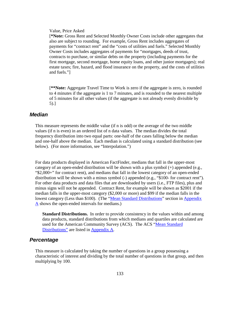#### Value, Price Asked

[**\*Note:** Gross Rent and Selected Monthly Owner Costs include other aggregates that also are subject to rounding. For example, Gross Rent includes aggregates of payments for "contract rent" and the "costs of utilities and fuels." Selected Monthly Owner Costs includes aggregates of payments for "mortgages, deeds of trust, contracts to purchase, or similar debts on the property (including payments for the first mortgage, second mortgage, home equity loans, and other junior mortgages); real estate taxes; fire, hazard, and flood insurance on the property, and the costs of utilities and fuels."]

[**\*\*Note:** Aggregate Travel Time to Work is zero if the aggregate is zero, is rounded to 4 minutes if the aggregate is 1 to 7 minutes, and is rounded to the nearest multiple of 5 minutes for all other values (if the aggregate is not already evenly divisible by 5).]

## *Median*

This measure represents the middle value (if n is odd) or the average of the two middle values (if n is even) in an ordered list of n data values. The median divides the total frequency distribution into two equal parts: one-half of the cases falling below the median and one-half above the median. Each median is calculated using a standard distribution (see below). (For more information, see "Interpolation.")

For data products displayed in American FactFinder, medians that fall in the upper-most category of an open-ended distribution will be shown with a plus symbol  $(+)$  appended  $(e.g.,)$ "\$2,000+" for contract rent), and medians that fall in the lowest category of an open-ended distribution will be shown with a minus symbol (-) appended (e.g., "\$100- for contract rent"). For other data products and data files that are downloaded by users (i.e., FTP files), plus and minus signs will not be appended. Contract Rent, for example will be shown as \$2001 if the median falls in the upper-most category (\$2,000 or more) and \$99 if the median falls in the lowest category (Less than \$100). (The ["Mean Standard Distributions"](#page-144-0) section in Appendix [A](#page-136-0) shows the open-ended intervals for medians.)

**Standard Distributions.** In order to provide consistency in the values within and among data products, standard distributions from which medians and quartiles are calculated are used for the American Community Survey (ACS). The ACS ["Mean Standard](#page-144-0)  [Distributions"](#page-144-0) are listed in [Appendix A.](#page-136-0)

#### *Percentage*

This measure is calculated by taking the number of questions in a group possessing a characteristic of interest and dividing by the total number of questions in that group, and then multiplying by 100.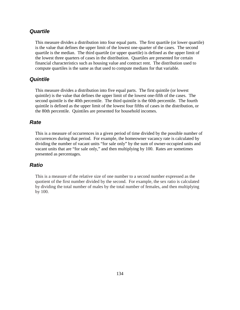## *Quartile*

This measure divides a distribution into four equal parts. The first quartile (or lower quartile) is the value that defines the upper limit of the lowest one-quarter of the cases. The second quartile is the median. The third quartile (or upper quartile) is defined as the upper limit of the lowest three quarters of cases in the distribution. Quartiles are presented for certain financial characteristics such as housing value and contract rent. The distribution used to compute quartiles is the same as that used to compute medians for that variable.

## *Quintile*

This measure divides a distribution into five equal parts. The first quintile (or lowest quintile) is the value that defines the upper limit of the lowest one-fifth of the cases. The second quintile is the 40th percentile. The third quintile is the 60th percentile. The fourth quintile is defined as the upper limit of the lowest four fifths of cases in the distribution, or the 80th percentile. Quintiles are presented for household incomes.

#### *Rate*

This is a measure of occurrences in a given period of time divided by the possible number of occurrences during that period. For example, the homeowner vacancy rate is calculated by dividing the number of vacant units "for sale only" by the sum of owner-occupied units and vacant units that are "for sale only," and then multiplying by 100. Rates are sometimes presented as percentages.

#### *Ratio*

This is a measure of the relative size of one number to a second number expressed as the quotient of the first number divided by the second. For example, the sex ratio is calculated by dividing the total number of males by the total number of females, and then multiplying by 100.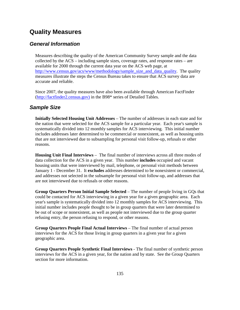## **Quality Measures**

## *General Information*

Measures describing the quality of the American Community Survey sample and the data collected by the ACS – including sample sizes, coverage rates, and response rates – are available for 2000 through the current data year on the ACS web page, at [http://www.census.gov/acs/www/methodology/sample\\_size\\_and\\_data\\_quality.](http://www.census.gov/acs/www/methodology/sample_size_and_data_quality) The quality measures illustrate the steps the Census Bureau takes to ensure that ACS survey data are accurate and reliable.

Since 2007, the quality measures have also been available through American FactFinder [\(http://factfinder2.census.gov\)](http://factfinder2.census.gov/) in the B98\* series of Detailed Tables.

## *Sample Size*

**Initially Selected Housing Unit Addresses** – The number of addresses in each state and for the nation that were selected for the ACS sample for a particular year. Each year's sample is systematically divided into 12 monthly samples for ACS interviewing. This initial number includes addresses later determined to be commercial or nonexistent, as well as housing units that are not interviewed due to subsampling for personal visit follow-up, refusals or other reasons.

**Housing Unit Final Interviews** – The final number of interviews across all three modes of data collection for the ACS in a given year. This number **includes** occupied and vacant housing units that were interviewed by mail, telephone, or personal visit methods between January 1 - December 31. It **excludes** addresses determined to be nonexistent or commercial, and addresses not selected in the subsample for personal visit follow-up, and addresses that are not interviewed due to refusals or other reasons.

**Group Quarters Person Initial Sample Selected** – The number of people living in GQs that could be contacted for ACS interviewing in a given year for a given geographic area. Each year's sample is systematically divided into 12 monthly samples for ACS interviewing. This initial number includes people thought to be in group quarters that were later determined to be out of scope or nonexistent, as well as people not interviewed due to the group quarter refusing entry, the person refusing to respond, or other reasons.

**Group Quarters People Final Actual Interviews** – The final number of actual person interviews for the ACS for those living in group quarters in a given year for a given geographic area.

**Group Quarters People Synthetic Final Interviews** - The final number of synthetic person interviews for the ACS in a given year, for the nation and by state. See the Group Quarters section for more information.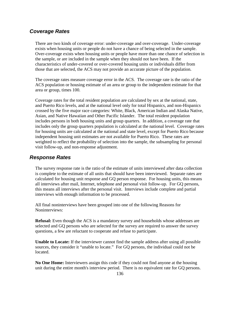## *Coverage Rates*

There are two kinds of coverage error: under-coverage and over-coverage. Under-coverage exists when housing units or people do not have a chance of being selected in the sample. Over-coverage exists when housing units or people have more than one chance of selection in the sample, or are included in the sample when they should not have been. If the characteristics of under-covered or over-covered housing units or individuals differ from those that are selected, the ACS may not provide an accurate picture of the population.

The coverage rates measure coverage error in the ACS. The coverage rate is the ratio of the ACS population or housing estimate of an area or group to the independent estimate for that area or group, times 100.

Coverage rates for the total resident population are calculated by sex at the national, state, and Puerto Rico levels, and at the national level only for total Hispanics, and non-Hispanics crossed by the five major race categories: White, Black, American Indian and Alaska Native, Asian, and Native Hawaiian and Other Pacific Islander. The total resident population includes persons in both housing units and group quarters. In addition, a coverage rate that includes only the group quarters population is calculated at the national level. Coverage rates for housing units are calculated at the national and state level, except for Puerto Rico because independent housing unit estimates are not available for Puerto Rico. These rates are weighted to reflect the probability of selection into the sample, the subsampling for personal visit follow-up, and non-response adjustment.

#### *Response Rates*

The survey response rate is the ratio of the estimate of units interviewed after data collection is complete to the estimate of all units that should have been interviewed. Separate rates are calculated for housing unit response and GQ person response. For housing units, this means all interviews after mail, Internet, telephone and personal visit follow-up. For GQ persons, this means all interviews after the personal visit. Interviews include complete and partial interviews with enough information to be processed.

All final noninterviews have been grouped into one of the following Reasons for Noninterviews:

**Refusal:** Even though the ACS is a mandatory survey and households whose addresses are selected and GQ persons who are selected for the survey are required to answer the survey questions, a few are reluctant to cooperate and refuse to participate.

**Unable to Locate:** If the interviewer cannot find the sample address after using all possible sources, they consider it "unable to locate." For GQ persons, the individual could not be located.

**No One Home:** Interviewers assign this code if they could not find anyone at the housing unit during the entire month's interview period. There is no equivalent rate for GQ persons.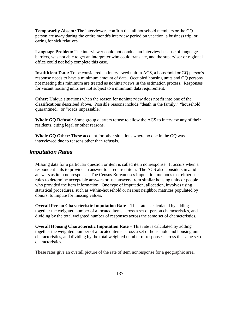**Temporarily Absent:** The interviewers confirm that all household members or the GQ person are away during the entire month's interview period on vacation, a business trip, or caring for sick relatives.

**Language Problem:** The interviewer could not conduct an interview because of language barriers, was not able to get an interpreter who could translate, and the supervisor or regional office could not help complete this case.

**Insufficient Data:** To be considered an interviewed unit in ACS, a household or GQ person's response needs to have a minimum amount of data. Occupied housing units and GQ persons not meeting this minimum are treated as noninterviews in the estimation process. Responses for vacant housing units are not subject to a minimum data requirement.

**Other:** Unique situations when the reason for noninterview does not fit into one of the classifications described above. Possible reasons include "death in the family," "household quarantined," or "roads impassable."

**Whole GQ Refusal:** Some group quarters refuse to allow the ACS to interview any of their residents, citing legal or other reasons.

**Whole GQ Other:** These account for other situations where no one in the GQ was interviewed due to reasons other than refusals.

#### *Imputation Rates*

Missing data for a particular question or item is called item nonresponse. It occurs when a respondent fails to provide an answer to a required item. The ACS also considers invalid answers as item nonresponse. The Census Bureau uses imputation methods that either use rules to determine acceptable answers or use answers from similar housing units or people who provided the item information. One type of imputation, allocation, involves using statistical procedures, such as within-household or nearest neighbor matrices populated by donors, to impute for missing values.

**Overall Person Characteristic Imputation Rate** – This rate is calculated by adding together the weighted number of allocated items across a set of person characteristics, and dividing by the total weighted number of responses across the same set of characteristics.

**Overall Housing Characteristic Imputation Rate** – This rate is calculated by adding together the weighted number of allocated items across a set of household and housing unit characteristics, and dividing by the total weighted number of responses across the same set of characteristics.

<span id="page-136-0"></span>These rates give an overall picture of the rate of item nonresponse for a geographic area.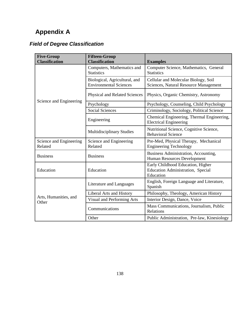# <span id="page-137-0"></span>**Appendix A**

# *Field of Degree Classification*

| <b>Five-Group</b><br><b>Classification</b> | <b>Fifteen-Group</b><br><b>Classification</b>                  | <b>Examples</b>                                                                     |  |  |  |
|--------------------------------------------|----------------------------------------------------------------|-------------------------------------------------------------------------------------|--|--|--|
|                                            | Computers, Mathematics and<br><b>Statistics</b>                | Computer Science, Mathematics, General<br><b>Statistics</b>                         |  |  |  |
| Science and Engineering                    | Biological, Agricultural, and<br><b>Environmental Sciences</b> | Cellular and Molecular Biology, Soil<br>Sciences, Natural Resource Management       |  |  |  |
|                                            | Physical and Related Sciences                                  | Physics, Organic Chemistry, Astronomy                                               |  |  |  |
|                                            | Psychology                                                     | Psychology, Counseling, Child Psychology                                            |  |  |  |
|                                            | <b>Social Sciences</b>                                         | Criminology, Sociology, Political Science                                           |  |  |  |
|                                            | Engineering                                                    | Chemical Engineering, Thermal Engineering,<br><b>Electrical Engineering</b>         |  |  |  |
|                                            | <b>Multidisciplinary Studies</b>                               | Nutritional Science, Cognitive Science,<br><b>Behavioral Science</b>                |  |  |  |
| Science and Engineering<br>Related         | Science and Engineering<br>Related                             | Pre-Med, Physical Therapy, Mechanical<br><b>Engineering Technology</b>              |  |  |  |
| <b>Business</b>                            | <b>Business</b>                                                | Business Administration, Accounting,<br><b>Human Resources Development</b>          |  |  |  |
| Education                                  | Education                                                      | Early Childhood Education, Higher<br>Education Administration, Special<br>Education |  |  |  |
| Arts, Humanities, and<br>Other             | Literature and Languages                                       | English, Foreign Language and Literature,<br>Spanish                                |  |  |  |
|                                            | Liberal Arts and History                                       | Philosophy, Theology, American History                                              |  |  |  |
|                                            | Visual and Performing Arts                                     | Interior Design, Dance, Voice                                                       |  |  |  |
|                                            | Communications                                                 | Mass Communications, Journalism, Public<br>Relations                                |  |  |  |
|                                            | Other                                                          | Public Administration, Pre-law, Kinesiology                                         |  |  |  |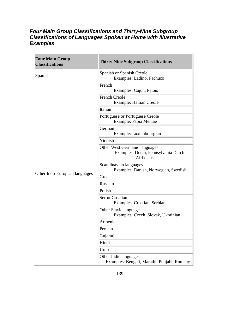## *Four Main Group Classifications and Thirty-Nine Subgroup Classifications of Languages Spoken at Home with Illustrative Examples*

| <b>Four Main Group</b><br><b>Classifications</b> | <b>Thirty-Nine Subgroup Classifications</b>                                       |  |  |  |
|--------------------------------------------------|-----------------------------------------------------------------------------------|--|--|--|
| Spanish                                          | Spanish or Spanish Creole<br>Examples: Ladino, Pachuco                            |  |  |  |
|                                                  | French<br>Examples: Cajun, Patois                                                 |  |  |  |
|                                                  | <b>French Creole</b><br><b>Example: Haitian Creole</b>                            |  |  |  |
|                                                  | Italian                                                                           |  |  |  |
| Other Indo-European languages                    | Portuguese or Portuguese Creole<br>Example: Papia Mentae                          |  |  |  |
|                                                  | German<br>Example: Luxembourgian                                                  |  |  |  |
|                                                  | Yiddish                                                                           |  |  |  |
|                                                  | Other West Germanic languages<br>Examples: Dutch, Pennsylvania Dutch<br>Afrikaans |  |  |  |
|                                                  | Scandinavian languages<br>Examples: Danish, Norwegian, Swedish                    |  |  |  |
|                                                  | Greek                                                                             |  |  |  |
|                                                  | Russian                                                                           |  |  |  |
|                                                  | Polish                                                                            |  |  |  |
|                                                  | Serbo-Croatian<br>Examples: Croatian, Serbian                                     |  |  |  |
|                                                  | Other Slavic languages<br>Examples: Czech, Slovak, Ukrainian                      |  |  |  |
|                                                  | Armenian                                                                          |  |  |  |
|                                                  | Persian                                                                           |  |  |  |
|                                                  | Gujarati                                                                          |  |  |  |
|                                                  | Hindi                                                                             |  |  |  |
|                                                  | Urdu                                                                              |  |  |  |
|                                                  | Other Indic languages<br>Examples: Bengali, Marathi, Punjabi, Romany              |  |  |  |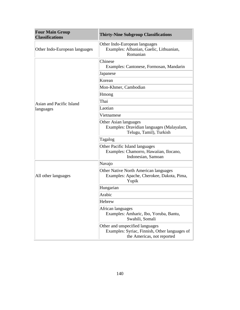| <b>Four Main Group</b><br><b>Classifications</b> | <b>Thirty-Nine Subgroup Classifications</b>                                                                    |  |  |  |  |
|--------------------------------------------------|----------------------------------------------------------------------------------------------------------------|--|--|--|--|
| Other Indo-European languages                    | Other Indo-European languages<br>Examples: Albanian, Gaelic, Lithuanian,<br>Romanian                           |  |  |  |  |
|                                                  | Chinese<br>Examples: Cantonese, Formosan, Mandarin                                                             |  |  |  |  |
|                                                  | Japanese                                                                                                       |  |  |  |  |
|                                                  | Korean                                                                                                         |  |  |  |  |
|                                                  | Mon-Khmer, Cambodian                                                                                           |  |  |  |  |
|                                                  | Hmong                                                                                                          |  |  |  |  |
| Asian and Pacific Island                         | Thai                                                                                                           |  |  |  |  |
| languages                                        | Laotian                                                                                                        |  |  |  |  |
|                                                  | Vietnamese                                                                                                     |  |  |  |  |
|                                                  | Other Asian languages<br>Examples: Dravidian languages (Malayalam,<br>Telugu, Tamil), Turkish                  |  |  |  |  |
|                                                  | Tagalog                                                                                                        |  |  |  |  |
|                                                  | Other Pacific Island languages<br>Examples: Chamorro, Hawaiian, Ilocano,<br>Indonesian, Samoan                 |  |  |  |  |
|                                                  | Navajo                                                                                                         |  |  |  |  |
| All other languages                              | <b>Other Native North American languages</b><br>Examples: Apache, Cherokee, Dakota, Pima,<br>Yupik             |  |  |  |  |
|                                                  | Hungarian                                                                                                      |  |  |  |  |
|                                                  | Arabic                                                                                                         |  |  |  |  |
|                                                  | Hebrew                                                                                                         |  |  |  |  |
|                                                  | African languages<br>Examples: Amharic, Ibo, Yoruba, Bantu,<br>Swahili, Somali                                 |  |  |  |  |
|                                                  | Other and unspecified languages<br>Examples: Syriac, Finnish, Other languages of<br>the Americas, not reported |  |  |  |  |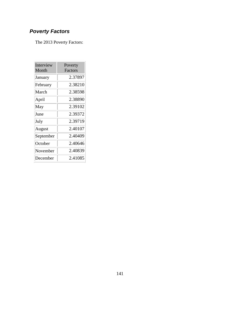# *Poverty Factors*

The 2013 Poverty Factors:

| Interview | Poverty |  |  |  |  |
|-----------|---------|--|--|--|--|
| Month     | Factors |  |  |  |  |
| January   | 2.37897 |  |  |  |  |
| February  | 2.38210 |  |  |  |  |
| March     | 2.38598 |  |  |  |  |
| April     | 2.38890 |  |  |  |  |
| May       | 2.39102 |  |  |  |  |
| June      | 2.39372 |  |  |  |  |
| July      | 2.39719 |  |  |  |  |
| August    | 2.40107 |  |  |  |  |
| September | 2.40409 |  |  |  |  |
| October   | 2.40646 |  |  |  |  |
| November  | 2.40839 |  |  |  |  |
| December  | 2.41085 |  |  |  |  |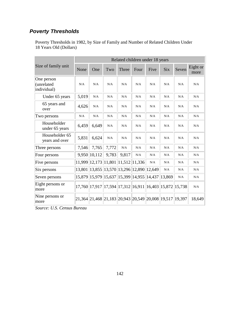# *Poverty Thresholds*

Poverty Thresholds in 1982, by Size of Family and Number of Related Children Under 18 Years Old (Dollars)

| Size of family unit                     | Related children under 18 years |                             |       |                                           |               |        |            |        |                  |
|-----------------------------------------|---------------------------------|-----------------------------|-------|-------------------------------------------|---------------|--------|------------|--------|------------------|
|                                         | None                            | One                         | Two   | Three                                     | Four          | Five   | <b>Six</b> | Seven  | Eight or<br>more |
| One person<br>(unrelated<br>individual) | N/A                             | N/A                         | N/A   | N/A                                       | N/A           | N/A    | N/A        | N/A    | N/A              |
| Under 65 years                          | 5,019                           | N/A                         | N/A   | N/A                                       | N/A           | N/A    | N/A        | N/A    | N/A              |
| 65 years and<br>over                    | 4,626                           | N/A                         | N/A   | N/A                                       | N/A           | N/A    | N/A        | N/A    | N/A              |
| Two persons                             | N/A                             | N/A                         | N/A   | N/A                                       | N/A           | N/A    | N/A        | N/A    | N/A              |
| Householder<br>under 65 years           | 6,459                           | 6,649                       | N/A   | N/A                                       | N/A           | N/A    | N/A        | N/A    | N/A              |
| Householder 65<br>years and over        | 5,831                           | 6,624                       | N/A   | N/A                                       | N/A           | N/A    | N/A        | N/A    | N/A              |
| Three persons                           | 7,546                           | 7,765                       | 7,772 | N/A                                       | N/A           | N/A    | N/A        | N/A    | N/A              |
| Four persons                            |                                 | 9,950 10,112                | 9,783 | 9,817                                     | N/A           | N/A    | N/A        | N/A    | N/A              |
| Five persons                            |                                 | 11,999 12,173 11,801        |       | 11,512                                    | 11,336        | N/A    | N/A        | N/A    | N/A              |
| Six persons                             |                                 | 13,801 13,855 13,570 13,296 |       |                                           | 12,890        | 12,649 | N/A        | N/A    | N/A              |
| Seven persons                           |                                 |                             |       | 15,879 15,979 15,637 15,399               | 14,955 14,437 |        | 13,869     | N/A    | N/A              |
| Eight persons or<br>more                |                                 |                             |       | 17,760 17,917 17,594 17,312 16,911 16,403 |               |        | 15,872     | 15,738 | N/A              |
| Nine persons or<br>more                 |                                 |                             |       | 21,364 21,468 21,183 20,943 20,549 20,008 |               |        | 19,517     | 19,397 | 18,649           |

*Source: U.S. Census Bureau*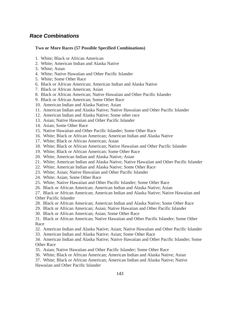## <span id="page-142-0"></span>*Race Combinations*

#### **Two or More Races (57 Possible Specified Combinations)**

- 1. White; Black or African American
- 2. White; American Indian and Alaska Native
- 3. White; Asian
- 4. White; Native Hawaiian and Other Pacific Islander
- 5. White; Some Other Race
- 6. Black or African American; American Indian and Alaska Native
- 7. Black or African American; Asian
- 8. Black or African American; Native Hawaiian and Other Pacific Islander
- 9. Black or African American; Some Other Race
- 10. American Indian and Alaska Native; Asian
- 11. American Indian and Alaska Native; Native Hawaiian and Other Pacific Islander
- 12. American Indian and Alaska Native; Some other race
- 13. Asian; Native Hawaiian and Other Pacific Islander
- 14. Asian; Some Other Race
- 15. Native Hawaiian and Other Pacific Islander; Some Other Race
- 16. White; Black or African American; American Indian and Alaska Native
- 17. White; Black or African American; Asian
- 18. White; Black or African American; Native Hawaiian and Other Pacific Islander
- 19. White; Black or African American; Some Other Race
- 20. White; American Indian and Alaska Native; Asian
- 21. White; American Indian and Alaska Native; Native Hawaiian and Other Pacific Islander
- 22. White; American Indian and Alaska Native; Some Other Race
- 23. White; Asian; Native Hawaiian and Other Pacific Islander
- 24. White; Asian; Some Other Race
- 25. White; Native Hawaiian and Other Pacific Islander; Some Other Race
- 26. Black or African American; American Indian and Alaska Native; Asian

27. Black or African American; American Indian and Alaska Native; Native Hawaiian and Other Pacific Islander

- 28. Black or African American; American Indian and Alaska Native; Some Other Race
- 29. Black or African American; Asian; Native Hawaiian and Other Pacific Islander
- 30. Black or African American; Asian; Some Other Race

31. Black or African American; Native Hawaiian and Other Pacific Islander; Some Other Race

- 32. American Indian and Alaska Native; Asian; Native Hawaiian and Other Pacific Islander
- 33. American Indian and Alaska Native; Asian; Some Other Race

34. American Indian and Alaska Native; Native Hawaiian and Other Pacific Islander; Some Other Race

- 35. Asian; Native Hawaiian and Other Pacific Islander; Some Other Race
- 36. White; Black or African American; American Indian and Alaska Native; Asian
- 37. White; Black or African American; American Indian and Alaska Native; Native

Hawaiian and Other Pacific Islander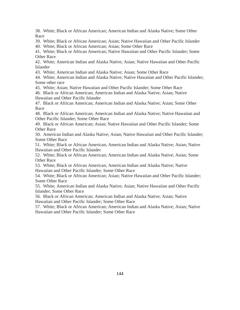38. White; Black or African American; American Indian and Alaska Native; Some Other Race

39. White; Black or African American; Asian; Native Hawaiian and Other Pacific Islander

40. White; Black or African American; Asian; Some Other Race

41. White; Black or African American; Native Hawaiian and Other Pacific Islander; Some Other Race

42. White; American Indian and Alaska Native; Asian; Native Hawaiian and Other Pacific Islander

43. White; American Indian and Alaska Native; Asian; Some Other Race

44. White; American Indian and Alaska Native; Native Hawaiian and Other Pacific Islander; Some other race

45. White; Asian; Native Hawaiian and Other Pacific Islander; Some Other Race

46. Black or African American; American Indian and Alaska Native; Asian; Native Hawaiian and Other Pacific Islander

47. Black or African American; American Indian and Alaska Native; Asian; Some Other Race

48. Black or African American; American Indian and Alaska Native; Native Hawaiian and Other Pacific Islander; Some Other Race

49. Black or African American; Asian; Native Hawaiian and Other Pacific Islander; Some Other Race

50. American Indian and Alaska Native; Asian; Native Hawaiian and Other Pacific Islander; Some Other Race

51. White; Black or African American; American Indian and Alaska Native; Asian; Native Hawaiian and Other Pacific Islander

52. White; Black or African American; American Indian and Alaska Native; Asian; Some Other Race

53. White; Black or African American; American Indian and Alaska Native; Native Hawaiian and Other Pacific Islander; Some Other Race

54. White; Black or African American; Asian; Native Hawaiian and Other Pacific Islander; Some Other Race

55. White; American Indian and Alaska Native; Asian; Native Hawaiian and Other Pacific Islander; Some Other Race

56. Black or African American; American Indian and Alaska Native; Asian; Native Hawaiian and Other Pacific Islander; Some Other Race

57. White; Black or African American; American Indian and Alaska Native; Asian; Native Hawaiian and Other Pacific Islander; Some Other Race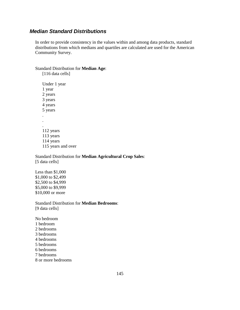## *Median Standard Distributions*

In order to provide consistency in the values within and among data products, standard distributions from which medians and quartiles are calculated are used for the American Community Survey.

Standard Distribution for **Median Age**:

[116 data cells]

Under 1 year 1 year 2 years 3 years 4 years 5 years . . . 112 years 113 years 114 years 115 years and over

Standard Distribution for **Median Agricultural Crop Sales**: [5 data cells]

Less than \$1,000 \$1,000 to \$2,499 \$2,500 to \$4,999 \$5,000 to \$9,999 \$10,000 or more

Standard Distribution for **Median Bedrooms**:

[9 data cells]

No bedroom 1 bedroom 2 bedrooms 3 bedrooms 4 bedrooms 5 bedrooms 6 bedrooms 7 bedrooms

8 or more bedrooms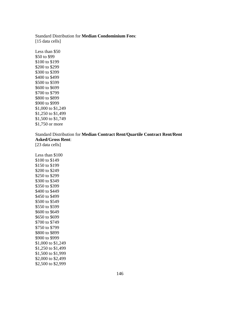#### Standard Distribution for **Median Condominium Fees**: [15 data cells]

Less than \$50 \$50 to \$99 \$100 to \$199 \$200 to \$299 \$300 to \$399 \$400 to \$499 \$500 to \$599 \$600 to \$699 \$700 to \$799 \$800 to \$899 \$900 to \$999 \$1,000 to \$1,249 \$1,250 to \$1,499 \$1,500 to \$1,749 \$1,750 or more

#### Standard Distribution for **Median Contract Rent/Quartile Contract Rent/Rent Asked/Gross Rent**:

[23 data cells]

Less than \$100 \$100 to \$149 \$150 to \$199 \$200 to \$249 \$250 to \$299 \$300 to \$349 \$350 to \$399 \$400 to \$449 \$450 to \$499 \$500 to \$549 \$550 to \$599 \$600 to \$649 \$650 to \$699 \$700 to \$749 \$750 to \$799 \$800 to \$899 \$900 to \$999 \$1,000 to \$1,249 \$1,250 to \$1,499 \$1,500 to \$1,999 \$2,000 to \$2,499 \$2,500 to \$2,999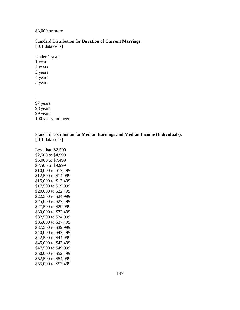\$3,000 or more

Standard Distribution for **Duration of Current Marriage**: [101 data cells]

Under 1 year 1 year 2 years 3 years 4 years 5 years . . . 97 years 98 years 99 years 100 years and over

Standard Distribution for **Median Earnings and Median Income (Individuals)**: [101 data cells]

Less than \$2,500 \$2,500 to \$4,999 \$5,000 to \$7,499 \$7,500 to \$9,999 \$10,000 to \$12,499 \$12,500 to \$14,999 \$15,000 to \$17,499 \$17,500 to \$19,999 \$20,000 to \$22,499 \$22,500 to \$24,999 \$25,000 to \$27,499 \$27,500 to \$29,999 \$30,000 to \$32,499 \$32,500 to \$34,999 \$35,000 to \$37,499 \$37,500 to \$39,999 \$40,000 to \$42,499 \$42,500 to \$44,999 \$45,000 to \$47,499 \$47,500 to \$49,999 \$50,000 to \$52,499 \$52,500 to \$54,999 \$55,000 to \$57,499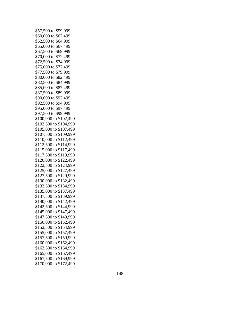| \$57,500 to \$59,999   |
|------------------------|
| \$60,000 to \$62,499   |
| \$62,500 to \$64,999   |
| \$65,000 to \$67,499   |
| \$67,500 to \$69,999   |
| \$70,000 to \$72,499   |
|                        |
| \$72,500 to \$74,999   |
| \$75,000 to \$77,499   |
| \$77,500 to \$79,999   |
| \$80,000 to \$82,499   |
| \$82,500 to \$84,999   |
| \$85,000 to \$87,499   |
| \$87,500 to \$89,999   |
| \$90,000 to \$92,499   |
| \$92,500 to \$94,999   |
| \$95,000 to \$97,499   |
| \$97,500 to \$99,999   |
| \$100,000 to \$102,499 |
| \$102,500 to \$104,999 |
|                        |
| \$105,000 to \$107,499 |
| \$107,500 to \$109,999 |
| \$110,000 to \$112,499 |
| \$112,500 to \$114,999 |
| \$115,000 to \$117,499 |
| \$117,500 to \$119,999 |
| \$120,000 to \$122,499 |
| \$122,500 to \$124,999 |
| \$125,000 to \$127,499 |
| \$127,500 to \$129,999 |
| \$130,000 to \$132,499 |
| \$132,500 to \$134,999 |
| \$135,000 to \$137,499 |
|                        |
| \$137,500 to \$139,999 |
| \$140,000 to \$142,499 |
| \$142,500 to \$144,999 |
| \$145,000 to \$147,499 |
| \$147,500 to \$149,999 |
| \$150,000 to \$152,499 |
| \$152,500 to \$154,999 |
| \$155,000 to \$157,499 |
| \$157,500 to \$159,999 |
| \$160,000 to \$162,499 |
| \$162,500 to \$164,999 |
| \$165,000 to \$167,499 |
| \$167,500 to \$169,999 |
|                        |
| \$170,000 to \$172,499 |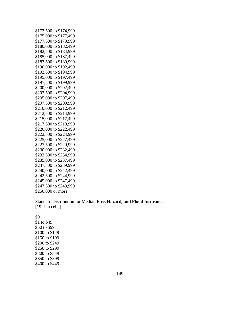\$172,500 to \$174,999 \$175,000 to \$177,499 \$177,500 to \$179,999 \$180,000 to \$182,499 \$182,500 to \$184,999 \$185,000 to \$187,499 \$187,500 to \$189,999 \$190,000 to \$192,499 \$192,500 to \$194,999 \$195,000 to \$197,499 \$197,500 to \$199,999 \$200,000 to \$202,499 \$202,500 to \$204,999 \$205,000 to \$207,499 \$207,500 to \$209,999 \$210,000 to \$212,499 \$212,500 to \$214,999 \$215,000 to \$217,499 \$217,500 to \$219,999 \$220,000 to \$222,499 \$222,500 to \$224,999 \$225,000 to \$227,499 \$227,500 to \$229,999 \$230,000 to \$232,499 \$232,500 to \$234,999 \$235,000 to \$237,499 \$237,500 to \$239,999 \$240,000 to \$242,499 \$242,500 to \$244,999 \$245,000 to \$247,499 \$247,500 to \$249,999 \$250,000 or more

Standard Distribution for Median **Fire, Hazard, and Flood Insurance**: [19 data cells]

\$0

\$1 to \$49 \$50 to \$99 \$100 to \$149 \$150 to \$199 \$200 to \$249 \$250 to \$299 \$300 to \$349 \$350 to \$399 \$400 to \$449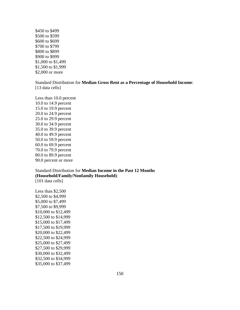\$450 to \$499 \$500 to \$599 \$600 to \$699 \$700 to \$799 \$800 to \$899 \$900 to \$999 \$1,000 to \$1,499 \$1,500 to \$1,999 \$2,000 or more

Standard Distribution for **Median Gross Rent as a Percentage of Household Income**: [13 data cells]

Less than 10.0 percent 10.0 to 14.9 percent 15.0 to 19.9 percent 20.0 to 24.9 percent 25.0 to 29.9 percent 30.0 to 34.9 percent 35.0 to 39.9 percent 40.0 to 49.9 percent 50.0 to 59.9 percent 60.0 to 69.9 percent 70.0 to 79.9 percent 80.0 to 89.9 percent 90.0 percent or more

# Standard Distribution for **Median Income in the Past 12 Months (Household/Family/Nonfamily Household)**:

[101 data cells]

Less than \$2,500 \$2,500 to \$4,999 \$5,000 to \$7,499 \$7,500 to \$9,999 \$10,000 to \$12,499 \$12,500 to \$14,999 \$15,000 to \$17,499 \$17,500 to \$19,999 \$20,000 to \$22,499 \$22,500 to \$24,999 \$25,000 to \$27,499 \$27,500 to \$29,999 \$30,000 to \$32,499 \$32,500 to \$34,999 \$35,000 to \$37,499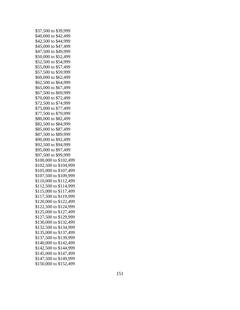\$37,500 to \$39,999 \$40,000 to \$42,499 \$42,500 to \$44,999 \$45,000 to \$47,499 \$47,500 to \$49,999 \$50,000 to \$52,499 \$52,500 to \$54,999 \$55,000 to \$57,499 \$57,500 to \$59,999 \$60,000 to \$62,499 \$62,500 to \$64,999 \$65,000 to \$67,499 \$67,500 to \$69,999 \$70,000 to \$72,499 \$72,500 to \$74,999 \$75,000 to \$77,499 \$77,500 to \$79,999 \$80,000 to \$82,49 9 \$82,500 to \$84,999 \$85,000 to \$87,499 \$87,500 to \$89,999 \$90,000 to \$92,499 \$92,500 to \$94,999 \$95,000 to \$97,499 \$97,500 to \$99,999 \$100,000 to \$102,499 \$102,500 to \$104,999 \$105,000 to \$107,499 \$107,500 to \$109,999 \$110,000 to \$112,499 \$112,500 to \$114,999 \$115,000 to \$117,499 \$117,500 to \$119,999 \$120,000 to \$122,499 \$122,500 to \$124,999 \$125,000 to \$127,499 \$127,500 to \$129,999 \$130,000 to \$132,499 \$132,500 to \$134,999 \$135,000 to \$137,499 \$137,500 to \$139,999 \$140,000 to \$142,499 \$142,500 to \$144,999 \$145,000 to \$147,499 \$147,500 to \$149,999 \$150,000 to \$152,499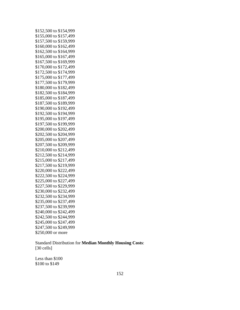\$152,500 to \$154,999 \$155,000 to \$157,499 \$157,500 to \$159,999 \$160,000 to \$162,499 \$162,500 to \$164,999 \$165,000 to \$167,499 \$167,500 to \$169,999 \$170,000 to \$172,499 \$172,500 to \$174,999 \$175,000 to \$177,499 \$177,500 to \$179,999 \$180,000 to \$182,499 \$182,500 to \$184,999 \$185,000 to \$187,499 \$187,500 to \$189,999 \$190,000 to \$192,499 \$192,500 to \$194,999 \$195,000 to \$197,499 \$197,500 to \$199,999 \$200,000 to \$202,499 \$202,500 to \$204,999 \$205,000 to \$207,499 \$207,500 to \$209,999 \$210,000 to \$212,499 \$212,500 to \$214,999 \$215,000 to \$217,499 \$217,500 to \$219,999 \$220,000 to \$222,499 \$222,500 to \$224,999 \$225,000 to \$227,499 \$227,500 to \$229,999 \$230,000 to \$232,499 \$232,500 to \$234,999 \$235,000 to \$237,499 \$237,500 to \$239,999 \$240,000 to \$242,499 \$242,500 to \$244,999 \$245,000 to \$247,499 \$247,500 to \$249,999 \$250,000 or more

Standard Distribution for **Median Monthly Housing Costs**: [30 cells]

Less than \$100 \$100 to \$149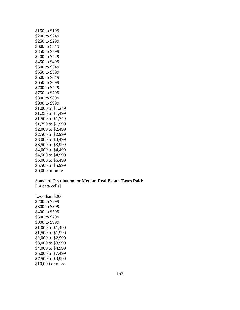\$150 to \$199 \$200 to \$249 \$250 to \$299 \$300 to \$349 \$350 to \$399 \$400 to \$449 \$450 to \$499 \$500 to \$549 \$550 to \$599 \$600 to \$649 \$650 to \$699 \$700 to \$749 \$750 to \$799 \$800 to \$899 \$900 to \$999 \$1,000 to \$1,249 \$1,250 to \$1,499 \$1,500 to \$1,749 \$1,750 to \$1,999 \$2,000 to \$2,499 \$2,500 to \$2,999 \$3,000 to \$3,499 \$3,500 to \$3,999 \$4,000 to \$4,499 \$4,500 to \$4,999 \$5,000 to \$5,499 \$5,500 to \$5,999 \$6,000 or more

Standard Distribution for **Median Real Estate Taxes Paid**: [14 data cells]

Less than \$200 \$200 to \$299 \$300 to \$399 \$400 to \$599 \$600 to \$799 \$800 to \$999 \$1,000 to \$1,499 \$1,500 to \$1,999 \$2,000 to \$2,999 \$3,000 to \$3,999 \$4,000 to \$4,999 \$5,000 to \$7,499 \$7,500 to \$9,999 \$10,000 or more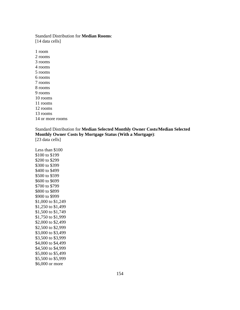#### Standard Distribution for **Median Rooms**: [14 data cells]

1 room 2 rooms 3 rooms 4 rooms 5 rooms 6 rooms 7 rooms 8 rooms 9 rooms 10 rooms 11 rooms 12 rooms 13 rooms 14 or more rooms

#### Standard Distribution for **Median Selected Monthly Owner Costs/Median Selected Monthly Owner Costs by Mortgage Status (With a Mortgage)**: [23 data cells]

Less than \$100 \$100 to \$199 \$200 to \$299 \$300 to \$399 \$400 to \$499 \$500 to \$599 \$600 to \$699 \$700 to \$799 \$800 to \$899 \$900 to \$999 \$1,000 to \$1,249 \$1,250 to \$1,499 \$1,500 to \$1,749 \$1,750 to \$1,999 \$2,000 to \$2,499 \$2,500 to \$2,999 \$3,000 to \$3,499 \$3,500 to \$3,999 \$4,000 to \$4,499 \$4,500 to \$4,999 \$5,000 to \$5,499 \$5,500 to \$5,999 \$6,000 or more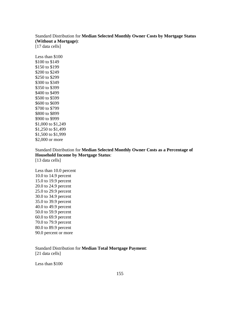#### Standard Distribution for **Median Selected Monthly Owner Costs by Mortgage Status (Without a Mortgage)**:

[17 data cells]

Less than \$100 \$100 to \$149 \$150 to \$199 \$200 to \$249 \$250 to \$299 \$300 to \$349 \$350 to \$399 \$400 to \$499 \$500 to \$599 \$600 to \$699 \$700 to \$799 \$800 to \$899 \$900 to \$999 \$1,000 to \$1,249 \$1,250 to \$1,499 \$1,500 to \$1,999 \$2,000 or more

Standard Distribution for **Median Selected Monthly Owner Costs as a Percentage of Household Income by Mortgage Status**: [13 data cells]

Less than 10.0 percent 10.0 to 14.9 percent 15.0 to 19.9 percent 20.0 to 24.9 percent 25.0 to 29.9 percent 30.0 to 34.9 percent 35.0 to 39.9 percent 40.0 to 49.9 percent 50.0 to 59.9 percent 60.0 to 69.9 percent 70.0 to 79.9 percent 80.0 to 89.9 percent

90.0 percent or more

Standard Distribution for **Median Total Mortgage Payment**: [21 data cells]

Less than \$100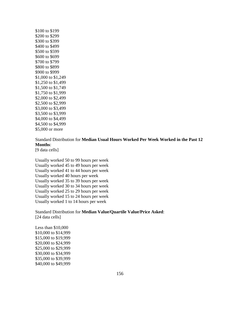\$100 to \$199 \$200 to \$299 \$300 to \$399 \$400 to \$499 \$500 to \$599 \$600 to \$699 \$700 to \$799 \$800 to \$899 \$900 to \$999 \$1,000 to \$1,249 \$1,250 to \$1,499 \$1,500 to \$1,749 \$1,750 to \$1,999 \$2,000 to \$2,499 \$2,500 to \$2,999 \$3,000 to \$3,499 \$3,500 to \$3,999 \$4,000 to \$4,499 \$4,500 to \$4,999 \$5,000 or more

### Standard Distribution for **Median Usual Hours Worked Per Week Worked in the Past 12 Months**:

[9 data cells]

Usually worked 50 to 99 hours per week Usually worked 45 to 49 hours per week Usually worked 41 to 44 hours per week Usually worked 40 hours per week Usually worked 35 to 39 hours per week Usually worked 30 to 34 hours per week Usually worked 25 to 29 hours per week Usually worked 15 to 24 hours per week Usually worked 1 to 14 hours per week

Standard Distribution for **Median Value/Quartile Value/Price Asked**: [24 data cells]

Less than \$10,000 \$10,000 to \$14,999 \$15,000 to \$19,999 \$20,000 to \$24,999 \$25,000 to \$29,999 \$30,000 to \$34,999 \$35,000 to \$39,999 \$40,000 to \$49,999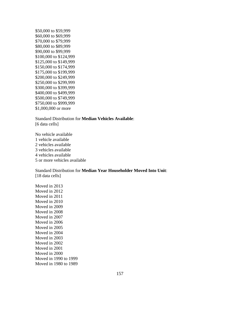\$50,000 to \$59,999 \$60,000 to \$69,999 \$70,000 to \$79,999 \$80,000 to \$89,999 \$90,000 to \$99,999 \$100,000 to \$124,999 \$125,000 to \$149,999 \$150,000 to \$174,999 \$175,000 to \$199,999 \$200,000 to \$249,999 \$250,000 to \$299,999 \$300,000 to \$399,999 \$400,000 to \$499,999 \$500,000 to \$749,999 \$750,000 to \$999,999 \$1,000,000 or more

#### Standard Distribution for **Median Vehicles Available**: [6 data cells]

No vehicle available 1 vehicle available 2 vehicles available 3 vehicles available 4 vehicles available 5 or more vehicles available

#### Standard Distribution for **Median Year Householder Moved Into Unit**: [18 data cells]

Moved in 2013 Moved in 2012 Moved in 2011 Moved in 2010 Moved in 2009 Moved in 2008 Moved in 2007 Moved in 2006 Moved in 2005 Moved in 2004 Moved in 2003 Moved in 2002 Moved in 2001 Moved in 2000 Moved in 1990 to 1999 Moved in 1980 to 1989